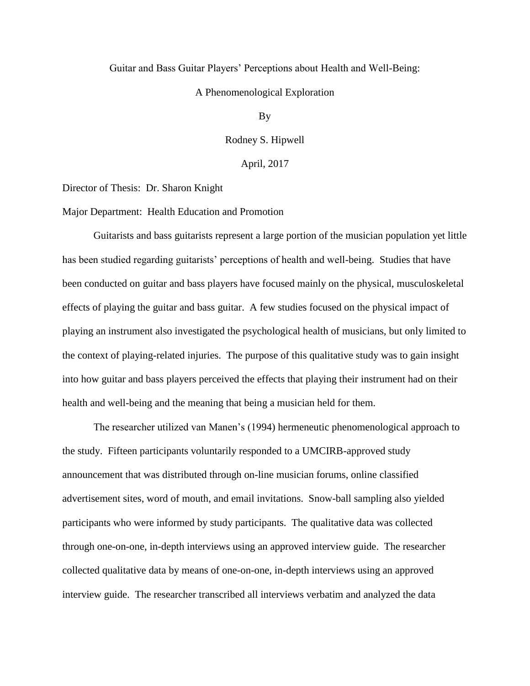## Guitar and Bass Guitar Players' Perceptions about Health and Well-Being:

## A Phenomenological Exploration

By

Rodney S. Hipwell

April, 2017

Director of Thesis: Dr. Sharon Knight

Major Department: Health Education and Promotion

Guitarists and bass guitarists represent a large portion of the musician population yet little has been studied regarding guitarists' perceptions of health and well-being. Studies that have been conducted on guitar and bass players have focused mainly on the physical, musculoskeletal effects of playing the guitar and bass guitar. A few studies focused on the physical impact of playing an instrument also investigated the psychological health of musicians, but only limited to the context of playing-related injuries. The purpose of this qualitative study was to gain insight into how guitar and bass players perceived the effects that playing their instrument had on their health and well-being and the meaning that being a musician held for them.

The researcher utilized van Manen's (1994) hermeneutic phenomenological approach to the study. Fifteen participants voluntarily responded to a UMCIRB-approved study announcement that was distributed through on-line musician forums, online classified advertisement sites, word of mouth, and email invitations. Snow-ball sampling also yielded participants who were informed by study participants. The qualitative data was collected through one-on-one, in-depth interviews using an approved interview guide. The researcher collected qualitative data by means of one-on-one, in-depth interviews using an approved interview guide. The researcher transcribed all interviews verbatim and analyzed the data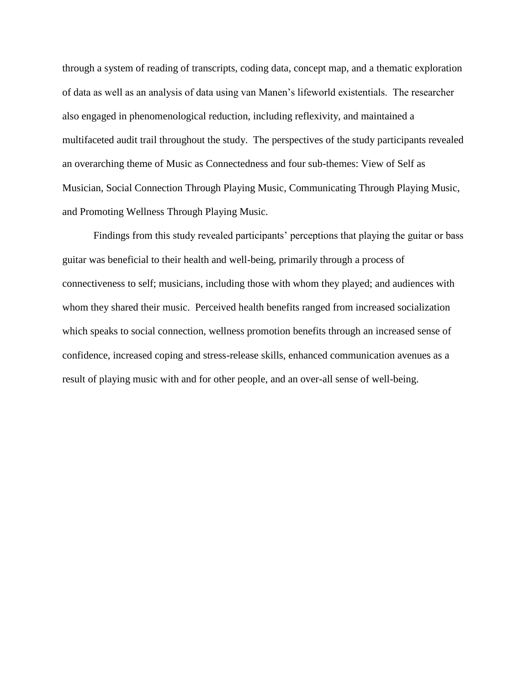through a system of reading of transcripts, coding data, concept map, and a thematic exploration of data as well as an analysis of data using van Manen's lifeworld existentials. The researcher also engaged in phenomenological reduction, including reflexivity, and maintained a multifaceted audit trail throughout the study. The perspectives of the study participants revealed an overarching theme of Music as Connectedness and four sub-themes: View of Self as Musician, Social Connection Through Playing Music, Communicating Through Playing Music, and Promoting Wellness Through Playing Music.

Findings from this study revealed participants' perceptions that playing the guitar or bass guitar was beneficial to their health and well-being, primarily through a process of connectiveness to self; musicians, including those with whom they played; and audiences with whom they shared their music. Perceived health benefits ranged from increased socialization which speaks to social connection, wellness promotion benefits through an increased sense of confidence, increased coping and stress-release skills, enhanced communication avenues as a result of playing music with and for other people, and an over-all sense of well-being.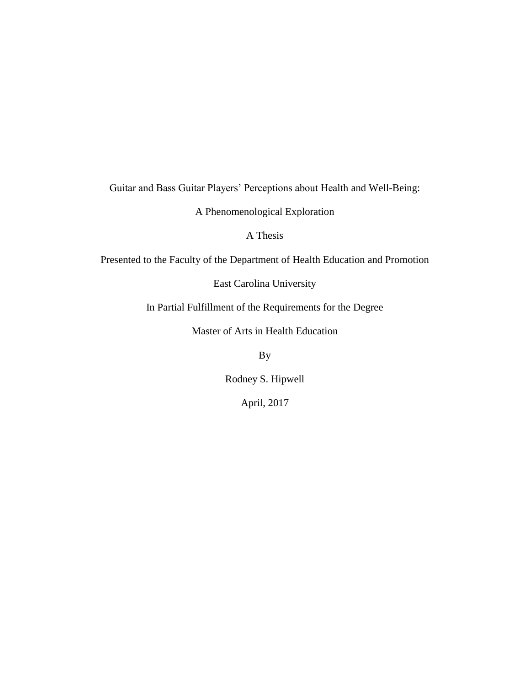Guitar and Bass Guitar Players' Perceptions about Health and Well-Being:

A Phenomenological Exploration

A Thesis

Presented to the Faculty of the Department of Health Education and Promotion

East Carolina University

In Partial Fulfillment of the Requirements for the Degree

Master of Arts in Health Education

By

Rodney S. Hipwell

April, 2017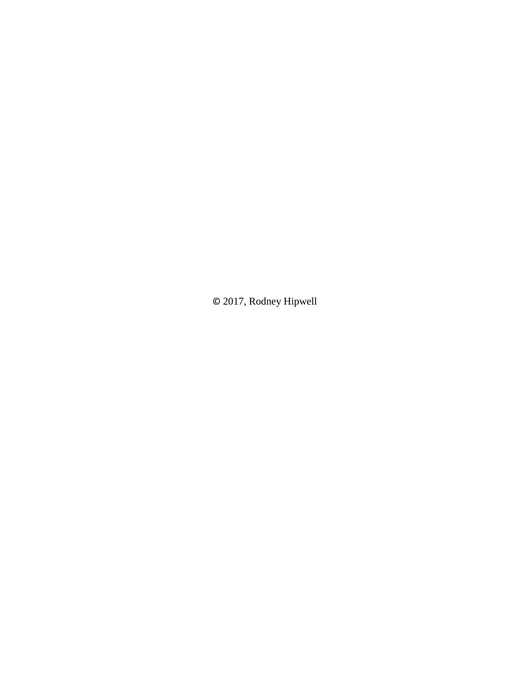© 2017, Rodney Hipwell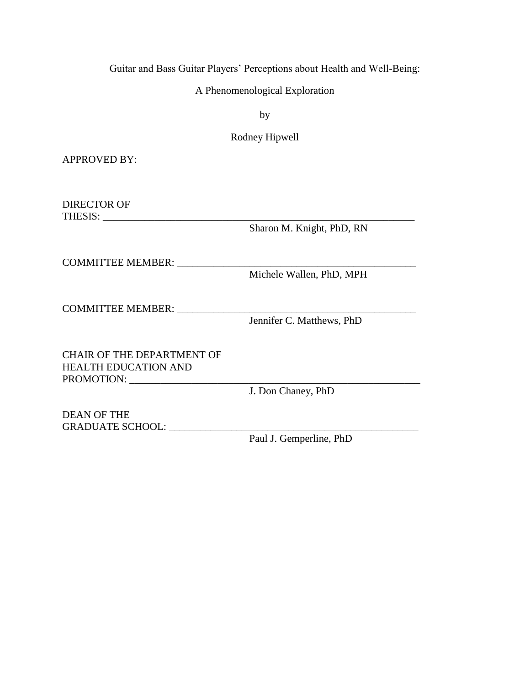Guitar and Bass Guitar Players' Perceptions about Health and Well-Being:

A Phenomenological Exploration

by

Rodney Hipwell

APPROVED BY:

DIRECTOR OF THESIS: \_\_\_\_\_\_\_\_\_\_\_\_\_\_\_\_\_\_\_\_\_\_\_\_\_\_\_\_\_\_\_\_\_\_\_\_\_\_\_\_\_\_\_\_\_\_\_\_\_\_\_\_\_\_\_\_\_\_\_\_

Sharon M. Knight, PhD, RN

COMMITTEE MEMBER:

Michele Wallen, PhD, MPH

COMMITTEE MEMBER: \_\_\_\_\_\_\_\_\_\_\_\_\_\_\_\_\_\_\_\_\_\_\_\_\_\_\_\_\_\_\_\_\_\_\_\_\_\_\_\_\_\_\_\_\_\_

Jennifer C. Matthews, PhD

CHAIR OF THE DEPARTMENT OF HEALTH EDUCATION AND PROMOTION: \_\_\_\_\_\_\_\_\_\_\_\_\_\_\_\_\_\_\_\_\_\_\_\_\_\_\_\_\_\_\_\_\_\_\_\_\_\_\_\_\_\_\_\_\_\_\_\_\_\_\_\_\_\_\_\_

J. Don Chaney, PhD

DEAN OF THE GRADUATE SCHOOL: \_\_\_\_\_\_\_\_\_\_\_\_\_\_\_\_\_\_\_\_\_\_\_\_\_\_\_\_\_\_\_\_\_\_\_\_\_\_\_\_\_\_\_\_\_\_\_\_

Paul J. Gemperline, PhD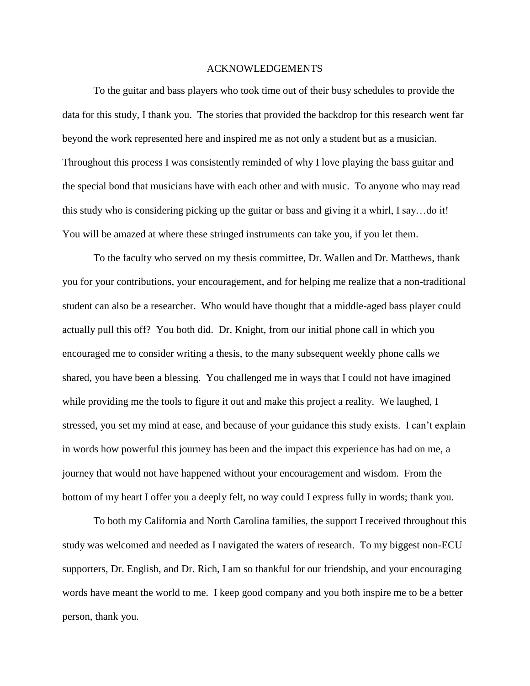#### ACKNOWLEDGEMENTS

To the guitar and bass players who took time out of their busy schedules to provide the data for this study, I thank you. The stories that provided the backdrop for this research went far beyond the work represented here and inspired me as not only a student but as a musician. Throughout this process I was consistently reminded of why I love playing the bass guitar and the special bond that musicians have with each other and with music. To anyone who may read this study who is considering picking up the guitar or bass and giving it a whirl, I say…do it! You will be amazed at where these stringed instruments can take you, if you let them.

To the faculty who served on my thesis committee, Dr. Wallen and Dr. Matthews, thank you for your contributions, your encouragement, and for helping me realize that a non-traditional student can also be a researcher. Who would have thought that a middle-aged bass player could actually pull this off? You both did. Dr. Knight, from our initial phone call in which you encouraged me to consider writing a thesis, to the many subsequent weekly phone calls we shared, you have been a blessing. You challenged me in ways that I could not have imagined while providing me the tools to figure it out and make this project a reality. We laughed, I stressed, you set my mind at ease, and because of your guidance this study exists. I can't explain in words how powerful this journey has been and the impact this experience has had on me, a journey that would not have happened without your encouragement and wisdom. From the bottom of my heart I offer you a deeply felt, no way could I express fully in words; thank you.

To both my California and North Carolina families, the support I received throughout this study was welcomed and needed as I navigated the waters of research. To my biggest non-ECU supporters, Dr. English, and Dr. Rich, I am so thankful for our friendship, and your encouraging words have meant the world to me. I keep good company and you both inspire me to be a better person, thank you.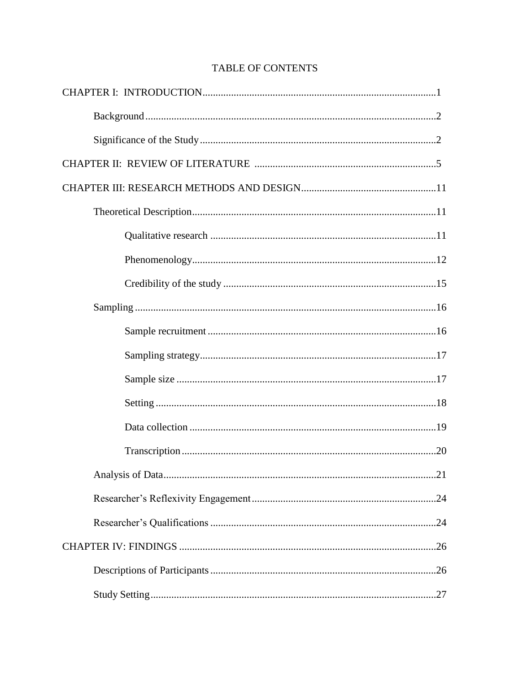# **TABLE OF CONTENTS**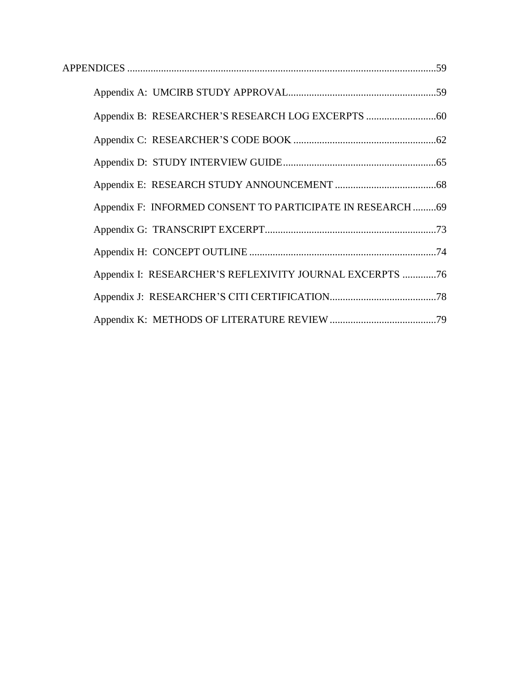| Appendix F: INFORMED CONSENT TO PARTICIPATE IN RESEARCH 69 |  |
|------------------------------------------------------------|--|
|                                                            |  |
|                                                            |  |
| Appendix I: RESEARCHER'S REFLEXIVITY JOURNAL EXCERPTS 76   |  |
|                                                            |  |
|                                                            |  |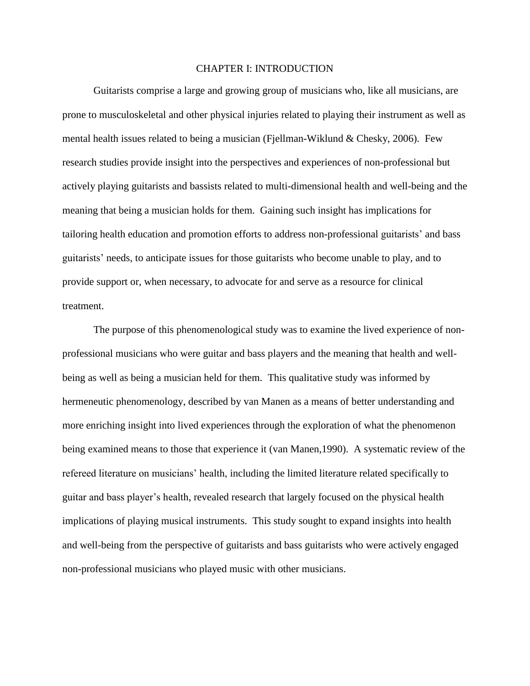# CHAPTER I: INTRODUCTION

Guitarists comprise a large and growing group of musicians who, like all musicians, are prone to musculoskeletal and other physical injuries related to playing their instrument as well as mental health issues related to being a musician (Fjellman-Wiklund & Chesky, 2006). Few research studies provide insight into the perspectives and experiences of non-professional but actively playing guitarists and bassists related to multi-dimensional health and well-being and the meaning that being a musician holds for them. Gaining such insight has implications for tailoring health education and promotion efforts to address non-professional guitarists' and bass guitarists' needs, to anticipate issues for those guitarists who become unable to play, and to provide support or, when necessary, to advocate for and serve as a resource for clinical treatment.

The purpose of this phenomenological study was to examine the lived experience of nonprofessional musicians who were guitar and bass players and the meaning that health and wellbeing as well as being a musician held for them. This qualitative study was informed by hermeneutic phenomenology, described by van Manen as a means of better understanding and more enriching insight into lived experiences through the exploration of what the phenomenon being examined means to those that experience it (van Manen,1990). A systematic review of the refereed literature on musicians' health, including the limited literature related specifically to guitar and bass player's health, revealed research that largely focused on the physical health implications of playing musical instruments. This study sought to expand insights into health and well-being from the perspective of guitarists and bass guitarists who were actively engaged non-professional musicians who played music with other musicians.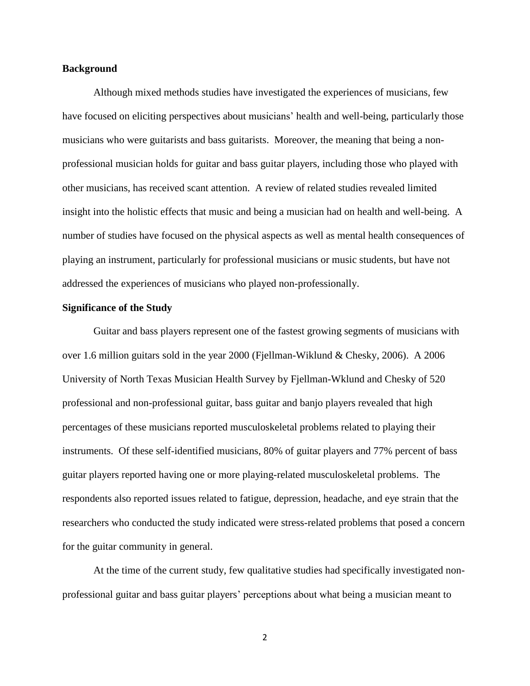## **Background**

Although mixed methods studies have investigated the experiences of musicians, few have focused on eliciting perspectives about musicians' health and well-being, particularly those musicians who were guitarists and bass guitarists. Moreover, the meaning that being a nonprofessional musician holds for guitar and bass guitar players, including those who played with other musicians, has received scant attention. A review of related studies revealed limited insight into the holistic effects that music and being a musician had on health and well-being. A number of studies have focused on the physical aspects as well as mental health consequences of playing an instrument, particularly for professional musicians or music students, but have not addressed the experiences of musicians who played non-professionally.

#### **Significance of the Study**

Guitar and bass players represent one of the fastest growing segments of musicians with over 1.6 million guitars sold in the year 2000 (Fjellman-Wiklund & Chesky, 2006). A 2006 University of North Texas Musician Health Survey by Fjellman-Wklund and Chesky of 520 professional and non-professional guitar, bass guitar and banjo players revealed that high percentages of these musicians reported musculoskeletal problems related to playing their instruments. Of these self-identified musicians, 80% of guitar players and 77% percent of bass guitar players reported having one or more playing-related musculoskeletal problems. The respondents also reported issues related to fatigue, depression, headache, and eye strain that the researchers who conducted the study indicated were stress-related problems that posed a concern for the guitar community in general.

At the time of the current study, few qualitative studies had specifically investigated nonprofessional guitar and bass guitar players' perceptions about what being a musician meant to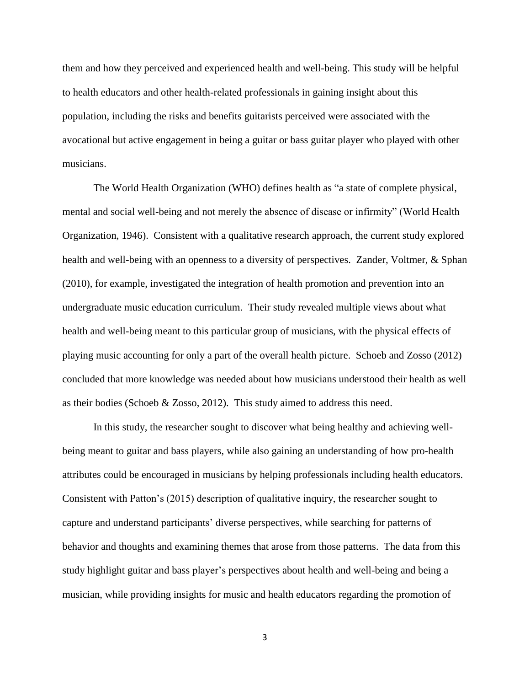them and how they perceived and experienced health and well-being. This study will be helpful to health educators and other health-related professionals in gaining insight about this population, including the risks and benefits guitarists perceived were associated with the avocational but active engagement in being a guitar or bass guitar player who played with other musicians.

The World Health Organization (WHO) defines health as "a state of complete physical, mental and social well-being and not merely the absence of disease or infirmity" (World Health Organization, 1946). Consistent with a qualitative research approach, the current study explored health and well-being with an openness to a diversity of perspectives. Zander, Voltmer, & Sphan (2010), for example, investigated the integration of health promotion and prevention into an undergraduate music education curriculum. Their study revealed multiple views about what health and well-being meant to this particular group of musicians, with the physical effects of playing music accounting for only a part of the overall health picture. Schoeb and Zosso (2012) concluded that more knowledge was needed about how musicians understood their health as well as their bodies (Schoeb & Zosso, 2012). This study aimed to address this need.

In this study, the researcher sought to discover what being healthy and achieving wellbeing meant to guitar and bass players, while also gaining an understanding of how pro-health attributes could be encouraged in musicians by helping professionals including health educators. Consistent with Patton's (2015) description of qualitative inquiry, the researcher sought to capture and understand participants' diverse perspectives, while searching for patterns of behavior and thoughts and examining themes that arose from those patterns. The data from this study highlight guitar and bass player's perspectives about health and well-being and being a musician, while providing insights for music and health educators regarding the promotion of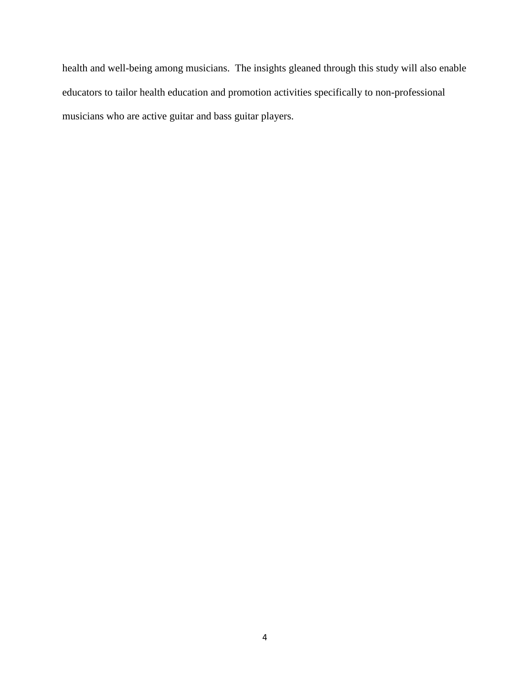health and well-being among musicians. The insights gleaned through this study will also enable educators to tailor health education and promotion activities specifically to non-professional musicians who are active guitar and bass guitar players.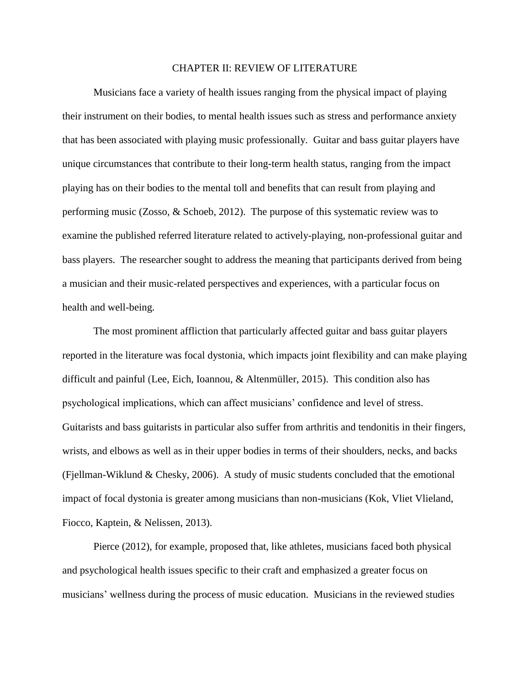#### CHAPTER II: REVIEW OF LITERATURE

Musicians face a variety of health issues ranging from the physical impact of playing their instrument on their bodies, to mental health issues such as stress and performance anxiety that has been associated with playing music professionally. Guitar and bass guitar players have unique circumstances that contribute to their long-term health status, ranging from the impact playing has on their bodies to the mental toll and benefits that can result from playing and performing music (Zosso, & Schoeb, 2012). The purpose of this systematic review was to examine the published referred literature related to actively-playing, non-professional guitar and bass players. The researcher sought to address the meaning that participants derived from being a musician and their music-related perspectives and experiences, with a particular focus on health and well-being.

The most prominent affliction that particularly affected guitar and bass guitar players reported in the literature was focal dystonia, which impacts joint flexibility and can make playing difficult and painful (Lee, Eich, Ioannou, & Altenmüller, 2015). This condition also has psychological implications, which can affect musicians' confidence and level of stress. Guitarists and bass guitarists in particular also suffer from arthritis and tendonitis in their fingers, wrists, and elbows as well as in their upper bodies in terms of their shoulders, necks, and backs (Fjellman-Wiklund & Chesky, 2006). A study of music students concluded that the emotional impact of focal dystonia is greater among musicians than non-musicians (Kok, Vliet Vlieland, Fiocco, Kaptein, & Nelissen, 2013).

Pierce (2012), for example, proposed that, like athletes, musicians faced both physical and psychological health issues specific to their craft and emphasized a greater focus on musicians' wellness during the process of music education. Musicians in the reviewed studies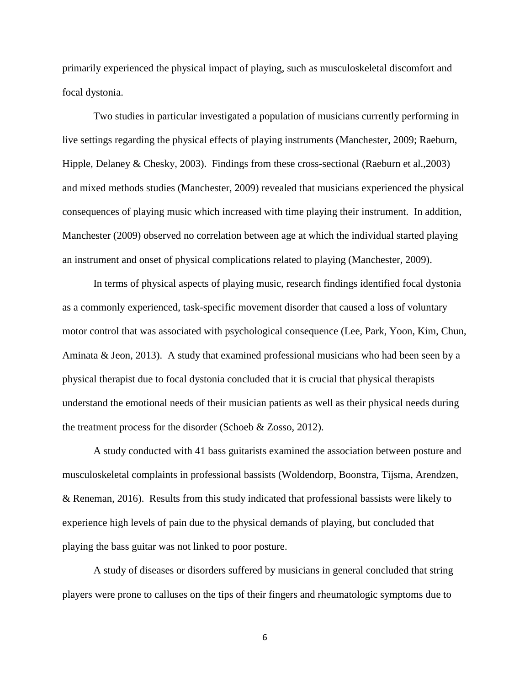primarily experienced the physical impact of playing, such as musculoskeletal discomfort and focal dystonia.

Two studies in particular investigated a population of musicians currently performing in live settings regarding the physical effects of playing instruments (Manchester, 2009; [Raeburn,](http://go.galegroup.com.jproxy.lib.ecu.edu/ps/advancedSearch.do?inputFieldName(0)=AU&prodId=HRCA&userGroupName=gree96177&method=doSearch&inputFieldValue(0)=%22Susan+D.+Raeburn%22&searchType=AdvancedSearchForm) [Hipple,](http://go.galegroup.com.jproxy.lib.ecu.edu/ps/advancedSearch.do?inputFieldName(0)=AU&prodId=HRCA&userGroupName=gree96177&method=doSearch&inputFieldValue(0)=%22John+Hipple%22&searchType=AdvancedSearchForm) [Delaney](http://go.galegroup.com.jproxy.lib.ecu.edu/ps/advancedSearch.do?inputFieldName(0)=AU&prodId=HRCA&userGroupName=gree96177&method=doSearch&inputFieldValue(0)=%22William+Delaney%22&searchType=AdvancedSearchForm) & [Chesky,](http://go.galegroup.com.jproxy.lib.ecu.edu/ps/advancedSearch.do?inputFieldName(0)=AU&prodId=HRCA&userGroupName=gree96177&method=doSearch&inputFieldValue(0)=%22Kris+Chesky%22&searchType=AdvancedSearchForm) 2003). Findings from these cross-sectional (Raeburn et al.,2003) and mixed methods studies (Manchester, 2009) revealed that musicians experienced the physical consequences of playing music which increased with time playing their instrument. In addition, Manchester (2009) observed no correlation between age at which the individual started playing an instrument and onset of physical complications related to playing (Manchester, 2009).

In terms of physical aspects of playing music, research findings identified focal dystonia as a commonly experienced, task-specific movement disorder that caused a loss of voluntary motor control that was associated with psychological consequence (Lee, Park, Yoon, Kim, Chun, Aminata & Jeon, 2013). A study that examined professional musicians who had been seen by a physical therapist due to focal dystonia concluded that it is crucial that physical therapists understand the emotional needs of their musician patients as well as their physical needs during the treatment process for the disorder (Schoeb & Zosso, 2012).

A study conducted with 41 bass guitarists examined the association between posture and musculoskeletal complaints in professional bassists (Woldendorp, Boonstra, Tijsma, Arendzen, & Reneman, 2016). Results from this study indicated that professional bassists were likely to experience high levels of pain due to the physical demands of playing, but concluded that playing the bass guitar was not linked to poor posture.

A study of diseases or disorders suffered by musicians in general concluded that string players were prone to calluses on the tips of their fingers and rheumatologic symptoms due to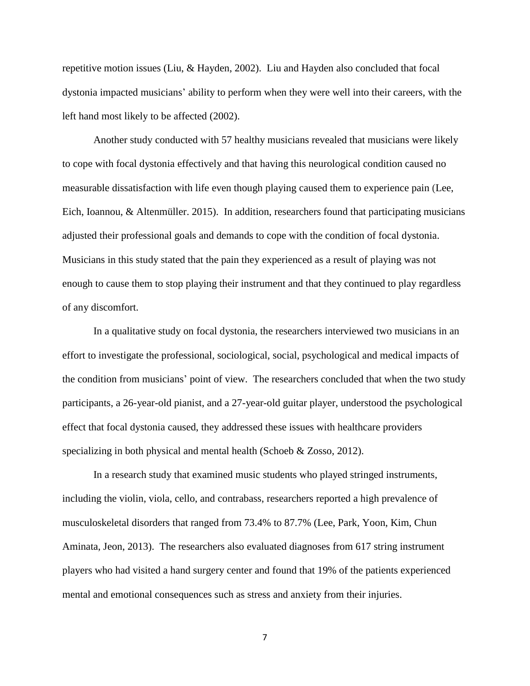repetitive motion issues (Liu, & Hayden, 2002). Liu and Hayden also concluded that focal dystonia impacted musicians' ability to perform when they were well into their careers, with the left hand most likely to be affected (2002).

Another study conducted with 57 healthy musicians revealed that musicians were likely to cope with focal dystonia effectively and that having this neurological condition caused no measurable dissatisfaction with life even though playing caused them to experience pain (Lee, Eich, Ioannou, & Altenmüller. 2015). In addition, researchers found that participating musicians adjusted their professional goals and demands to cope with the condition of focal dystonia. Musicians in this study stated that the pain they experienced as a result of playing was not enough to cause them to stop playing their instrument and that they continued to play regardless of any discomfort.

In a qualitative study on focal dystonia, the researchers interviewed two musicians in an effort to investigate the professional, sociological, social, psychological and medical impacts of the condition from musicians' point of view. The researchers concluded that when the two study participants, a 26-year-old pianist, and a 27-year-old guitar player, understood the psychological effect that focal dystonia caused, they addressed these issues with healthcare providers specializing in both physical and mental health (Schoeb & Zosso, 2012).

In a research study that examined music students who played stringed instruments, including the violin, viola, cello, and contrabass, researchers reported a high prevalence of musculoskeletal disorders that ranged from 73.4% to 87.7% (Lee, Park, Yoon, Kim, Chun Aminata, Jeon, 2013). The researchers also evaluated diagnoses from 617 string instrument players who had visited a hand surgery center and found that 19% of the patients experienced mental and emotional consequences such as stress and anxiety from their injuries.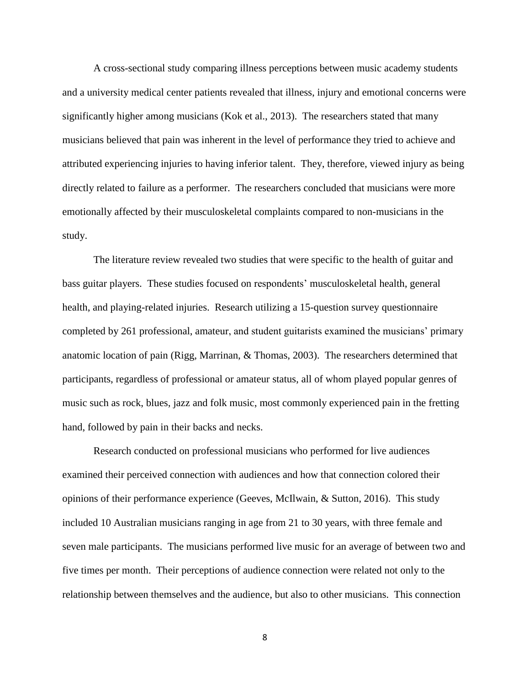A cross-sectional study comparing illness perceptions between music academy students and a university medical center patients revealed that illness, injury and emotional concerns were significantly higher among musicians (Kok et al., 2013). The researchers stated that many musicians believed that pain was inherent in the level of performance they tried to achieve and attributed experiencing injuries to having inferior talent. They, therefore, viewed injury as being directly related to failure as a performer. The researchers concluded that musicians were more emotionally affected by their musculoskeletal complaints compared to non-musicians in the study.

The literature review revealed two studies that were specific to the health of guitar and bass guitar players. These studies focused on respondents' musculoskeletal health, general health, and playing-related injuries. Research utilizing a 15-question survey questionnaire completed by 261 professional, amateur, and student guitarists examined the musicians' primary anatomic location of pain (Rigg, Marrinan, & Thomas, 2003). The researchers determined that participants, regardless of professional or amateur status, all of whom played popular genres of music such as rock, blues, jazz and folk music, most commonly experienced pain in the fretting hand, followed by pain in their backs and necks.

Research conducted on professional musicians who performed for live audiences examined their perceived connection with audiences and how that connection colored their opinions of their performance experience (Geeves, McIlwain, & Sutton, 2016). This study included 10 Australian musicians ranging in age from 21 to 30 years, with three female and seven male participants. The musicians performed live music for an average of between two and five times per month. Their perceptions of audience connection were related not only to the relationship between themselves and the audience, but also to other musicians. This connection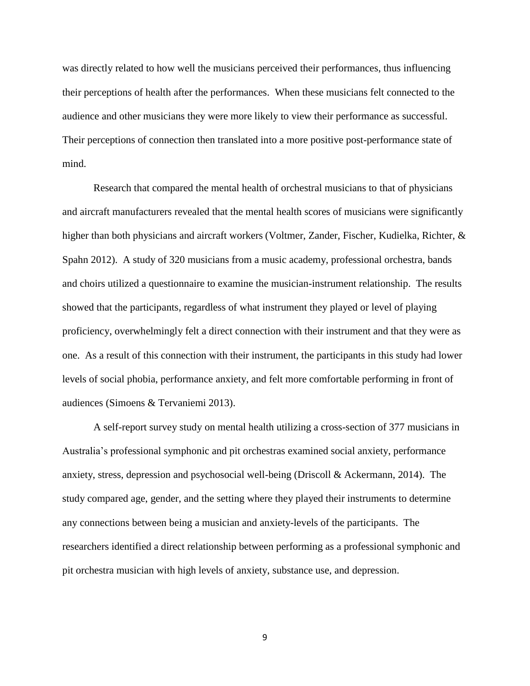was directly related to how well the musicians perceived their performances, thus influencing their perceptions of health after the performances. When these musicians felt connected to the audience and other musicians they were more likely to view their performance as successful. Their perceptions of connection then translated into a more positive post-performance state of mind.

Research that compared the mental health of orchestral musicians to that of physicians and aircraft manufacturers revealed that the mental health scores of musicians were significantly higher than both physicians and aircraft workers (Voltmer, Zander, Fischer, Kudielka, Richter, & Spahn 2012). A study of 320 musicians from a music academy, professional orchestra, bands and choirs utilized a questionnaire to examine the musician-instrument relationship. The results showed that the participants, regardless of what instrument they played or level of playing proficiency, overwhelmingly felt a direct connection with their instrument and that they were as one. As a result of this connection with their instrument, the participants in this study had lower levels of social phobia, performance anxiety, and felt more comfortable performing in front of audiences (Simoens & Tervaniemi 2013).

A self-report survey study on mental health utilizing a cross-section of 377 musicians in Australia's professional symphonic and pit orchestras examined social anxiety, performance anxiety, stress, depression and psychosocial well-being (Driscoll & Ackermann, 2014). The study compared age, gender, and the setting where they played their instruments to determine any connections between being a musician and anxiety-levels of the participants. The researchers identified a direct relationship between performing as a professional symphonic and pit orchestra musician with high levels of anxiety, substance use, and depression.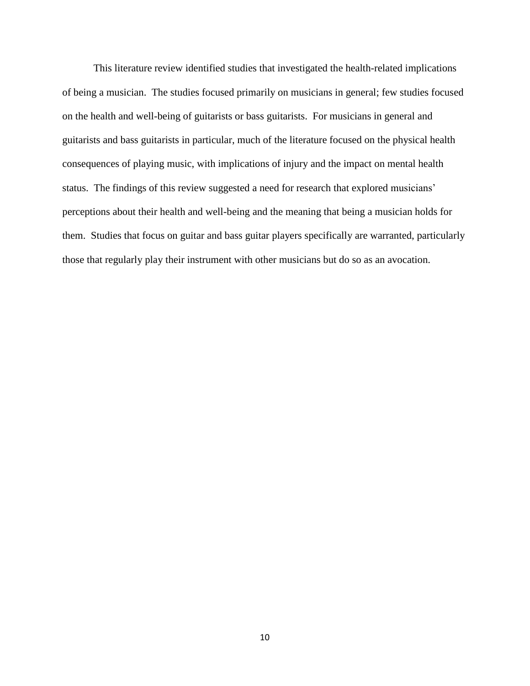This literature review identified studies that investigated the health-related implications of being a musician. The studies focused primarily on musicians in general; few studies focused on the health and well-being of guitarists or bass guitarists. For musicians in general and guitarists and bass guitarists in particular, much of the literature focused on the physical health consequences of playing music, with implications of injury and the impact on mental health status. The findings of this review suggested a need for research that explored musicians' perceptions about their health and well-being and the meaning that being a musician holds for them. Studies that focus on guitar and bass guitar players specifically are warranted, particularly those that regularly play their instrument with other musicians but do so as an avocation.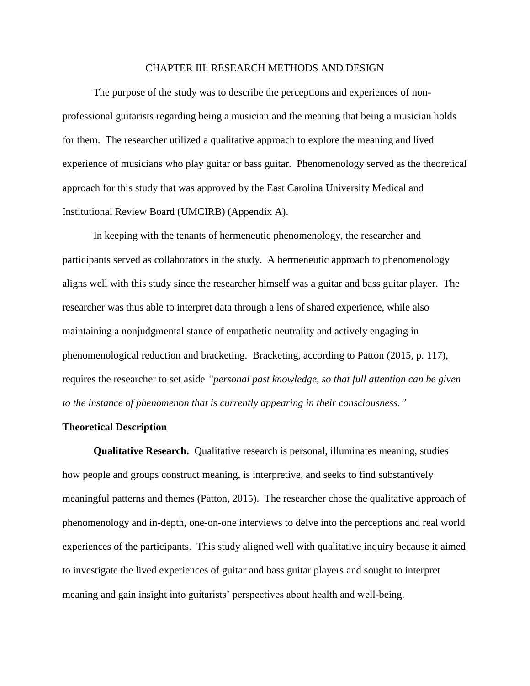#### CHAPTER III: RESEARCH METHODS AND DESIGN

The purpose of the study was to describe the perceptions and experiences of nonprofessional guitarists regarding being a musician and the meaning that being a musician holds for them. The researcher utilized a qualitative approach to explore the meaning and lived experience of musicians who play guitar or bass guitar. Phenomenology served as the theoretical approach for this study that was approved by the East Carolina University Medical and Institutional Review Board (UMCIRB) (Appendix A).

In keeping with the tenants of hermeneutic phenomenology, the researcher and participants served as collaborators in the study. A hermeneutic approach to phenomenology aligns well with this study since the researcher himself was a guitar and bass guitar player. The researcher was thus able to interpret data through a lens of shared experience, while also maintaining a nonjudgmental stance of empathetic neutrality and actively engaging in phenomenological reduction and bracketing. Bracketing, according to Patton (2015, p. 117), requires the researcher to set aside *"personal past knowledge, so that full attention can be given to the instance of phenomenon that is currently appearing in their consciousness."* 

## **Theoretical Description**

**Qualitative Research.** Qualitative research is personal, illuminates meaning, studies how people and groups construct meaning, is interpretive, and seeks to find substantively meaningful patterns and themes (Patton, 2015). The researcher chose the qualitative approach of phenomenology and in-depth, one-on-one interviews to delve into the perceptions and real world experiences of the participants. This study aligned well with qualitative inquiry because it aimed to investigate the lived experiences of guitar and bass guitar players and sought to interpret meaning and gain insight into guitarists' perspectives about health and well-being.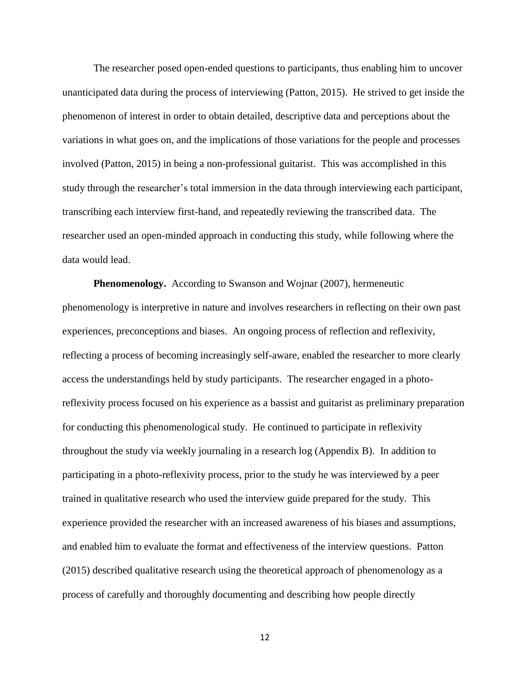The researcher posed open-ended questions to participants, thus enabling him to uncover unanticipated data during the process of interviewing (Patton, 2015). He strived to get inside the phenomenon of interest in order to obtain detailed, descriptive data and perceptions about the variations in what goes on, and the implications of those variations for the people and processes involved (Patton, 2015) in being a non-professional guitarist. This was accomplished in this study through the researcher's total immersion in the data through interviewing each participant, transcribing each interview first-hand, and repeatedly reviewing the transcribed data. The researcher used an open-minded approach in conducting this study, while following where the data would lead.

**Phenomenology.** According to Swanson and Wojnar (2007), hermeneutic phenomenology is interpretive in nature and involves researchers in reflecting on their own past experiences, preconceptions and biases. An ongoing process of reflection and reflexivity, reflecting a process of becoming increasingly self-aware, enabled the researcher to more clearly access the understandings held by study participants. The researcher engaged in a photoreflexivity process focused on his experience as a bassist and guitarist as preliminary preparation for conducting this phenomenological study. He continued to participate in reflexivity throughout the study via weekly journaling in a research log (Appendix B). In addition to participating in a photo-reflexivity process, prior to the study he was interviewed by a peer trained in qualitative research who used the interview guide prepared for the study. This experience provided the researcher with an increased awareness of his biases and assumptions, and enabled him to evaluate the format and effectiveness of the interview questions. Patton (2015) described qualitative research using the theoretical approach of phenomenology as a process of carefully and thoroughly documenting and describing how people directly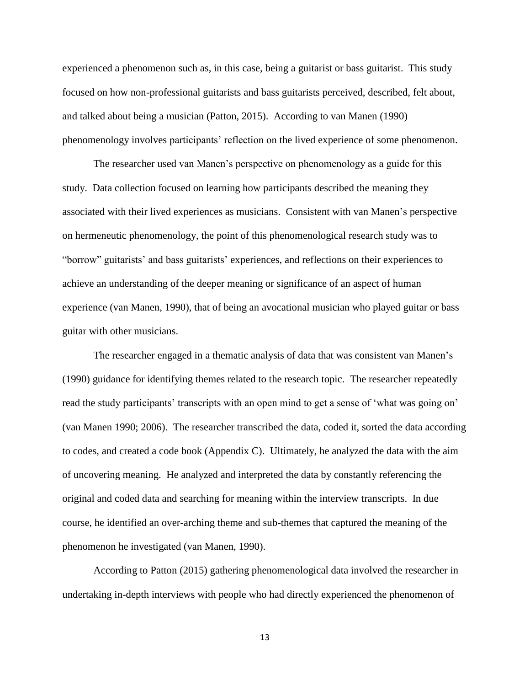experienced a phenomenon such as, in this case, being a guitarist or bass guitarist. This study focused on how non-professional guitarists and bass guitarists perceived, described, felt about, and talked about being a musician (Patton, 2015). According to van Manen (1990) phenomenology involves participants' reflection on the lived experience of some phenomenon.

The researcher used van Manen's perspective on phenomenology as a guide for this study. Data collection focused on learning how participants described the meaning they associated with their lived experiences as musicians. Consistent with van Manen's perspective on hermeneutic phenomenology, the point of this phenomenological research study was to "borrow" guitarists' and bass guitarists' experiences, and reflections on their experiences to achieve an understanding of the deeper meaning or significance of an aspect of human experience (van Manen, 1990), that of being an avocational musician who played guitar or bass guitar with other musicians.

The researcher engaged in a thematic analysis of data that was consistent van Manen's (1990) guidance for identifying themes related to the research topic. The researcher repeatedly read the study participants' transcripts with an open mind to get a sense of 'what was going on' (van Manen 1990; 2006). The researcher transcribed the data, coded it, sorted the data according to codes, and created a code book (Appendix C). Ultimately, he analyzed the data with the aim of uncovering meaning. He analyzed and interpreted the data by constantly referencing the original and coded data and searching for meaning within the interview transcripts. In due course, he identified an over-arching theme and sub-themes that captured the meaning of the phenomenon he investigated (van Manen, 1990).

According to Patton (2015) gathering phenomenological data involved the researcher in undertaking in-depth interviews with people who had directly experienced the phenomenon of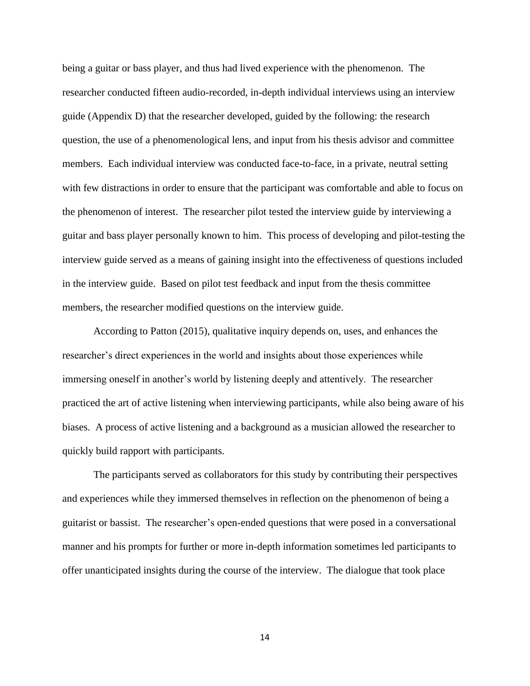being a guitar or bass player, and thus had lived experience with the phenomenon. The researcher conducted fifteen audio-recorded, in-depth individual interviews using an interview guide (Appendix D) that the researcher developed, guided by the following: the research question, the use of a phenomenological lens, and input from his thesis advisor and committee members. Each individual interview was conducted face-to-face, in a private, neutral setting with few distractions in order to ensure that the participant was comfortable and able to focus on the phenomenon of interest. The researcher pilot tested the interview guide by interviewing a guitar and bass player personally known to him. This process of developing and pilot-testing the interview guide served as a means of gaining insight into the effectiveness of questions included in the interview guide. Based on pilot test feedback and input from the thesis committee members, the researcher modified questions on the interview guide.

According to Patton (2015), qualitative inquiry depends on, uses, and enhances the researcher's direct experiences in the world and insights about those experiences while immersing oneself in another's world by listening deeply and attentively. The researcher practiced the art of active listening when interviewing participants, while also being aware of his biases. A process of active listening and a background as a musician allowed the researcher to quickly build rapport with participants.

The participants served as collaborators for this study by contributing their perspectives and experiences while they immersed themselves in reflection on the phenomenon of being a guitarist or bassist. The researcher's open-ended questions that were posed in a conversational manner and his prompts for further or more in-depth information sometimes led participants to offer unanticipated insights during the course of the interview. The dialogue that took place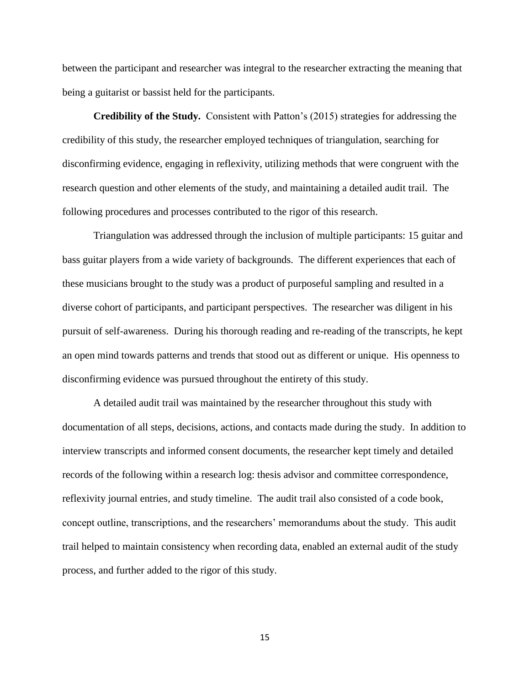between the participant and researcher was integral to the researcher extracting the meaning that being a guitarist or bassist held for the participants.

**Credibility of the Study.** Consistent with Patton's (2015) strategies for addressing the credibility of this study, the researcher employed techniques of triangulation, searching for disconfirming evidence, engaging in reflexivity, utilizing methods that were congruent with the research question and other elements of the study, and maintaining a detailed audit trail. The following procedures and processes contributed to the rigor of this research.

Triangulation was addressed through the inclusion of multiple participants: 15 guitar and bass guitar players from a wide variety of backgrounds. The different experiences that each of these musicians brought to the study was a product of purposeful sampling and resulted in a diverse cohort of participants, and participant perspectives. The researcher was diligent in his pursuit of self-awareness. During his thorough reading and re-reading of the transcripts, he kept an open mind towards patterns and trends that stood out as different or unique. His openness to disconfirming evidence was pursued throughout the entirety of this study.

A detailed audit trail was maintained by the researcher throughout this study with documentation of all steps, decisions, actions, and contacts made during the study. In addition to interview transcripts and informed consent documents, the researcher kept timely and detailed records of the following within a research log: thesis advisor and committee correspondence, reflexivity journal entries, and study timeline. The audit trail also consisted of a code book, concept outline, transcriptions, and the researchers' memorandums about the study. This audit trail helped to maintain consistency when recording data, enabled an external audit of the study process, and further added to the rigor of this study.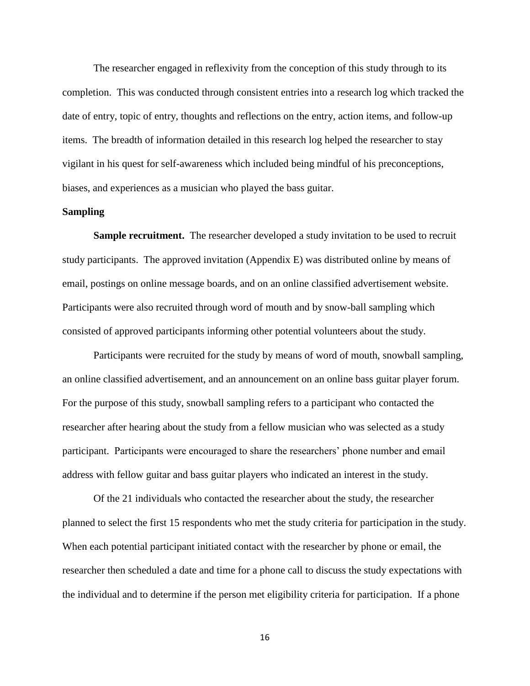The researcher engaged in reflexivity from the conception of this study through to its completion. This was conducted through consistent entries into a research log which tracked the date of entry, topic of entry, thoughts and reflections on the entry, action items, and follow-up items. The breadth of information detailed in this research log helped the researcher to stay vigilant in his quest for self-awareness which included being mindful of his preconceptions, biases, and experiences as a musician who played the bass guitar.

## **Sampling**

**Sample recruitment.** The researcher developed a study invitation to be used to recruit study participants. The approved invitation (Appendix E) was distributed online by means of email, postings on online message boards, and on an online classified advertisement website. Participants were also recruited through word of mouth and by snow-ball sampling which consisted of approved participants informing other potential volunteers about the study.

Participants were recruited for the study by means of word of mouth, snowball sampling, an online classified advertisement, and an announcement on an online bass guitar player forum. For the purpose of this study, snowball sampling refers to a participant who contacted the researcher after hearing about the study from a fellow musician who was selected as a study participant. Participants were encouraged to share the researchers' phone number and email address with fellow guitar and bass guitar players who indicated an interest in the study.

Of the 21 individuals who contacted the researcher about the study, the researcher planned to select the first 15 respondents who met the study criteria for participation in the study. When each potential participant initiated contact with the researcher by phone or email, the researcher then scheduled a date and time for a phone call to discuss the study expectations with the individual and to determine if the person met eligibility criteria for participation. If a phone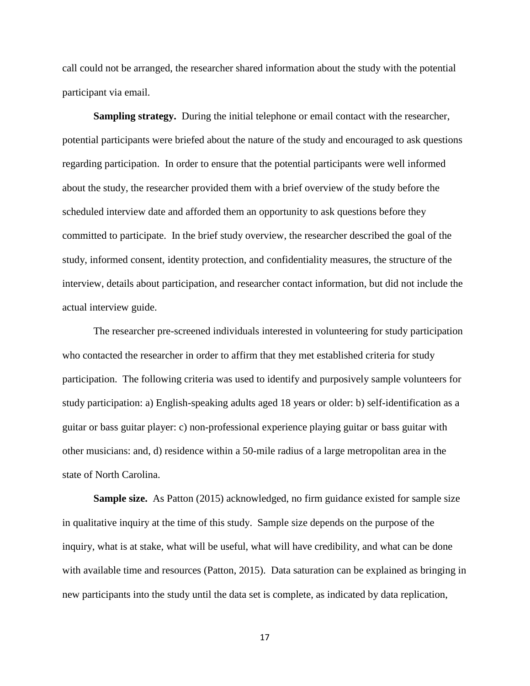call could not be arranged, the researcher shared information about the study with the potential participant via email.

**Sampling strategy.** During the initial telephone or email contact with the researcher, potential participants were briefed about the nature of the study and encouraged to ask questions regarding participation. In order to ensure that the potential participants were well informed about the study, the researcher provided them with a brief overview of the study before the scheduled interview date and afforded them an opportunity to ask questions before they committed to participate. In the brief study overview, the researcher described the goal of the study, informed consent, identity protection, and confidentiality measures, the structure of the interview, details about participation, and researcher contact information, but did not include the actual interview guide.

The researcher pre-screened individuals interested in volunteering for study participation who contacted the researcher in order to affirm that they met established criteria for study participation. The following criteria was used to identify and purposively sample volunteers for study participation: a) English-speaking adults aged 18 years or older: b) self-identification as a guitar or bass guitar player: c) non-professional experience playing guitar or bass guitar with other musicians: and, d) residence within a 50-mile radius of a large metropolitan area in the state of North Carolina.

**Sample size.** As Patton (2015) acknowledged, no firm guidance existed for sample size in qualitative inquiry at the time of this study. Sample size depends on the purpose of the inquiry, what is at stake, what will be useful, what will have credibility, and what can be done with available time and resources (Patton, 2015). Data saturation can be explained as bringing in new participants into the study until the data set is complete, as indicated by data replication,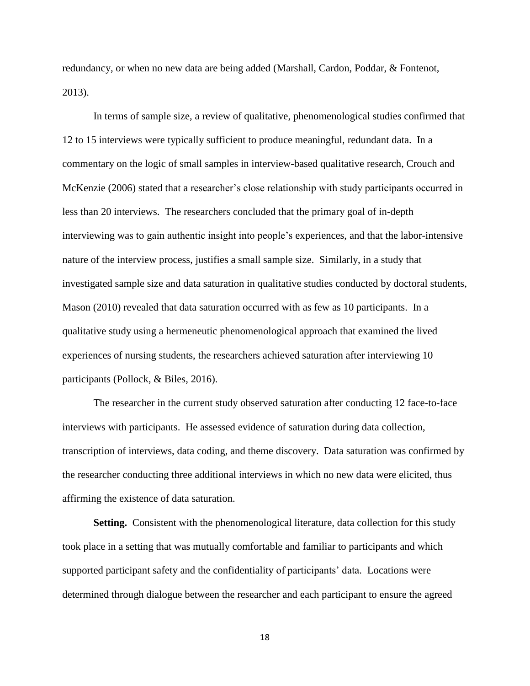redundancy, or when no new data are being added (Marshall, Cardon, Poddar, & Fontenot, 2013).

In terms of sample size, a review of qualitative, phenomenological studies confirmed that 12 to 15 interviews were typically sufficient to produce meaningful, redundant data. In a commentary on the logic of small samples in interview-based qualitative research, Crouch and McKenzie (2006) stated that a researcher's close relationship with study participants occurred in less than 20 interviews. The researchers concluded that the primary goal of in-depth interviewing was to gain authentic insight into people's experiences, and that the labor-intensive nature of the interview process, justifies a small sample size. Similarly, in a study that investigated sample size and data saturation in qualitative studies conducted by doctoral students, Mason (2010) revealed that data saturation occurred with as few as 10 participants. In a qualitative study using a hermeneutic phenomenological approach that examined the lived experiences of nursing students, the researchers achieved saturation after interviewing 10 participants (Pollock, & Biles, 2016).

The researcher in the current study observed saturation after conducting 12 face-to-face interviews with participants. He assessed evidence of saturation during data collection, transcription of interviews, data coding, and theme discovery. Data saturation was confirmed by the researcher conducting three additional interviews in which no new data were elicited, thus affirming the existence of data saturation.

**Setting.** Consistent with the phenomenological literature, data collection for this study took place in a setting that was mutually comfortable and familiar to participants and which supported participant safety and the confidentiality of participants' data. Locations were determined through dialogue between the researcher and each participant to ensure the agreed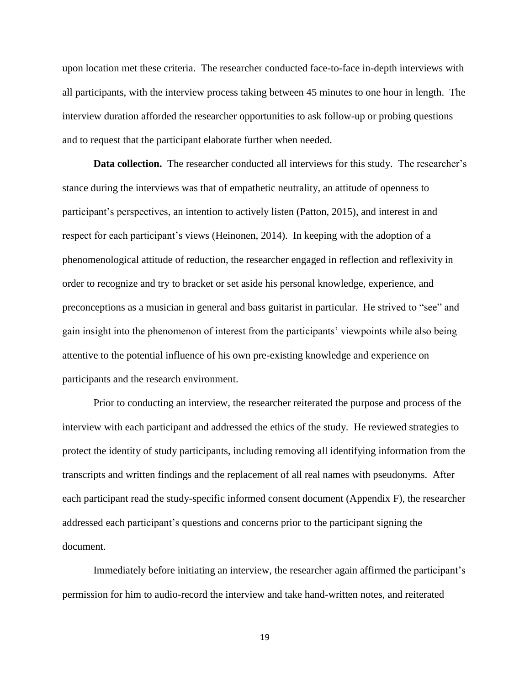upon location met these criteria. The researcher conducted face-to-face in-depth interviews with all participants, with the interview process taking between 45 minutes to one hour in length. The interview duration afforded the researcher opportunities to ask follow-up or probing questions and to request that the participant elaborate further when needed.

**Data collection.** The researcher conducted all interviews for this study. The researcher's stance during the interviews was that of empathetic neutrality, an attitude of openness to participant's perspectives, an intention to actively listen (Patton, 2015), and interest in and respect for each participant's views (Heinonen, 2014). In keeping with the adoption of a phenomenological attitude of reduction, the researcher engaged in reflection and reflexivity in order to recognize and try to bracket or set aside his personal knowledge, experience, and preconceptions as a musician in general and bass guitarist in particular. He strived to "see" and gain insight into the phenomenon of interest from the participants' viewpoints while also being attentive to the potential influence of his own pre-existing knowledge and experience on participants and the research environment.

Prior to conducting an interview, the researcher reiterated the purpose and process of the interview with each participant and addressed the ethics of the study. He reviewed strategies to protect the identity of study participants, including removing all identifying information from the transcripts and written findings and the replacement of all real names with pseudonyms. After each participant read the study-specific informed consent document (Appendix F), the researcher addressed each participant's questions and concerns prior to the participant signing the document.

Immediately before initiating an interview, the researcher again affirmed the participant's permission for him to audio-record the interview and take hand-written notes, and reiterated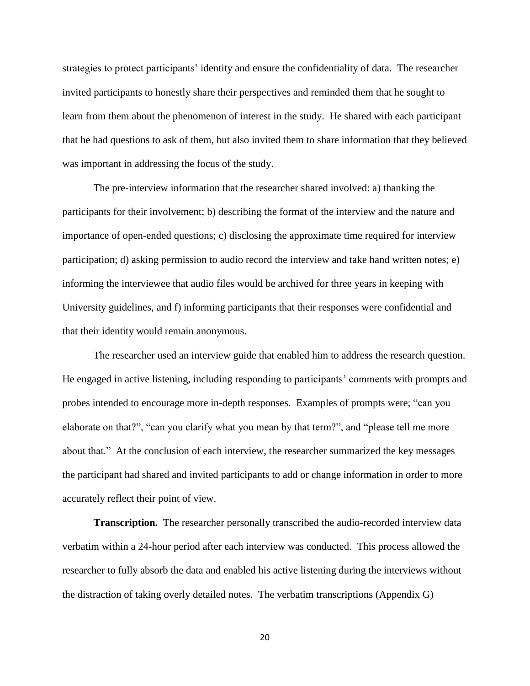strategies to protect participants' identity and ensure the confidentiality of data. The researcher invited participants to honestly share their perspectives and reminded them that he sought to learn from them about the phenomenon of interest in the study. He shared with each participant that he had questions to ask of them, but also invited them to share information that they believed was important in addressing the focus of the study.

The pre-interview information that the researcher shared involved: a) thanking the participants for their involvement; b) describing the format of the interview and the nature and importance of open-ended questions; c) disclosing the approximate time required for interview participation; d) asking permission to audio record the interview and take hand written notes; e) informing the interviewee that audio files would be archived for three years in keeping with University guidelines, and f) informing participants that their responses were confidential and that their identity would remain anonymous.

The researcher used an interview guide that enabled him to address the research question. He engaged in active listening, including responding to participants' comments with prompts and probes intended to encourage more in-depth responses. Examples of prompts were; "can you elaborate on that?", "can you clarify what you mean by that term?", and "please tell me more about that." At the conclusion of each interview, the researcher summarized the key messages the participant had shared and invited participants to add or change information in order to more accurately reflect their point of view.

**Transcription.** The researcher personally transcribed the audio-recorded interview data verbatim within a 24-hour period after each interview was conducted. This process allowed the researcher to fully absorb the data and enabled his active listening during the interviews without the distraction of taking overly detailed notes. The verbatim transcriptions (Appendix G)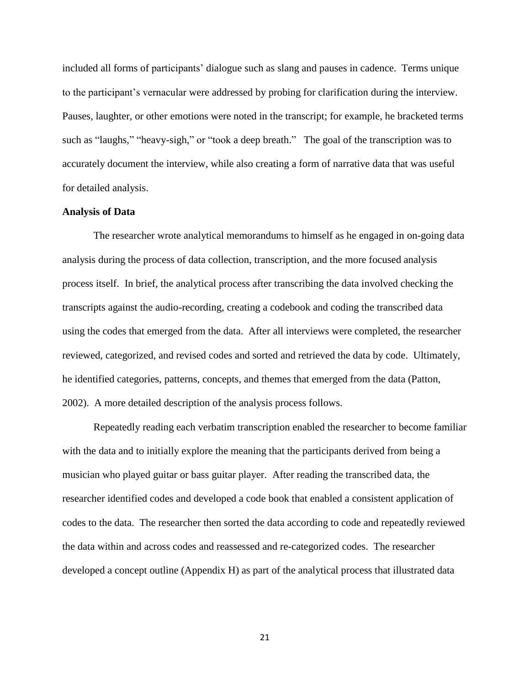included all forms of participants' dialogue such as slang and pauses in cadence. Terms unique to the participant's vernacular were addressed by probing for clarification during the interview. Pauses, laughter, or other emotions were noted in the transcript; for example, he bracketed terms such as "laughs," "heavy-sigh," or "took a deep breath." The goal of the transcription was to accurately document the interview, while also creating a form of narrative data that was useful for detailed analysis.

## **Analysis of Data**

The researcher wrote analytical memorandums to himself as he engaged in on-going data analysis during the process of data collection, transcription, and the more focused analysis process itself. In brief, the analytical process after transcribing the data involved checking the transcripts against the audio-recording, creating a codebook and coding the transcribed data using the codes that emerged from the data. After all interviews were completed, the researcher reviewed, categorized, and revised codes and sorted and retrieved the data by code. Ultimately, he identified categories, patterns, concepts, and themes that emerged from the data (Patton, 2002). A more detailed description of the analysis process follows.

Repeatedly reading each verbatim transcription enabled the researcher to become familiar with the data and to initially explore the meaning that the participants derived from being a musician who played guitar or bass guitar player. After reading the transcribed data, the researcher identified codes and developed a code book that enabled a consistent application of codes to the data. The researcher then sorted the data according to code and repeatedly reviewed the data within and across codes and reassessed and re-categorized codes. The researcher developed a concept outline (Appendix H) as part of the analytical process that illustrated data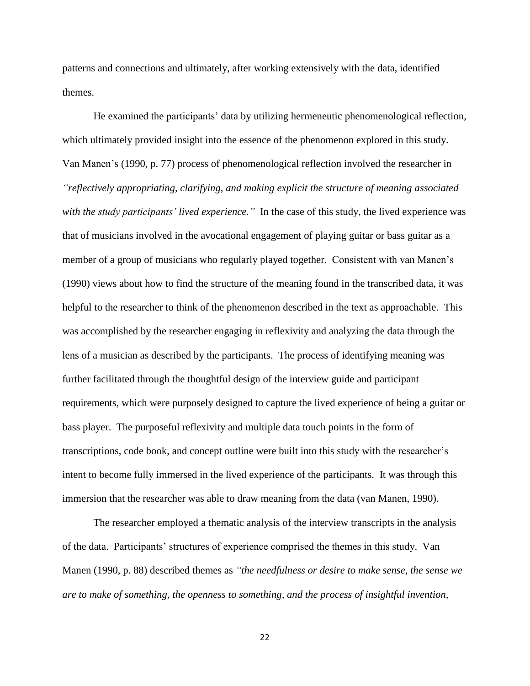patterns and connections and ultimately, after working extensively with the data, identified themes.

He examined the participants' data by utilizing hermeneutic phenomenological reflection, which ultimately provided insight into the essence of the phenomenon explored in this study. Van Manen's (1990, p. 77) process of phenomenological reflection involved the researcher in *"reflectively appropriating, clarifying, and making explicit the structure of meaning associated with the study participants' lived experience."* In the case of this study, the lived experience was that of musicians involved in the avocational engagement of playing guitar or bass guitar as a member of a group of musicians who regularly played together. Consistent with van Manen's (1990) views about how to find the structure of the meaning found in the transcribed data, it was helpful to the researcher to think of the phenomenon described in the text as approachable. This was accomplished by the researcher engaging in reflexivity and analyzing the data through the lens of a musician as described by the participants. The process of identifying meaning was further facilitated through the thoughtful design of the interview guide and participant requirements, which were purposely designed to capture the lived experience of being a guitar or bass player. The purposeful reflexivity and multiple data touch points in the form of transcriptions, code book, and concept outline were built into this study with the researcher's intent to become fully immersed in the lived experience of the participants. It was through this immersion that the researcher was able to draw meaning from the data (van Manen, 1990).

The researcher employed a thematic analysis of the interview transcripts in the analysis of the data. Participants' structures of experience comprised the themes in this study. Van Manen (1990, p. 88) described themes as *"the needfulness or desire to make sense, the sense we are to make of something, the openness to something, and the process of insightful invention,*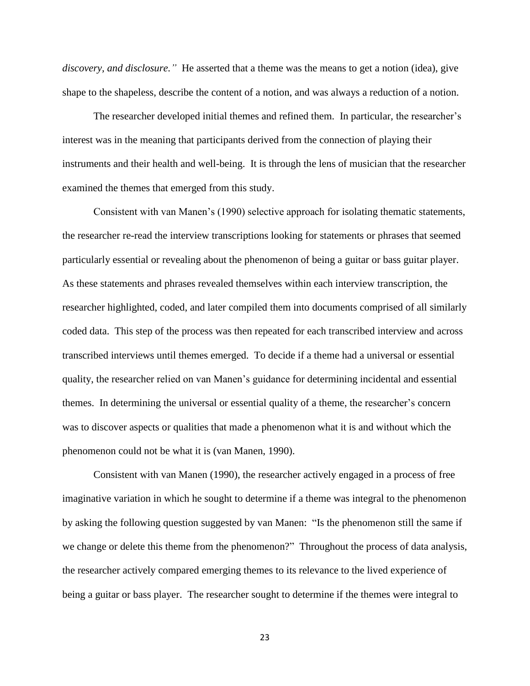*discovery, and disclosure."* He asserted that a theme was the means to get a notion (idea), give shape to the shapeless, describe the content of a notion, and was always a reduction of a notion.

The researcher developed initial themes and refined them. In particular, the researcher's interest was in the meaning that participants derived from the connection of playing their instruments and their health and well-being. It is through the lens of musician that the researcher examined the themes that emerged from this study.

Consistent with van Manen's (1990) selective approach for isolating thematic statements, the researcher re-read the interview transcriptions looking for statements or phrases that seemed particularly essential or revealing about the phenomenon of being a guitar or bass guitar player. As these statements and phrases revealed themselves within each interview transcription, the researcher highlighted, coded, and later compiled them into documents comprised of all similarly coded data. This step of the process was then repeated for each transcribed interview and across transcribed interviews until themes emerged. To decide if a theme had a universal or essential quality, the researcher relied on van Manen's guidance for determining incidental and essential themes. In determining the universal or essential quality of a theme, the researcher's concern was to discover aspects or qualities that made a phenomenon what it is and without which the phenomenon could not be what it is (van Manen, 1990).

Consistent with van Manen (1990), the researcher actively engaged in a process of free imaginative variation in which he sought to determine if a theme was integral to the phenomenon by asking the following question suggested by van Manen: "Is the phenomenon still the same if we change or delete this theme from the phenomenon?" Throughout the process of data analysis, the researcher actively compared emerging themes to its relevance to the lived experience of being a guitar or bass player. The researcher sought to determine if the themes were integral to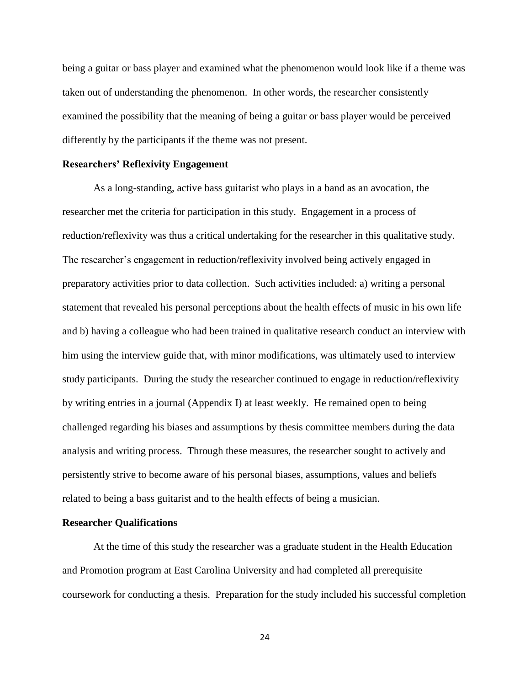being a guitar or bass player and examined what the phenomenon would look like if a theme was taken out of understanding the phenomenon. In other words, the researcher consistently examined the possibility that the meaning of being a guitar or bass player would be perceived differently by the participants if the theme was not present.

## **Researchers' Reflexivity Engagement**

As a long-standing, active bass guitarist who plays in a band as an avocation, the researcher met the criteria for participation in this study. Engagement in a process of reduction/reflexivity was thus a critical undertaking for the researcher in this qualitative study. The researcher's engagement in reduction/reflexivity involved being actively engaged in preparatory activities prior to data collection. Such activities included: a) writing a personal statement that revealed his personal perceptions about the health effects of music in his own life and b) having a colleague who had been trained in qualitative research conduct an interview with him using the interview guide that, with minor modifications, was ultimately used to interview study participants. During the study the researcher continued to engage in reduction/reflexivity by writing entries in a journal (Appendix I) at least weekly. He remained open to being challenged regarding his biases and assumptions by thesis committee members during the data analysis and writing process. Through these measures, the researcher sought to actively and persistently strive to become aware of his personal biases, assumptions, values and beliefs related to being a bass guitarist and to the health effects of being a musician.

#### **Researcher Qualifications**

At the time of this study the researcher was a graduate student in the Health Education and Promotion program at East Carolina University and had completed all prerequisite coursework for conducting a thesis. Preparation for the study included his successful completion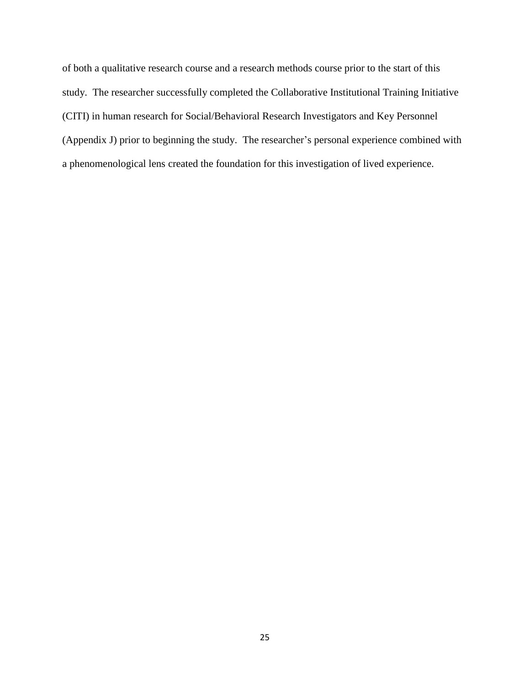of both a qualitative research course and a research methods course prior to the start of this study. The researcher successfully completed the Collaborative Institutional Training Initiative (CITI) in human research for Social/Behavioral Research Investigators and Key Personnel (Appendix J) prior to beginning the study. The researcher's personal experience combined with a phenomenological lens created the foundation for this investigation of lived experience.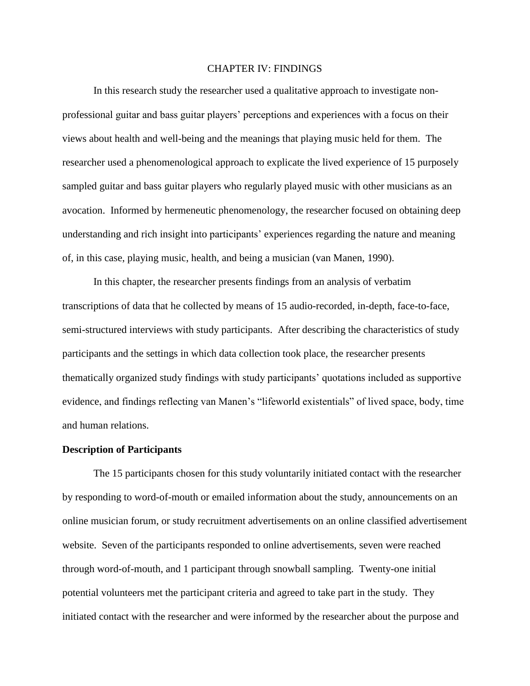# CHAPTER IV: FINDINGS

In this research study the researcher used a qualitative approach to investigate nonprofessional guitar and bass guitar players' perceptions and experiences with a focus on their views about health and well-being and the meanings that playing music held for them. The researcher used a phenomenological approach to explicate the lived experience of 15 purposely sampled guitar and bass guitar players who regularly played music with other musicians as an avocation. Informed by hermeneutic phenomenology, the researcher focused on obtaining deep understanding and rich insight into participants' experiences regarding the nature and meaning of, in this case, playing music, health, and being a musician (van Manen, 1990).

In this chapter, the researcher presents findings from an analysis of verbatim transcriptions of data that he collected by means of 15 audio-recorded, in-depth, face-to-face, semi-structured interviews with study participants. After describing the characteristics of study participants and the settings in which data collection took place, the researcher presents thematically organized study findings with study participants' quotations included as supportive evidence, and findings reflecting van Manen's "lifeworld existentials" of lived space, body, time and human relations.

#### **Description of Participants**

The 15 participants chosen for this study voluntarily initiated contact with the researcher by responding to word-of-mouth or emailed information about the study, announcements on an online musician forum, or study recruitment advertisements on an online classified advertisement website. Seven of the participants responded to online advertisements, seven were reached through word-of-mouth, and 1 participant through snowball sampling. Twenty-one initial potential volunteers met the participant criteria and agreed to take part in the study. They initiated contact with the researcher and were informed by the researcher about the purpose and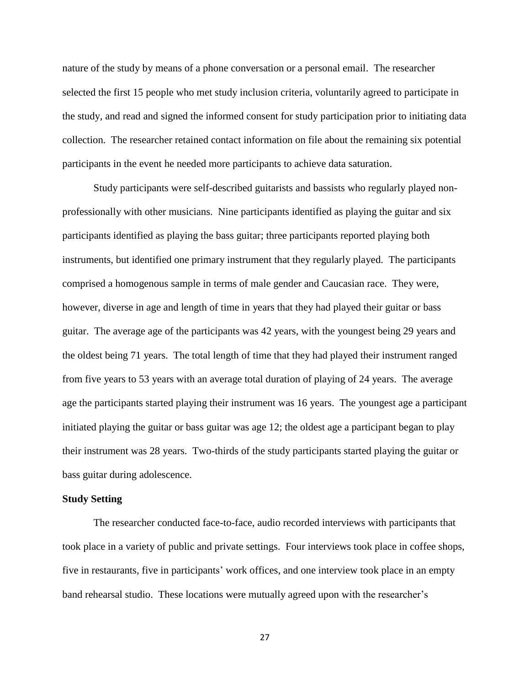nature of the study by means of a phone conversation or a personal email. The researcher selected the first 15 people who met study inclusion criteria, voluntarily agreed to participate in the study, and read and signed the informed consent for study participation prior to initiating data collection. The researcher retained contact information on file about the remaining six potential participants in the event he needed more participants to achieve data saturation.

Study participants were self-described guitarists and bassists who regularly played nonprofessionally with other musicians. Nine participants identified as playing the guitar and six participants identified as playing the bass guitar; three participants reported playing both instruments, but identified one primary instrument that they regularly played. The participants comprised a homogenous sample in terms of male gender and Caucasian race. They were, however, diverse in age and length of time in years that they had played their guitar or bass guitar. The average age of the participants was 42 years, with the youngest being 29 years and the oldest being 71 years. The total length of time that they had played their instrument ranged from five years to 53 years with an average total duration of playing of 24 years. The average age the participants started playing their instrument was 16 years. The youngest age a participant initiated playing the guitar or bass guitar was age 12; the oldest age a participant began to play their instrument was 28 years. Two-thirds of the study participants started playing the guitar or bass guitar during adolescence.

### **Study Setting**

The researcher conducted face-to-face, audio recorded interviews with participants that took place in a variety of public and private settings. Four interviews took place in coffee shops, five in restaurants, five in participants' work offices, and one interview took place in an empty band rehearsal studio. These locations were mutually agreed upon with the researcher's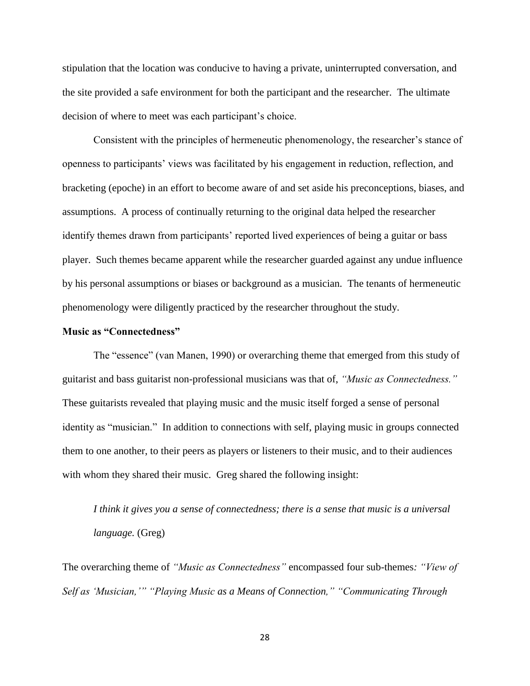stipulation that the location was conducive to having a private, uninterrupted conversation, and the site provided a safe environment for both the participant and the researcher. The ultimate decision of where to meet was each participant's choice.

Consistent with the principles of hermeneutic phenomenology, the researcher's stance of openness to participants' views was facilitated by his engagement in reduction, reflection, and bracketing (epoche) in an effort to become aware of and set aside his preconceptions, biases, and assumptions. A process of continually returning to the original data helped the researcher identify themes drawn from participants' reported lived experiences of being a guitar or bass player. Such themes became apparent while the researcher guarded against any undue influence by his personal assumptions or biases or background as a musician. The tenants of hermeneutic phenomenology were diligently practiced by the researcher throughout the study.

## **Music as "Connectedness"**

The "essence" (van Manen, 1990) or overarching theme that emerged from this study of guitarist and bass guitarist non-professional musicians was that of, *"Music as Connectedness."* These guitarists revealed that playing music and the music itself forged a sense of personal identity as "musician." In addition to connections with self, playing music in groups connected them to one another, to their peers as players or listeners to their music, and to their audiences with whom they shared their music. Greg shared the following insight:

*I think it gives you a sense of connectedness; there is a sense that music is a universal language.* (Greg)

The overarching theme of *"Music as Connectedness"* encompassed four sub-themes*: "View of Self as 'Musician,'" "Playing Music as a Means of Connection," "Communicating Through*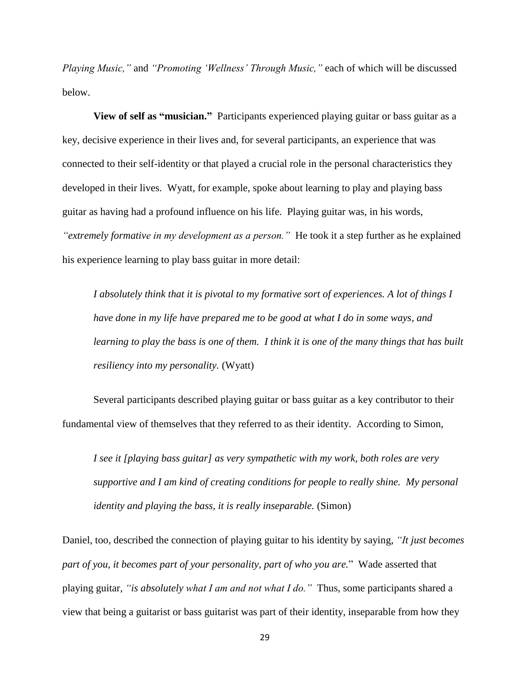*Playing Music,"* and *"Promoting 'Wellness' Through Music,"* each of which will be discussed below.

**View of self as "musician."**Participants experienced playing guitar or bass guitar as a key, decisive experience in their lives and, for several participants, an experience that was connected to their self-identity or that played a crucial role in the personal characteristics they developed in their lives. Wyatt, for example, spoke about learning to play and playing bass guitar as having had a profound influence on his life. Playing guitar was, in his words, *"extremely formative in my development as a person."* He took it a step further as he explained his experience learning to play bass guitar in more detail:

*I absolutely think that it is pivotal to my formative sort of experiences. A lot of things I have done in my life have prepared me to be good at what I do in some ways, and learning to play the bass is one of them. I think it is one of the many things that has built resiliency into my personality.* (Wyatt)

Several participants described playing guitar or bass guitar as a key contributor to their fundamental view of themselves that they referred to as their identity. According to Simon,

*I see it [playing bass guitar] as very sympathetic with my work, both roles are very supportive and I am kind of creating conditions for people to really shine. My personal identity and playing the bass, it is really inseparable.* (Simon)

Daniel, too, described the connection of playing guitar to his identity by saying, *"It just becomes part of you, it becomes part of your personality, part of who you are.*" Wade asserted that playing guitar, *"is absolutely what I am and not what I do."* Thus, some participants shared a view that being a guitarist or bass guitarist was part of their identity, inseparable from how they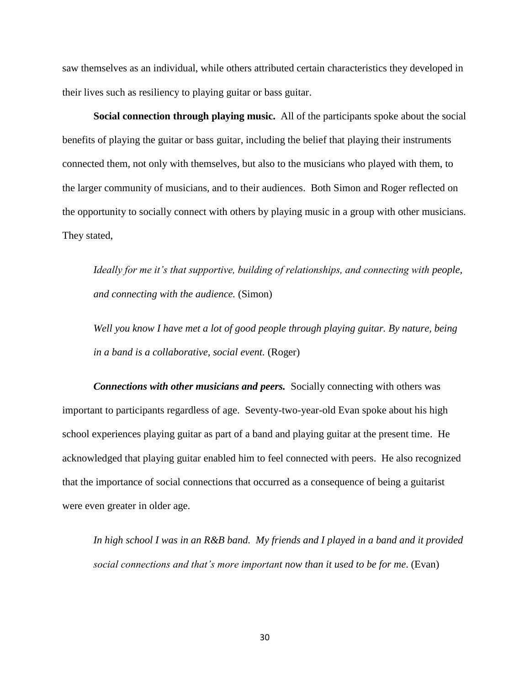saw themselves as an individual, while others attributed certain characteristics they developed in their lives such as resiliency to playing guitar or bass guitar.

**Social connection through playing music.**All of the participants spoke about the social benefits of playing the guitar or bass guitar, including the belief that playing their instruments connected them, not only with themselves, but also to the musicians who played with them, to the larger community of musicians, and to their audiences. Both Simon and Roger reflected on the opportunity to socially connect with others by playing music in a group with other musicians. They stated,

*Ideally for me it's that supportive, building of relationships, and connecting with people, and connecting with the audience.* (Simon)

*Well you know I have met a lot of good people through playing guitar. By nature, being in a band is a collaborative, social event.* (Roger)

*Connections with other musicians and peers.* Socially connecting with others was important to participants regardless of age. Seventy-two-year-old Evan spoke about his high school experiences playing guitar as part of a band and playing guitar at the present time. He acknowledged that playing guitar enabled him to feel connected with peers. He also recognized that the importance of social connections that occurred as a consequence of being a guitarist were even greater in older age.

*In high school I was in an R&B band. My friends and I played in a band and it provided social connections and that's more important now than it used to be for me*. (Evan)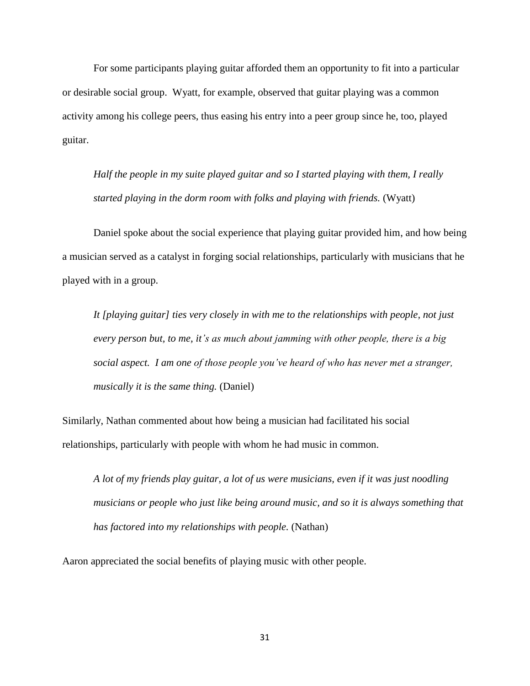For some participants playing guitar afforded them an opportunity to fit into a particular or desirable social group. Wyatt, for example, observed that guitar playing was a common activity among his college peers, thus easing his entry into a peer group since he, too, played guitar.

*Half the people in my suite played guitar and so I started playing with them, I really started playing in the dorm room with folks and playing with friends.* (Wyatt)

Daniel spoke about the social experience that playing guitar provided him, and how being a musician served as a catalyst in forging social relationships, particularly with musicians that he played with in a group.

*It [playing guitar] ties very closely in with me to the relationships with people, not just every person but, to me, it's as much about jamming with other people, there is a big social aspect. I am one of those people you've heard of who has never met a stranger, musically it is the same thing.* (Daniel)

Similarly, Nathan commented about how being a musician had facilitated his social relationships, particularly with people with whom he had music in common.

*A lot of my friends play guitar, a lot of us were musicians, even if it was just noodling musicians or people who just like being around music, and so it is always something that has factored into my relationships with people.* (Nathan)

Aaron appreciated the social benefits of playing music with other people.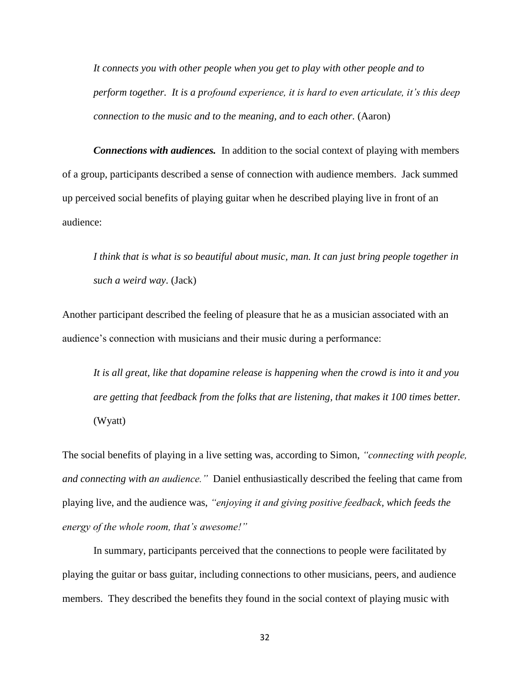*It connects you with other people when you get to play with other people and to perform together. It is a profound experience, it is hard to even articulate, it's this deep connection to the music and to the meaning, and to each other.* (Aaron)

*Connections with audiences.* In addition to the social context of playing with members of a group, participants described a sense of connection with audience members. Jack summed up perceived social benefits of playing guitar when he described playing live in front of an audience:

*I think that is what is so beautiful about music, man. It can just bring people together in such a weird way*. (Jack)

Another participant described the feeling of pleasure that he as a musician associated with an audience's connection with musicians and their music during a performance:

*It is all great, like that dopamine release is happening when the crowd is into it and you are getting that feedback from the folks that are listening, that makes it 100 times better.* (Wyatt)

The social benefits of playing in a live setting was, according to Simon, *"connecting with people, and connecting with an audience."* Daniel enthusiastically described the feeling that came from playing live, and the audience was, *"enjoying it and giving positive feedback, which feeds the energy of the whole room, that's awesome!"*

In summary, participants perceived that the connections to people were facilitated by playing the guitar or bass guitar, including connections to other musicians, peers, and audience members. They described the benefits they found in the social context of playing music with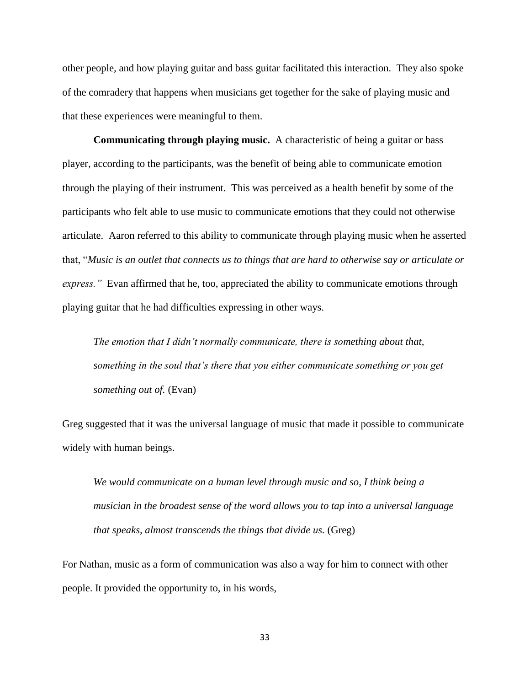other people, and how playing guitar and bass guitar facilitated this interaction. They also spoke of the comradery that happens when musicians get together for the sake of playing music and that these experiences were meaningful to them.

**Communicating through playing music.**A characteristic of being a guitar or bass player, according to the participants, was the benefit of being able to communicate emotion through the playing of their instrument. This was perceived as a health benefit by some of the participants who felt able to use music to communicate emotions that they could not otherwise articulate. Aaron referred to this ability to communicate through playing music when he asserted that, "*Music is an outlet that connects us to things that are hard to otherwise say or articulate or express."* Evan affirmed that he, too, appreciated the ability to communicate emotions through playing guitar that he had difficulties expressing in other ways.

*The emotion that I didn't normally communicate, there is something about that, something in the soul that's there that you either communicate something or you get something out of.* (Evan)

Greg suggested that it was the universal language of music that made it possible to communicate widely with human beings.

*We would communicate on a human level through music and so, I think being a musician in the broadest sense of the word allows you to tap into a universal language that speaks, almost transcends the things that divide us.* (Greg)

For Nathan, music as a form of communication was also a way for him to connect with other people. It provided the opportunity to, in his words,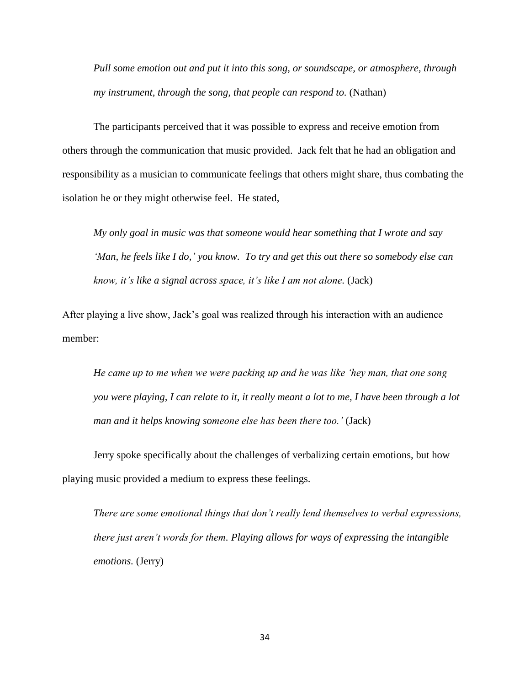*Pull some emotion out and put it into this song, or soundscape, or atmosphere, through my instrument, through the song, that people can respond to.* (Nathan)

The participants perceived that it was possible to express and receive emotion from others through the communication that music provided. Jack felt that he had an obligation and responsibility as a musician to communicate feelings that others might share, thus combating the isolation he or they might otherwise feel. He stated,

*My only goal in music was that someone would hear something that I wrote and say 'Man, he feels like I do,' you know. To try and get this out there so somebody else can know, it's like a signal across space, it's like I am not alone.* (Jack)

After playing a live show, Jack's goal was realized through his interaction with an audience member:

*He came up to me when we were packing up and he was like 'hey man, that one song you were playing, I can relate to it, it really meant a lot to me, I have been through a lot man and it helps knowing someone else has been there too.'* (Jack)

Jerry spoke specifically about the challenges of verbalizing certain emotions, but how playing music provided a medium to express these feelings.

*There are some emotional things that don't really lend themselves to verbal expressions, there just aren't words for them. Playing allows for ways of expressing the intangible emotions.* (Jerry)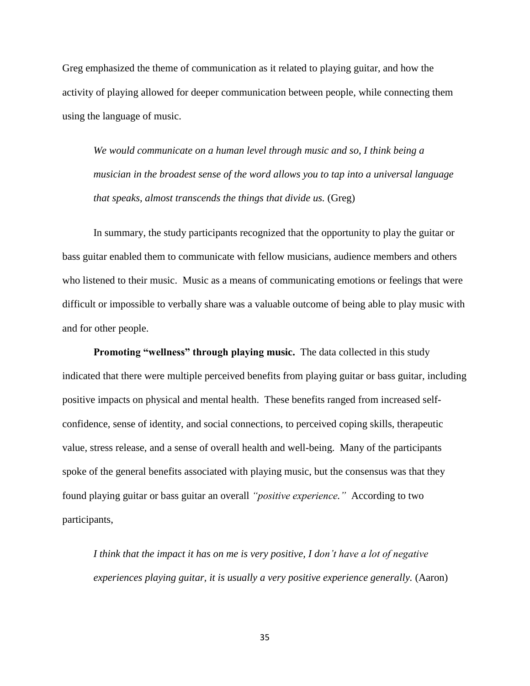Greg emphasized the theme of communication as it related to playing guitar, and how the activity of playing allowed for deeper communication between people, while connecting them using the language of music.

*We would communicate on a human level through music and so, I think being a musician in the broadest sense of the word allows you to tap into a universal language that speaks, almost transcends the things that divide us.* (Greg)

In summary, the study participants recognized that the opportunity to play the guitar or bass guitar enabled them to communicate with fellow musicians, audience members and others who listened to their music. Music as a means of communicating emotions or feelings that were difficult or impossible to verbally share was a valuable outcome of being able to play music with and for other people.

**Promoting "wellness" through playing music.** The data collected in this study indicated that there were multiple perceived benefits from playing guitar or bass guitar, including positive impacts on physical and mental health. These benefits ranged from increased selfconfidence, sense of identity, and social connections, to perceived coping skills, therapeutic value, stress release, and a sense of overall health and well-being. Many of the participants spoke of the general benefits associated with playing music, but the consensus was that they found playing guitar or bass guitar an overall *"positive experience."* According to two participants,

*I think that the impact it has on me is very positive, I don't have a lot of negative experiences playing guitar, it is usually a very positive experience generally.* (Aaron)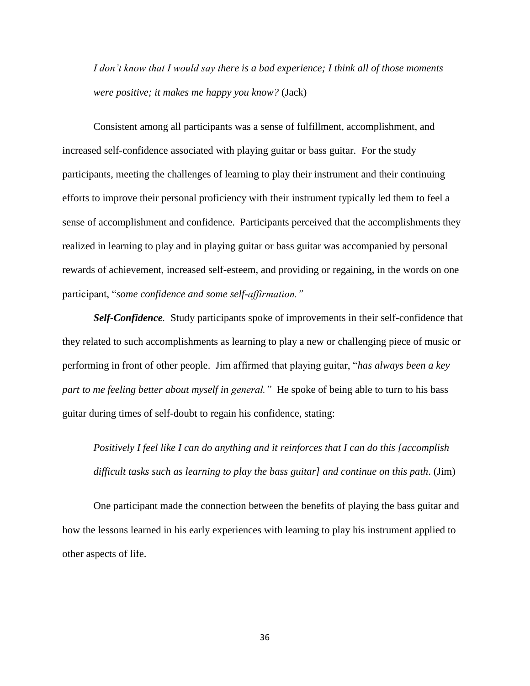*I don't know that I would say there is a bad experience; I think all of those moments were positive; it makes me happy you know?* (Jack)

Consistent among all participants was a sense of fulfillment, accomplishment, and increased self-confidence associated with playing guitar or bass guitar. For the study participants, meeting the challenges of learning to play their instrument and their continuing efforts to improve their personal proficiency with their instrument typically led them to feel a sense of accomplishment and confidence. Participants perceived that the accomplishments they realized in learning to play and in playing guitar or bass guitar was accompanied by personal rewards of achievement, increased self-esteem, and providing or regaining, in the words on one participant, "*some confidence and some self-affirmation."*

*Self-Confidence.* Study participants spoke of improvements in their self-confidence that they related to such accomplishments as learning to play a new or challenging piece of music or performing in front of other people. Jim affirmed that playing guitar, "*has always been a key part to me feeling better about myself in general."* He spoke of being able to turn to his bass guitar during times of self-doubt to regain his confidence, stating:

*Positively I feel like I can do anything and it reinforces that I can do this [accomplish difficult tasks such as learning to play the bass guitar] and continue on this path*. (Jim)

One participant made the connection between the benefits of playing the bass guitar and how the lessons learned in his early experiences with learning to play his instrument applied to other aspects of life.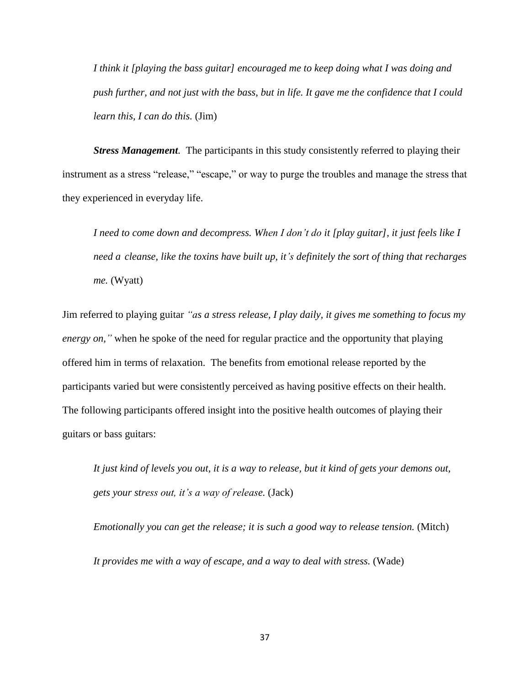*I think it [playing the bass guitar] encouraged me to keep doing what I was doing and push further, and not just with the bass, but in life. It gave me the confidence that I could learn this, I can do this.* (Jim)

*Stress Management.* The participants in this study consistently referred to playing their instrument as a stress "release," "escape," or way to purge the troubles and manage the stress that they experienced in everyday life.

*I need to come down and decompress. When I don't do it [play guitar], it just feels like I need a cleanse, like the toxins have built up, it's definitely the sort of thing that recharges me.* (Wyatt)

Jim referred to playing guitar *"as a stress release, I play daily, it gives me something to focus my energy on,*" when he spoke of the need for regular practice and the opportunity that playing offered him in terms of relaxation. The benefits from emotional release reported by the participants varied but were consistently perceived as having positive effects on their health. The following participants offered insight into the positive health outcomes of playing their guitars or bass guitars:

*It just kind of levels you out, it is a way to release, but it kind of gets your demons out, gets your stress out, it's a way of release.* (Jack)

*Emotionally you can get the release; it is such a good way to release tension.* (Mitch) *It provides me with a way of escape, and a way to deal with stress.* (Wade)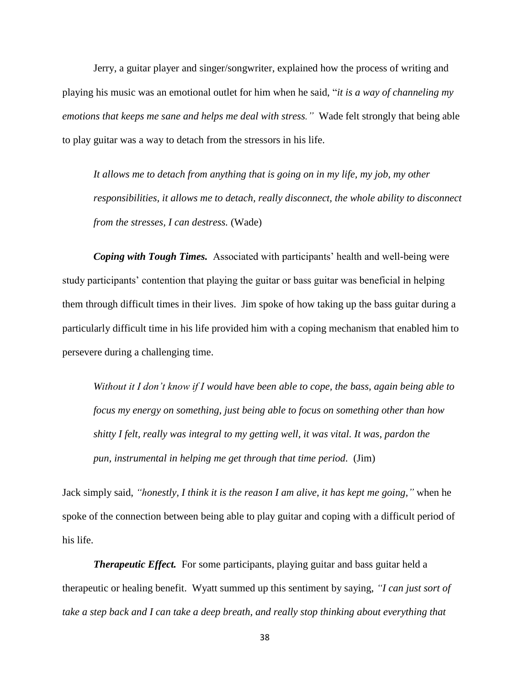Jerry, a guitar player and singer/songwriter, explained how the process of writing and playing his music was an emotional outlet for him when he said, "*it is a way of channeling my emotions that keeps me sane and helps me deal with stress."* Wade felt strongly that being able to play guitar was a way to detach from the stressors in his life.

*It allows me to detach from anything that is going on in my life, my job, my other responsibilities, it allows me to detach, really disconnect, the whole ability to disconnect from the stresses, I can destress.* (Wade)

*Coping with Tough Times.* Associated with participants' health and well-being were study participants' contention that playing the guitar or bass guitar was beneficial in helping them through difficult times in their lives. Jim spoke of how taking up the bass guitar during a particularly difficult time in his life provided him with a coping mechanism that enabled him to persevere during a challenging time.

*Without it I don't know if I would have been able to cope, the bass, again being able to focus my energy on something, just being able to focus on something other than how shitty I felt, really was integral to my getting well, it was vital. It was, pardon the pun, instrumental in helping me get through that time period.* (Jim)

Jack simply said, *"honestly, I think it is the reason I am alive, it has kept me going,"* when he spoke of the connection between being able to play guitar and coping with a difficult period of his life.

**Therapeutic Effect.** For some participants, playing guitar and bass guitar held a therapeutic or healing benefit. Wyatt summed up this sentiment by saying, *"I can just sort of take a step back and I can take a deep breath, and really stop thinking about everything that*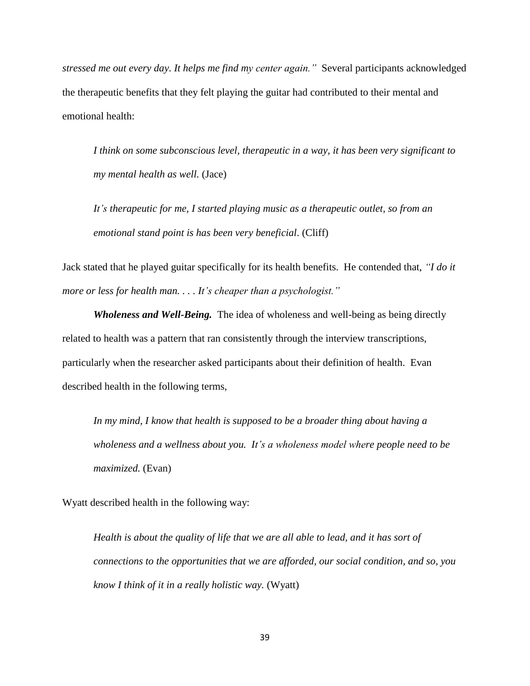*stressed me out every day. It helps me find my center again."* Several participants acknowledged the therapeutic benefits that they felt playing the guitar had contributed to their mental and emotional health:

*I think on some subconscious level, therapeutic in a way, it has been very significant to my mental health as well.* (Jace)

*It's therapeutic for me, I started playing music as a therapeutic outlet, so from an emotional stand point is has been very beneficial*. (Cliff)

Jack stated that he played guitar specifically for its health benefits. He contended that, *"I do it more or less for health man. . . . It's cheaper than a psychologist."* 

*Wholeness and Well-Being.*The idea of wholeness and well-being as being directly related to health was a pattern that ran consistently through the interview transcriptions, particularly when the researcher asked participants about their definition of health. Evan described health in the following terms,

*In my mind, I know that health is supposed to be a broader thing about having a wholeness and a wellness about you. It's a wholeness model where people need to be maximized.* (Evan)

Wyatt described health in the following way:

*Health is about the quality of life that we are all able to lead, and it has sort of connections to the opportunities that we are afforded, our social condition, and so, you know I think of it in a really holistic way.* (Wyatt)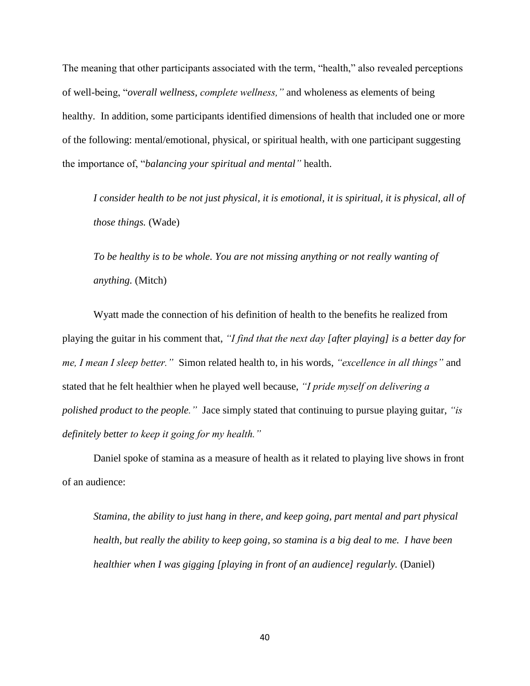The meaning that other participants associated with the term, "health," also revealed perceptions of well-being, "*overall wellness, complete wellness,"* and wholeness as elements of being healthy. In addition, some participants identified dimensions of health that included one or more of the following: mental/emotional, physical, or spiritual health, with one participant suggesting the importance of, "*balancing your spiritual and mental"* health.

*I consider health to be not just physical, it is emotional, it is spiritual, it is physical, all of those things.* (Wade)

*To be healthy is to be whole. You are not missing anything or not really wanting of anything.* (Mitch)

Wyatt made the connection of his definition of health to the benefits he realized from playing the guitar in his comment that, *"I find that the next day [after playing] is a better day for me, I mean I sleep better."* Simon related health to, in his words, *"excellence in all things"* and stated that he felt healthier when he played well because, *"I pride myself on delivering a polished product to the people."* Jace simply stated that continuing to pursue playing guitar, *"is definitely better to keep it going for my health."*

Daniel spoke of stamina as a measure of health as it related to playing live shows in front of an audience:

*Stamina, the ability to just hang in there, and keep going, part mental and part physical health, but really the ability to keep going, so stamina is a big deal to me. I have been healthier when I was gigging [playing in front of an audience] regularly.* (Daniel)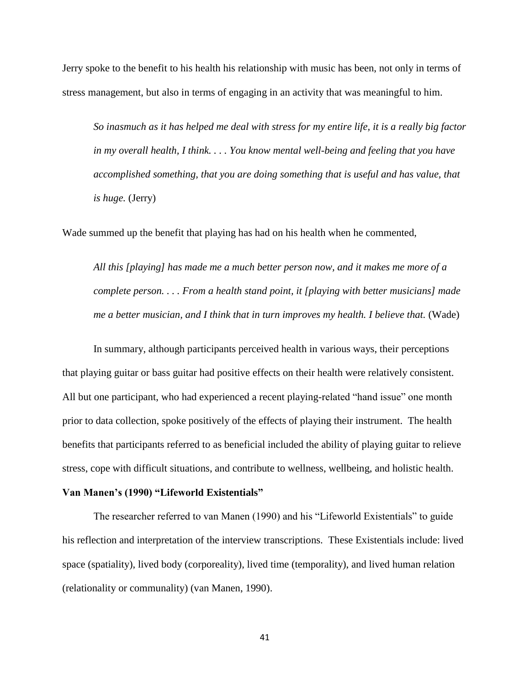Jerry spoke to the benefit to his health his relationship with music has been, not only in terms of stress management, but also in terms of engaging in an activity that was meaningful to him.

*So inasmuch as it has helped me deal with stress for my entire life, it is a really big factor in my overall health, I think. . . . You know mental well-being and feeling that you have accomplished something, that you are doing something that is useful and has value, that is huge.* (Jerry)

Wade summed up the benefit that playing has had on his health when he commented,

*All this [playing] has made me a much better person now, and it makes me more of a complete person. . . . From a health stand point, it [playing with better musicians] made me a better musician, and I think that in turn improves my health. I believe that.* (Wade)

In summary, although participants perceived health in various ways, their perceptions that playing guitar or bass guitar had positive effects on their health were relatively consistent. All but one participant, who had experienced a recent playing-related "hand issue" one month prior to data collection, spoke positively of the effects of playing their instrument. The health benefits that participants referred to as beneficial included the ability of playing guitar to relieve stress, cope with difficult situations, and contribute to wellness, wellbeing, and holistic health.

# **Van Manen's (1990) "Lifeworld Existentials"**

The researcher referred to van Manen (1990) and his "Lifeworld Existentials" to guide his reflection and interpretation of the interview transcriptions. These Existentials include: lived space (spatiality), lived body (corporeality), lived time (temporality), and lived human relation (relationality or communality) (van Manen, 1990).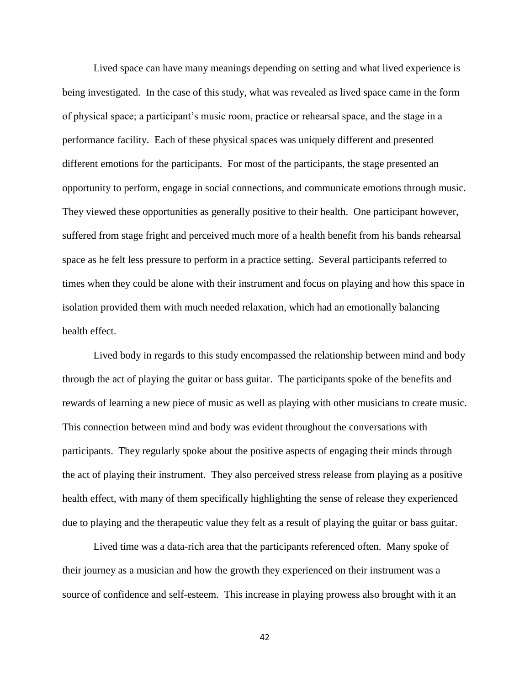Lived space can have many meanings depending on setting and what lived experience is being investigated. In the case of this study, what was revealed as lived space came in the form of physical space; a participant's music room, practice or rehearsal space, and the stage in a performance facility. Each of these physical spaces was uniquely different and presented different emotions for the participants. For most of the participants, the stage presented an opportunity to perform, engage in social connections, and communicate emotions through music. They viewed these opportunities as generally positive to their health. One participant however, suffered from stage fright and perceived much more of a health benefit from his bands rehearsal space as he felt less pressure to perform in a practice setting. Several participants referred to times when they could be alone with their instrument and focus on playing and how this space in isolation provided them with much needed relaxation, which had an emotionally balancing health effect.

Lived body in regards to this study encompassed the relationship between mind and body through the act of playing the guitar or bass guitar. The participants spoke of the benefits and rewards of learning a new piece of music as well as playing with other musicians to create music. This connection between mind and body was evident throughout the conversations with participants. They regularly spoke about the positive aspects of engaging their minds through the act of playing their instrument. They also perceived stress release from playing as a positive health effect, with many of them specifically highlighting the sense of release they experienced due to playing and the therapeutic value they felt as a result of playing the guitar or bass guitar.

Lived time was a data-rich area that the participants referenced often. Many spoke of their journey as a musician and how the growth they experienced on their instrument was a source of confidence and self-esteem. This increase in playing prowess also brought with it an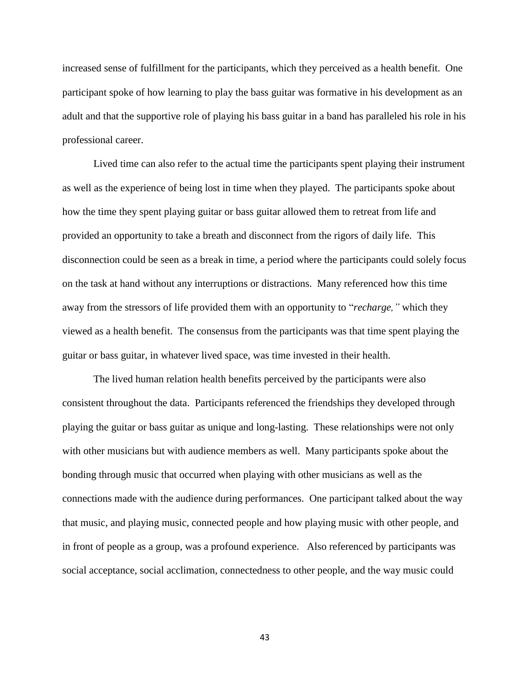increased sense of fulfillment for the participants, which they perceived as a health benefit. One participant spoke of how learning to play the bass guitar was formative in his development as an adult and that the supportive role of playing his bass guitar in a band has paralleled his role in his professional career.

Lived time can also refer to the actual time the participants spent playing their instrument as well as the experience of being lost in time when they played. The participants spoke about how the time they spent playing guitar or bass guitar allowed them to retreat from life and provided an opportunity to take a breath and disconnect from the rigors of daily life. This disconnection could be seen as a break in time, a period where the participants could solely focus on the task at hand without any interruptions or distractions. Many referenced how this time away from the stressors of life provided them with an opportunity to "*recharge,"* which they viewed as a health benefit. The consensus from the participants was that time spent playing the guitar or bass guitar, in whatever lived space, was time invested in their health.

The lived human relation health benefits perceived by the participants were also consistent throughout the data. Participants referenced the friendships they developed through playing the guitar or bass guitar as unique and long-lasting. These relationships were not only with other musicians but with audience members as well. Many participants spoke about the bonding through music that occurred when playing with other musicians as well as the connections made with the audience during performances. One participant talked about the way that music, and playing music, connected people and how playing music with other people, and in front of people as a group, was a profound experience. Also referenced by participants was social acceptance, social acclimation, connectedness to other people, and the way music could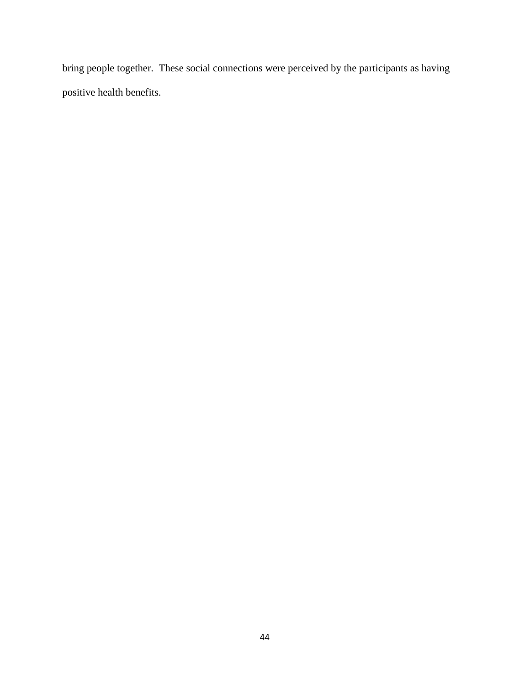bring people together. These social connections were perceived by the participants as having positive health benefits.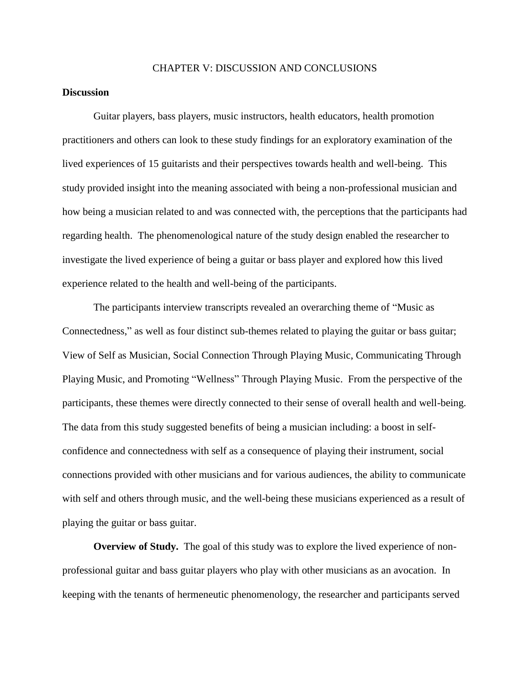## CHAPTER V: DISCUSSION AND CONCLUSIONS

# **Discussion**

Guitar players, bass players, music instructors, health educators, health promotion practitioners and others can look to these study findings for an exploratory examination of the lived experiences of 15 guitarists and their perspectives towards health and well-being. This study provided insight into the meaning associated with being a non-professional musician and how being a musician related to and was connected with, the perceptions that the participants had regarding health. The phenomenological nature of the study design enabled the researcher to investigate the lived experience of being a guitar or bass player and explored how this lived experience related to the health and well-being of the participants.

The participants interview transcripts revealed an overarching theme of "Music as Connectedness," as well as four distinct sub-themes related to playing the guitar or bass guitar; View of Self as Musician, Social Connection Through Playing Music, Communicating Through Playing Music, and Promoting "Wellness" Through Playing Music. From the perspective of the participants, these themes were directly connected to their sense of overall health and well-being. The data from this study suggested benefits of being a musician including: a boost in selfconfidence and connectedness with self as a consequence of playing their instrument, social connections provided with other musicians and for various audiences, the ability to communicate with self and others through music, and the well-being these musicians experienced as a result of playing the guitar or bass guitar.

**Overview of Study.** The goal of this study was to explore the lived experience of nonprofessional guitar and bass guitar players who play with other musicians as an avocation. In keeping with the tenants of hermeneutic phenomenology, the researcher and participants served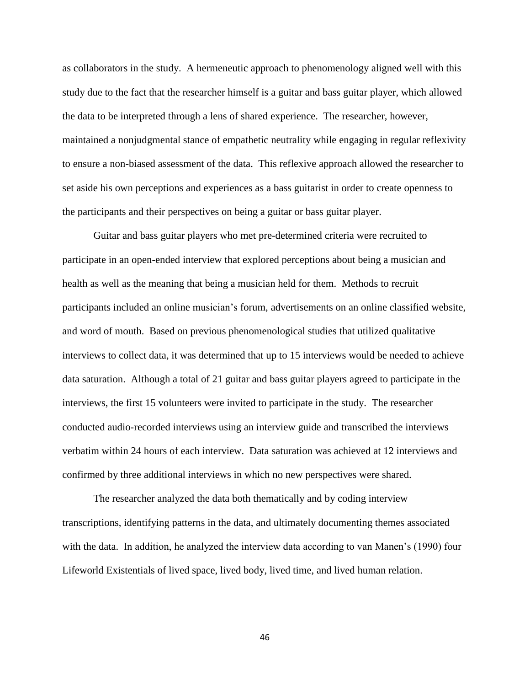as collaborators in the study. A hermeneutic approach to phenomenology aligned well with this study due to the fact that the researcher himself is a guitar and bass guitar player, which allowed the data to be interpreted through a lens of shared experience. The researcher, however, maintained a nonjudgmental stance of empathetic neutrality while engaging in regular reflexivity to ensure a non-biased assessment of the data. This reflexive approach allowed the researcher to set aside his own perceptions and experiences as a bass guitarist in order to create openness to the participants and their perspectives on being a guitar or bass guitar player.

Guitar and bass guitar players who met pre-determined criteria were recruited to participate in an open-ended interview that explored perceptions about being a musician and health as well as the meaning that being a musician held for them. Methods to recruit participants included an online musician's forum, advertisements on an online classified website, and word of mouth. Based on previous phenomenological studies that utilized qualitative interviews to collect data, it was determined that up to 15 interviews would be needed to achieve data saturation. Although a total of 21 guitar and bass guitar players agreed to participate in the interviews, the first 15 volunteers were invited to participate in the study. The researcher conducted audio-recorded interviews using an interview guide and transcribed the interviews verbatim within 24 hours of each interview. Data saturation was achieved at 12 interviews and confirmed by three additional interviews in which no new perspectives were shared.

The researcher analyzed the data both thematically and by coding interview transcriptions, identifying patterns in the data, and ultimately documenting themes associated with the data. In addition, he analyzed the interview data according to van Manen's (1990) four Lifeworld Existentials of lived space, lived body, lived time, and lived human relation.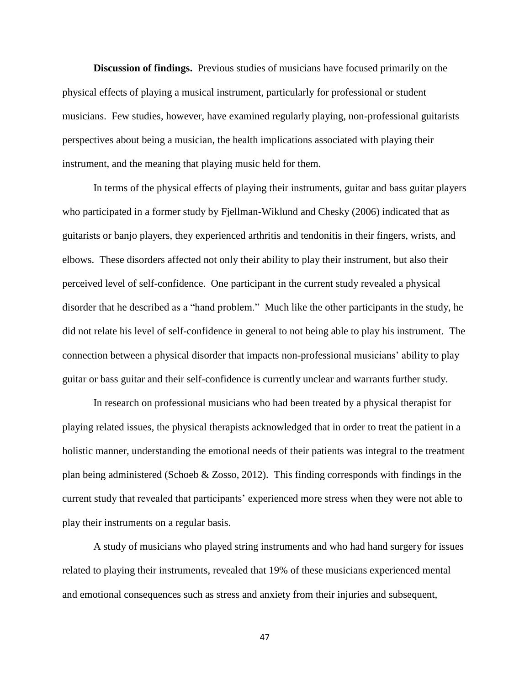**Discussion of findings.** Previous studies of musicians have focused primarily on the physical effects of playing a musical instrument, particularly for professional or student musicians. Few studies, however, have examined regularly playing, non-professional guitarists perspectives about being a musician, the health implications associated with playing their instrument, and the meaning that playing music held for them.

In terms of the physical effects of playing their instruments, guitar and bass guitar players who participated in a former study by Fjellman-Wiklund and Chesky (2006) indicated that as guitarists or banjo players, they experienced arthritis and tendonitis in their fingers, wrists, and elbows. These disorders affected not only their ability to play their instrument, but also their perceived level of self-confidence. One participant in the current study revealed a physical disorder that he described as a "hand problem." Much like the other participants in the study, he did not relate his level of self-confidence in general to not being able to play his instrument. The connection between a physical disorder that impacts non-professional musicians' ability to play guitar or bass guitar and their self-confidence is currently unclear and warrants further study.

In research on professional musicians who had been treated by a physical therapist for playing related issues, the physical therapists acknowledged that in order to treat the patient in a holistic manner, understanding the emotional needs of their patients was integral to the treatment plan being administered (Schoeb & Zosso, 2012). This finding corresponds with findings in the current study that revealed that participants' experienced more stress when they were not able to play their instruments on a regular basis.

A study of musicians who played string instruments and who had hand surgery for issues related to playing their instruments, revealed that 19% of these musicians experienced mental and emotional consequences such as stress and anxiety from their injuries and subsequent,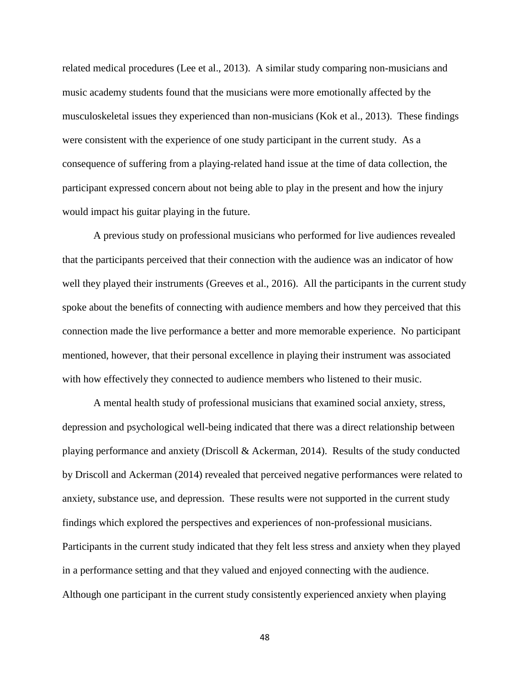related medical procedures (Lee et al., 2013). A similar study comparing non-musicians and music academy students found that the musicians were more emotionally affected by the musculoskeletal issues they experienced than non-musicians (Kok et al., 2013). These findings were consistent with the experience of one study participant in the current study. As a consequence of suffering from a playing-related hand issue at the time of data collection, the participant expressed concern about not being able to play in the present and how the injury would impact his guitar playing in the future.

A previous study on professional musicians who performed for live audiences revealed that the participants perceived that their connection with the audience was an indicator of how well they played their instruments (Greeves et al., 2016). All the participants in the current study spoke about the benefits of connecting with audience members and how they perceived that this connection made the live performance a better and more memorable experience. No participant mentioned, however, that their personal excellence in playing their instrument was associated with how effectively they connected to audience members who listened to their music.

A mental health study of professional musicians that examined social anxiety, stress, depression and psychological well-being indicated that there was a direct relationship between playing performance and anxiety (Driscoll & Ackerman, 2014). Results of the study conducted by Driscoll and Ackerman (2014) revealed that perceived negative performances were related to anxiety, substance use, and depression. These results were not supported in the current study findings which explored the perspectives and experiences of non-professional musicians. Participants in the current study indicated that they felt less stress and anxiety when they played in a performance setting and that they valued and enjoyed connecting with the audience. Although one participant in the current study consistently experienced anxiety when playing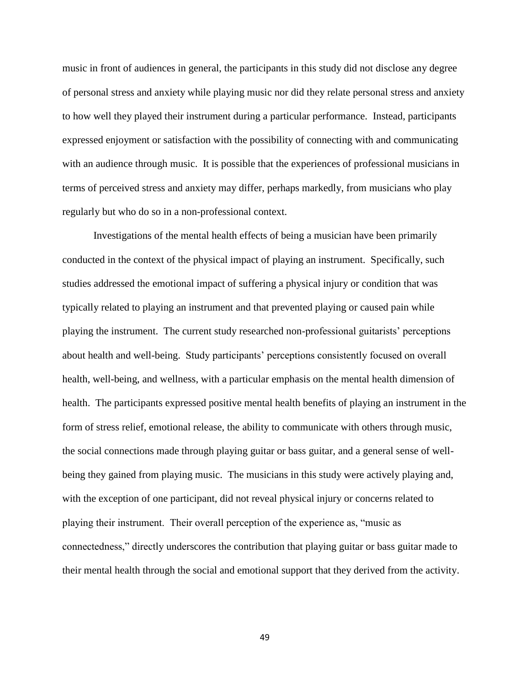music in front of audiences in general, the participants in this study did not disclose any degree of personal stress and anxiety while playing music nor did they relate personal stress and anxiety to how well they played their instrument during a particular performance. Instead, participants expressed enjoyment or satisfaction with the possibility of connecting with and communicating with an audience through music. It is possible that the experiences of professional musicians in terms of perceived stress and anxiety may differ, perhaps markedly, from musicians who play regularly but who do so in a non-professional context.

Investigations of the mental health effects of being a musician have been primarily conducted in the context of the physical impact of playing an instrument. Specifically, such studies addressed the emotional impact of suffering a physical injury or condition that was typically related to playing an instrument and that prevented playing or caused pain while playing the instrument. The current study researched non-professional guitarists' perceptions about health and well-being. Study participants' perceptions consistently focused on overall health, well-being, and wellness, with a particular emphasis on the mental health dimension of health. The participants expressed positive mental health benefits of playing an instrument in the form of stress relief, emotional release, the ability to communicate with others through music, the social connections made through playing guitar or bass guitar, and a general sense of wellbeing they gained from playing music. The musicians in this study were actively playing and, with the exception of one participant, did not reveal physical injury or concerns related to playing their instrument. Their overall perception of the experience as, "music as connectedness," directly underscores the contribution that playing guitar or bass guitar made to their mental health through the social and emotional support that they derived from the activity.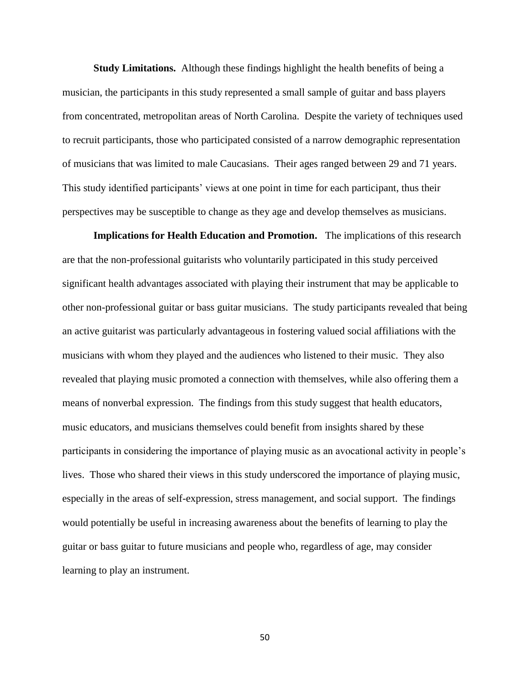**Study Limitations.** Although these findings highlight the health benefits of being a musician, the participants in this study represented a small sample of guitar and bass players from concentrated, metropolitan areas of North Carolina. Despite the variety of techniques used to recruit participants, those who participated consisted of a narrow demographic representation of musicians that was limited to male Caucasians. Their ages ranged between 29 and 71 years. This study identified participants' views at one point in time for each participant, thus their perspectives may be susceptible to change as they age and develop themselves as musicians.

**Implications for Health Education and Promotion.** The implications of this research are that the non-professional guitarists who voluntarily participated in this study perceived significant health advantages associated with playing their instrument that may be applicable to other non-professional guitar or bass guitar musicians. The study participants revealed that being an active guitarist was particularly advantageous in fostering valued social affiliations with the musicians with whom they played and the audiences who listened to their music. They also revealed that playing music promoted a connection with themselves, while also offering them a means of nonverbal expression. The findings from this study suggest that health educators, music educators, and musicians themselves could benefit from insights shared by these participants in considering the importance of playing music as an avocational activity in people's lives. Those who shared their views in this study underscored the importance of playing music, especially in the areas of self-expression, stress management, and social support. The findings would potentially be useful in increasing awareness about the benefits of learning to play the guitar or bass guitar to future musicians and people who, regardless of age, may consider learning to play an instrument.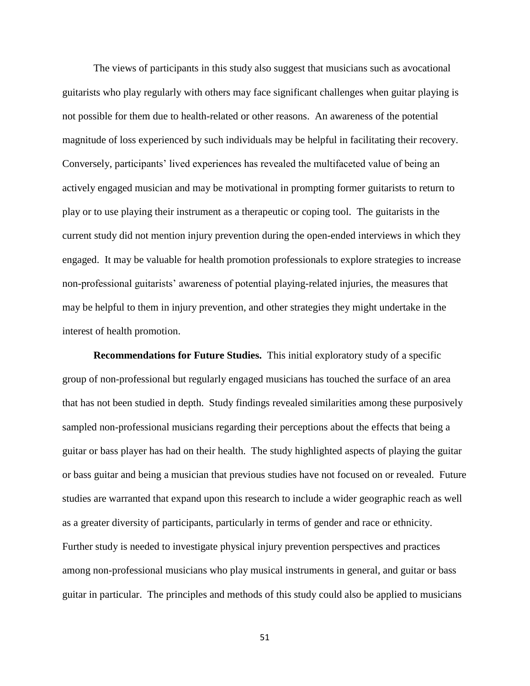The views of participants in this study also suggest that musicians such as avocational guitarists who play regularly with others may face significant challenges when guitar playing is not possible for them due to health-related or other reasons. An awareness of the potential magnitude of loss experienced by such individuals may be helpful in facilitating their recovery. Conversely, participants' lived experiences has revealed the multifaceted value of being an actively engaged musician and may be motivational in prompting former guitarists to return to play or to use playing their instrument as a therapeutic or coping tool. The guitarists in the current study did not mention injury prevention during the open-ended interviews in which they engaged. It may be valuable for health promotion professionals to explore strategies to increase non-professional guitarists' awareness of potential playing-related injuries, the measures that may be helpful to them in injury prevention, and other strategies they might undertake in the interest of health promotion.

**Recommendations for Future Studies.** This initial exploratory study of a specific group of non-professional but regularly engaged musicians has touched the surface of an area that has not been studied in depth. Study findings revealed similarities among these purposively sampled non-professional musicians regarding their perceptions about the effects that being a guitar or bass player has had on their health. The study highlighted aspects of playing the guitar or bass guitar and being a musician that previous studies have not focused on or revealed. Future studies are warranted that expand upon this research to include a wider geographic reach as well as a greater diversity of participants, particularly in terms of gender and race or ethnicity. Further study is needed to investigate physical injury prevention perspectives and practices among non-professional musicians who play musical instruments in general, and guitar or bass guitar in particular. The principles and methods of this study could also be applied to musicians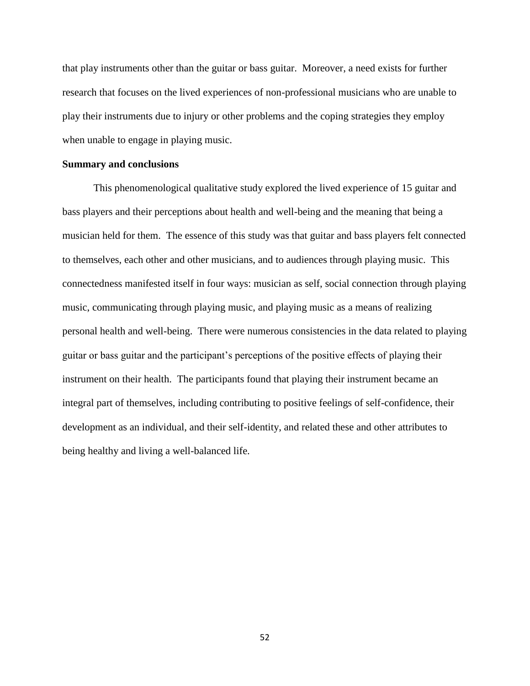that play instruments other than the guitar or bass guitar. Moreover, a need exists for further research that focuses on the lived experiences of non-professional musicians who are unable to play their instruments due to injury or other problems and the coping strategies they employ when unable to engage in playing music.

## **Summary and conclusions**

This phenomenological qualitative study explored the lived experience of 15 guitar and bass players and their perceptions about health and well-being and the meaning that being a musician held for them. The essence of this study was that guitar and bass players felt connected to themselves, each other and other musicians, and to audiences through playing music. This connectedness manifested itself in four ways: musician as self, social connection through playing music, communicating through playing music, and playing music as a means of realizing personal health and well-being. There were numerous consistencies in the data related to playing guitar or bass guitar and the participant's perceptions of the positive effects of playing their instrument on their health. The participants found that playing their instrument became an integral part of themselves, including contributing to positive feelings of self-confidence, their development as an individual, and their self-identity, and related these and other attributes to being healthy and living a well-balanced life.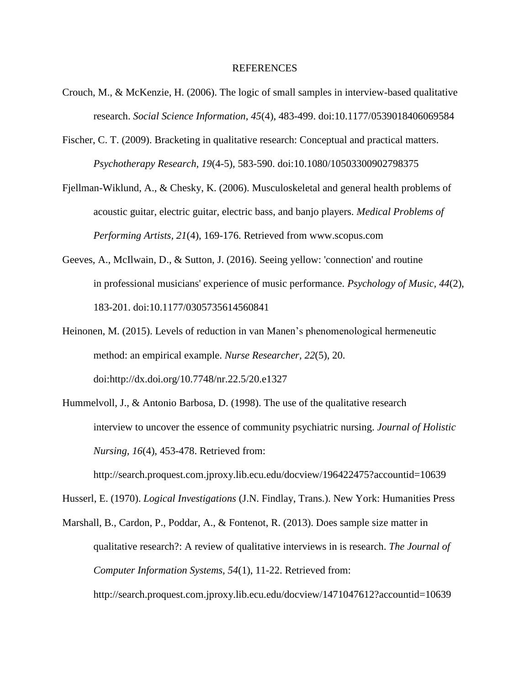### REFERENCES

- Crouch, M., & McKenzie, H. (2006). The logic of small samples in interview-based qualitative research. *Social Science Information, 45*(4), 483-499. doi:10.1177/0539018406069584
- Fischer, C. T. (2009). Bracketing in qualitative research: Conceptual and practical matters. *Psychotherapy Research, 19*(4-5), 583-590. doi:10.1080/10503300902798375
- Fjellman-Wiklund, A., & Chesky, K. (2006). Musculoskeletal and general health problems of acoustic guitar, electric guitar, electric bass, and banjo players. *Medical Problems of Performing Artists, 21*(4), 169-176. Retrieved from [www.scopus.com](http://www.scopus.com/)
- Geeves, A., McIlwain, D., & Sutton, J. (2016). Seeing yellow: 'connection' and routine in professional musicians' experience of music performance. *Psychology of Music, 44*(2), 183-201. doi:10.1177/0305735614560841
- Heinonen, M. (2015). Levels of reduction in van Manen's phenomenological hermeneutic method: an empirical example. *Nurse Researcher, 22*(5), 20. doi:http://dx.doi.org/10.7748/nr.22.5/20.e1327
- Hummelvoll, J., & Antonio Barbosa, D. (1998). The use of the qualitative research interview to uncover the essence of community psychiatric nursing. *Journal of Holistic Nursing, 16*(4), 453-478. Retrieved from:

<http://search.proquest.com.jproxy.lib.ecu.edu/docview/196422475?accountid=10639>

Husserl, E. (1970). *Logical Investigations* (J.N. Findlay, Trans.). New York: Humanities Press

Marshall, B., Cardon, P., Poddar, A., & Fontenot, R. (2013). Does sample size matter in qualitative research?: A review of qualitative interviews in is research. *The Journal of Computer Information Systems, 54*(1), 11-22. Retrieved from: <http://search.proquest.com.jproxy.lib.ecu.edu/docview/1471047612?accountid=10639>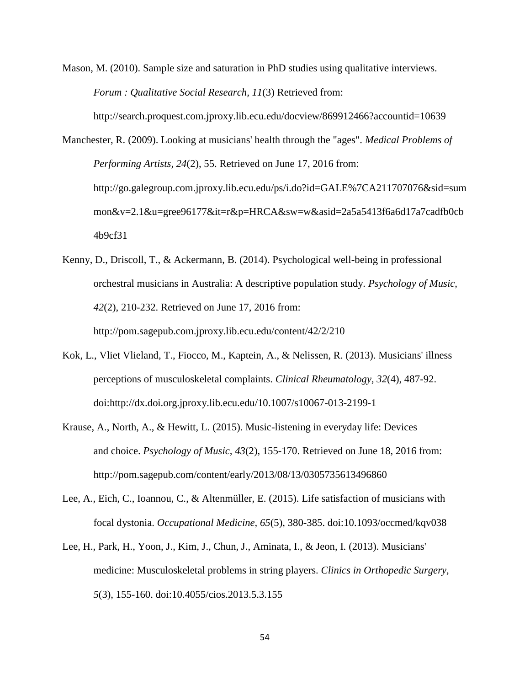Mason, M. (2010). Sample size and saturation in PhD studies using qualitative interviews. *Forum : Qualitative Social Research, 11*(3) Retrieved from:

<http://search.proquest.com.jproxy.lib.ecu.edu/docview/869912466?accountid=10639>

Manchester, R. (2009). Looking at musicians' health through the "ages". *Medical Problems of Performing Artists, 24*(2), 55. Retrieved on June 17, 2016 from: [http://go.galegroup.com.jproxy.lib.ecu.edu/ps/i.do?id=GALE%7CA211707076&sid=sum](http://go.galegroup.com.jproxy.lib.ecu.edu/ps/i.do?id=GALE%7CA211707076&sid=sum%09mon&v=2.1&u=gree96177&it=r&p=HRCA&sw=w&asid=2a5a5413f6a6d17a7cadfb0cb%094b9cf31) [mon&v=2.1&u=gree96177&it=r&p=HRCA&sw=w&asid=2a5a5413f6a6d17a7cadfb0cb](http://go.galegroup.com.jproxy.lib.ecu.edu/ps/i.do?id=GALE%7CA211707076&sid=sum%09mon&v=2.1&u=gree96177&it=r&p=HRCA&sw=w&asid=2a5a5413f6a6d17a7cadfb0cb%094b9cf31) [4b9cf31](http://go.galegroup.com.jproxy.lib.ecu.edu/ps/i.do?id=GALE%7CA211707076&sid=sum%09mon&v=2.1&u=gree96177&it=r&p=HRCA&sw=w&asid=2a5a5413f6a6d17a7cadfb0cb%094b9cf31)

- Kenny, D., Driscoll, T., & Ackermann, B. (2014). Psychological well-being in professional orchestral musicians in Australia: A descriptive population study. *Psychology of Music, 42*(2), 210-232. Retrieved on June 17, 2016 from: <http://pom.sagepub.com.jproxy.lib.ecu.edu/content/42/2/210>
- Kok, L., Vliet Vlieland, T., Fiocco, M., Kaptein, A., & Nelissen, R. (2013). Musicians' illness perceptions of musculoskeletal complaints. *Clinical Rheumatology, 32*(4), 487-92. doi:http://dx.doi.org.jproxy.lib.ecu.edu/10.1007/s10067-013-2199-1
- Krause, A., North, A., & Hewitt, L. (2015). Music-listening in everyday life: Devices and choice. *Psychology of Music, 43*(2), 155-170. Retrieved on June 18, 2016 from: <http://pom.sagepub.com/content/early/2013/08/13/0305735613496860>
- Lee, A., Eich, C., Ioannou, C., & Altenmüller, E. (2015). Life satisfaction of musicians with focal dystonia. *Occupational Medicine, 65*(5), 380-385. doi:10.1093/occmed/kqv038
- Lee, H., Park, H., Yoon, J., Kim, J., Chun, J., Aminata, I., & Jeon, I. (2013). Musicians' medicine: Musculoskeletal problems in string players. *Clinics in Orthopedic Surgery, 5*(3), 155-160. doi:10.4055/cios.2013.5.3.155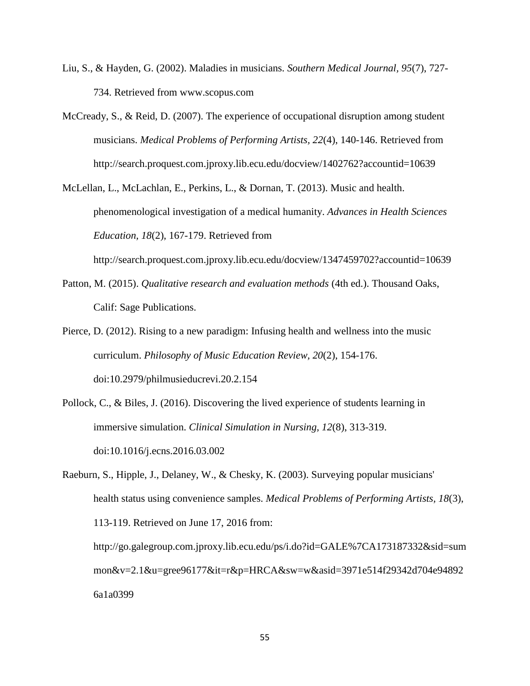- Liu, S., & Hayden, G. (2002). Maladies in musicians. *Southern Medical Journal, 95*(7), 727- 734. Retrieved from [www.scopus.com](http://www.scopus.com/)
- McCready, S., & Reid, D. (2007). The experience of occupational disruption among student musicians. *Medical Problems of Performing Artists, 22*(4), 140-146. Retrieved from <http://search.proquest.com.jproxy.lib.ecu.edu/docview/1402762?accountid=10639>

McLellan, L., McLachlan, E., Perkins, L., & Dornan, T. (2013). Music and health. phenomenological investigation of a medical humanity. *Advances in Health Sciences Education, 18*(2), 167-179. Retrieved from

<http://search.proquest.com.jproxy.lib.ecu.edu/docview/1347459702?accountid=10639>

- Patton, M. (2015). *Qualitative research and evaluation methods* (4th ed.). Thousand Oaks, Calif: Sage Publications.
- Pierce, D. (2012). Rising to a new paradigm: Infusing health and wellness into the music curriculum. *Philosophy of Music Education Review, 20*(2), 154-176. doi:10.2979/philmusieducrevi.20.2.154
- Pollock, C., & Biles, J. (2016). Discovering the lived experience of students learning in immersive simulation. *Clinical Simulation in Nursing, 12*(8), 313-319. doi:10.1016/j.ecns.2016.03.002
- Raeburn, S., Hipple, J., Delaney, W., & Chesky, K. (2003). Surveying popular musicians' health status using convenience samples. *Medical Problems of Performing Artists, 18*(3), 113-119. Retrieved on June 17, 2016 from: <http://go.galegroup.com.jproxy.lib.ecu.edu/ps/i.do?id=GALE%7CA173187332&sid=sum> mon&v=2.1&u=gree96177&it=r&p=HRCA&sw=w&asid=3971e514f29342d704e94892 6a1a0399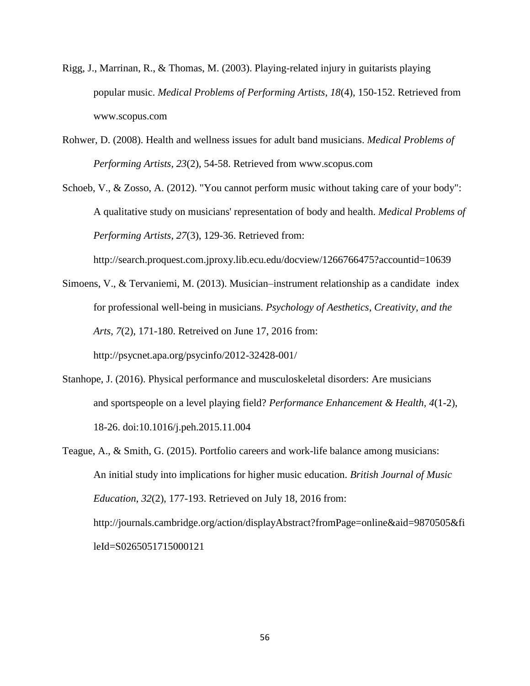- Rigg, J., Marrinan, R., & Thomas, M. (2003). Playing-related injury in guitarists playing popular music. *Medical Problems of Performing Artists, 18*(4), 150-152. Retrieved from [www.scopus.com](http://www.scopus.com/)
- Rohwer, D. (2008). Health and wellness issues for adult band musicians. *Medical Problems of Performing Artists, 23*(2), 54-58. Retrieved from [www.scopus.com](http://www.scopus.com/)
- Schoeb, V., & Zosso, A. (2012). "You cannot perform music without taking care of your body": A qualitative study on musicians' representation of body and health. *Medical Problems of Performing Artists, 27*(3), 129-36. Retrieved from:

http://search.proquest.com.jproxy.lib.ecu.edu/docview/1266766475?accountid=10639

- Simoens, V., & Tervaniemi, M. (2013). Musician–instrument relationship as a candidate index for professional well-being in musicians. *Psychology of Aesthetics, Creativity, and the Arts, 7*(2), 171-180. Retreived on June 17, 2016 from: <http://psycnet.apa.org/psycinfo/2012-32428-001/>
- Stanhope, J. (2016). Physical performance and musculoskeletal disorders: Are musicians and sportspeople on a level playing field? *Performance Enhancement & Health, 4*(1-2), 18-26. doi:10.1016/j.peh.2015.11.004
- Teague, A., & Smith, G. (2015). Portfolio careers and work-life balance among musicians: An initial study into implications for higher music education. *British Journal of Music Education, 32*(2), 177-193. Retrieved on July 18, 2016 from: [http://journals.cambridge.org/action/displayAbstract?fromPage=online&aid=9870505&fi](http://journals.cambridge.org/action/displayAbstract?fromPage=online&aid=9870505&fileId=S0265051715000121) [leId=S0265051715000121](http://journals.cambridge.org/action/displayAbstract?fromPage=online&aid=9870505&fileId=S0265051715000121)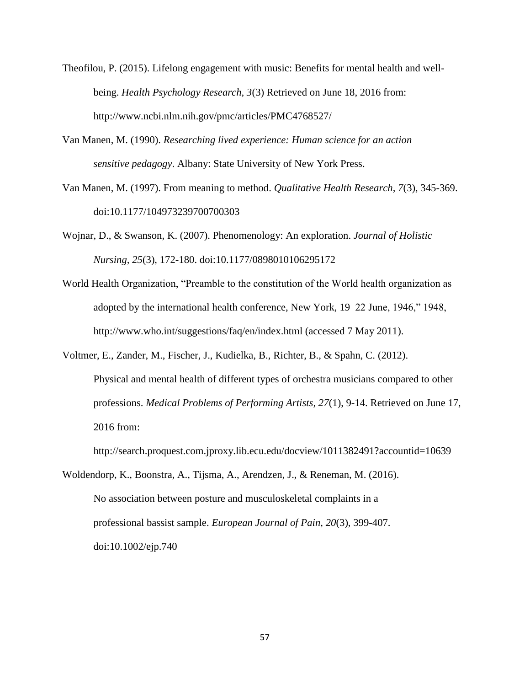- Theofilou, P. (2015). Lifelong engagement with music: Benefits for mental health and wellbeing. *Health Psychology Research, 3*(3) Retrieved on June 18, 2016 from: http://www.ncbi.nlm.nih.gov/pmc/articles/PMC4768527/
- Van Manen, M. (1990). *Researching lived experience: Human science for an action sensitive pedagogy*. Albany: State University of New York Press.
- Van Manen, M. (1997). From meaning to method. *Qualitative Health Research, 7*(3), 345-369. doi:10.1177/104973239700700303
- Wojnar, D., & Swanson, K. (2007). Phenomenology: An exploration. *Journal of Holistic Nursing, 25*(3), 172-180. doi:10.1177/0898010106295172
- World Health Organization, "Preamble to the constitution of the World health organization as adopted by the international health conference, New York, 19–22 June, 1946," 1948, http://www.who.int/suggestions/faq/en/index.html (accessed 7 May 2011).
- Voltmer, E., Zander, M., Fischer, J., Kudielka, B., Richter, B., & Spahn, C. (2012). Physical and mental health of different types of orchestra musicians compared to other professions. *Medical Problems of Performing Artists, 27*(1), 9-14. Retrieved on June 17, 2016 from:

<http://search.proquest.com.jproxy.lib.ecu.edu/docview/1011382491?accountid=10639>

Woldendorp, K., Boonstra, A., Tijsma, A., Arendzen, J., & Reneman, M. (2016). No association between posture and musculoskeletal complaints in a professional bassist sample. *European Journal of Pain, 20*(3), 399-407. doi:10.1002/ejp.740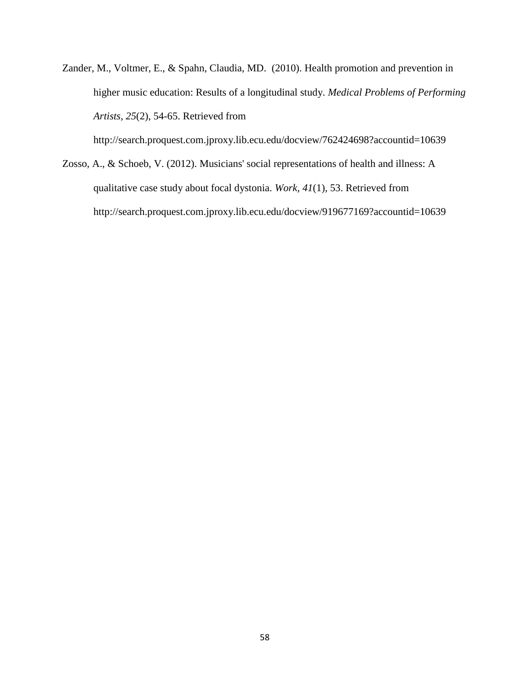Zander, M., Voltmer, E., & Spahn, Claudia, MD. (2010). Health promotion and prevention in higher music education: Results of a longitudinal study. *Medical Problems of Performing Artists, 25*(2), 54-65. Retrieved from

<http://search.proquest.com.jproxy.lib.ecu.edu/docview/762424698?accountid=10639>

Zosso, A., & Schoeb, V. (2012). Musicians' social representations of health and illness: A qualitative case study about focal dystonia. *Work, 41*(1), 53. Retrieved from http://search.proquest.com.jproxy.lib.ecu.edu/docview/919677169?accountid=10639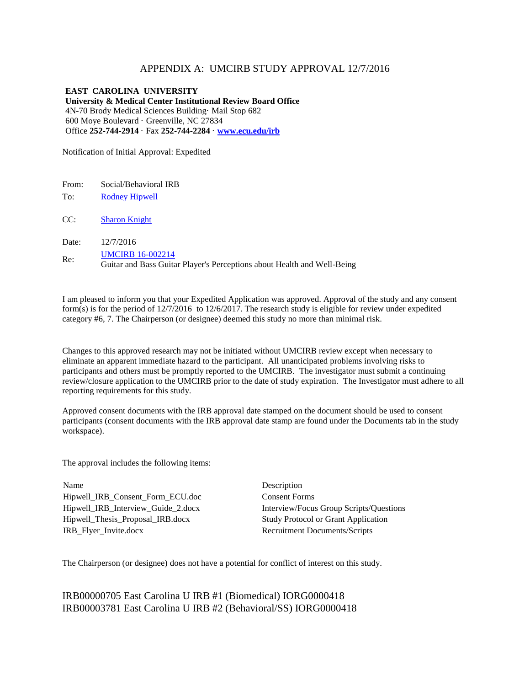# APPENDIX A: UMCIRB STUDY APPROVAL 12/7/2016

**EAST CAROLINA UNIVERSITY University & Medical Center Institutional Review Board Office** 4N-70 Brody Medical Sciences Building· Mail Stop 682 600 Moye Boulevard · Greenville, NC 27834 Office **252-744-2914** · Fax **252-744-2284** · **[www.ecu.edu/irb](http://www.ecu.edu/irb)**

Notification of Initial Approval: Expedited

From: Social/Behavioral IRB

To: [Rodney Hipwell](https://epirate.ecu.edu/App/Personalization/MyProfile?Person=com.webridge.account.Person%5bOID%5bDC61F04BBC25394E8311D7B3591936AC%5d%5d)

CC: [Sharon Knight](https://epirate.ecu.edu/App/Personalization/MyProfile?Person=com.webridge.account.Person%5bOID%5b84E997D500C92244A37C611470C78033%5d%5d)

Date: 12/7/2016

Re: **UMCIRB** 16-002214

Guitar and Bass Guitar Player's Perceptions about Health and Well-Being

I am pleased to inform you that your Expedited Application was approved. Approval of the study and any consent form(s) is for the period of 12/7/2016 to 12/6/2017. The research study is eligible for review under expedited category #6, 7. The Chairperson (or designee) deemed this study no more than minimal risk.

Changes to this approved research may not be initiated without UMCIRB review except when necessary to eliminate an apparent immediate hazard to the participant. All unanticipated problems involving risks to participants and others must be promptly reported to the UMCIRB. The investigator must submit a continuing review/closure application to the UMCIRB prior to the date of study expiration. The Investigator must adhere to all reporting requirements for this study.

Approved consent documents with the IRB approval date stamped on the document should be used to consent participants (consent documents with the IRB approval date stamp are found under the Documents tab in the study workspace).

The approval includes the following items:

Name Description Hipwell\_IRB\_Consent\_Form\_ECU.doc Consent Forms Hipwell\_Thesis\_Proposal\_IRB.docx Study Protocol or Grant Application IRB Flyer\_Invite.docx Recruitment Documents/Scripts

Hipwell\_IRB\_Interview\_Guide\_2.docx Interview/Focus Group Scripts/Questions

The Chairperson (or designee) does not have a potential for conflict of interest on this study.

IRB00000705 East Carolina U IRB #1 (Biomedical) IORG0000418 IRB00003781 East Carolina U IRB #2 (Behavioral/SS) IORG0000418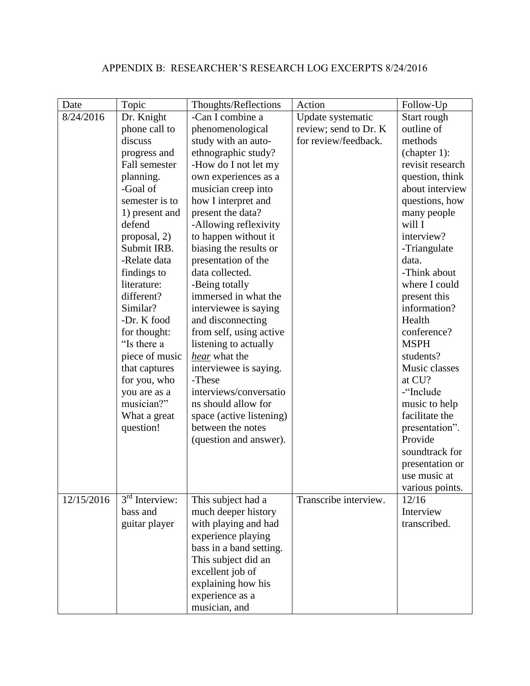# APPENDIX B: RESEARCHER'S RESEARCH LOG EXCERPTS 8/24/2016

| Date       | Topic                                 | Thoughts/Reflections     | Action                | Follow-Up        |
|------------|---------------------------------------|--------------------------|-----------------------|------------------|
| 8/24/2016  | Dr. Knight                            | -Can I combine a         | Update systematic     | Start rough      |
|            | phone call to                         | phenomenological         | review; send to Dr. K | outline of       |
|            | discuss                               | study with an auto-      | for review/feedback.  | methods          |
|            | progress and                          | ethnographic study?      |                       | (charet 1):      |
|            | Fall semester                         | -How do I not let my     |                       | revisit research |
|            | planning.                             | own experiences as a     |                       | question, think  |
|            | -Goal of                              | musician creep into      |                       | about interview  |
|            | semester is to                        | how I interpret and      |                       | questions, how   |
|            | 1) present and                        | present the data?        |                       | many people      |
|            | defend                                | -Allowing reflexivity    |                       | will I           |
|            | proposal, 2)                          | to happen without it     |                       | interview?       |
|            | Submit IRB.                           | biasing the results or   |                       | -Triangulate     |
|            | -Relate data                          | presentation of the      |                       | data.            |
|            | findings to                           | data collected.          |                       | -Think about     |
|            | literature:                           | -Being totally           |                       | where I could    |
|            | different?                            | immersed in what the     |                       | present this     |
|            | Similar?                              | interviewee is saying    |                       | information?     |
|            | -Dr. K food                           | and disconnecting        |                       | Health           |
|            | for thought:                          | from self, using active  |                       | conference?      |
|            | "Is there a                           | listening to actually    |                       | <b>MSPH</b>      |
|            | piece of music                        | hear what the            |                       | students?        |
|            | that captures                         | interviewee is saying.   |                       | Music classes    |
|            | for you, who                          | -These                   |                       | at CU?           |
|            | you are as a                          | interviews/conversatio   |                       | -"Include        |
|            | musician?"                            | ns should allow for      |                       | music to help    |
|            | What a great                          | space (active listening) |                       | facilitate the   |
|            | question!                             | between the notes        |                       | presentation".   |
|            |                                       | (question and answer).   |                       | Provide          |
|            |                                       |                          |                       | soundtrack for   |
|            |                                       |                          |                       | presentation or  |
|            |                                       |                          |                       | use music at     |
|            |                                       |                          |                       | various points.  |
| 12/15/2016 | $\overline{3}^{\text{rd}}$ Interview: | This subject had a       | Transcribe interview. | 12/16            |
|            | bass and                              | much deeper history      |                       | Interview        |
|            | guitar player                         | with playing and had     |                       | transcribed.     |
|            |                                       | experience playing       |                       |                  |
|            |                                       | bass in a band setting.  |                       |                  |
|            |                                       | This subject did an      |                       |                  |
|            |                                       | excellent job of         |                       |                  |
|            |                                       | explaining how his       |                       |                  |
|            |                                       | experience as a          |                       |                  |
|            |                                       | musician, and            |                       |                  |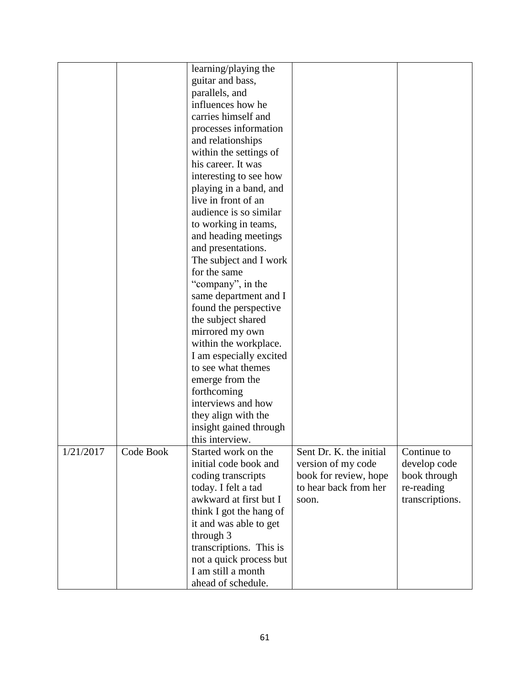|           |           | learning/playing the                          |                         |                 |
|-----------|-----------|-----------------------------------------------|-------------------------|-----------------|
|           |           |                                               |                         |                 |
|           |           | guitar and bass,                              |                         |                 |
|           |           | parallels, and                                |                         |                 |
|           |           | influences how he                             |                         |                 |
|           |           | carries himself and                           |                         |                 |
|           |           | processes information                         |                         |                 |
|           |           | and relationships                             |                         |                 |
|           |           | within the settings of                        |                         |                 |
|           |           | his career. It was                            |                         |                 |
|           |           | interesting to see how                        |                         |                 |
|           |           | playing in a band, and                        |                         |                 |
|           |           | live in front of an                           |                         |                 |
|           |           | audience is so similar                        |                         |                 |
|           |           | to working in teams,                          |                         |                 |
|           |           | and heading meetings                          |                         |                 |
|           |           | and presentations.                            |                         |                 |
|           |           | The subject and I work                        |                         |                 |
|           |           | for the same                                  |                         |                 |
|           |           | "company", in the                             |                         |                 |
|           |           | same department and I                         |                         |                 |
|           |           | found the perspective                         |                         |                 |
|           |           | the subject shared                            |                         |                 |
|           |           | mirrored my own                               |                         |                 |
|           |           | within the workplace.                         |                         |                 |
|           |           |                                               |                         |                 |
|           |           | I am especially excited<br>to see what themes |                         |                 |
|           |           |                                               |                         |                 |
|           |           | emerge from the                               |                         |                 |
|           |           | forthcoming                                   |                         |                 |
|           |           | interviews and how                            |                         |                 |
|           |           | they align with the                           |                         |                 |
|           |           | insight gained through                        |                         |                 |
|           |           | this interview.                               |                         |                 |
| 1/21/2017 | Code Book | Started work on the                           | Sent Dr. K. the initial | Continue to     |
|           |           | initial code book and                         | version of my code      | develop code    |
|           |           | coding transcripts                            | book for review, hope   | book through    |
|           |           | today. I felt a tad                           | to hear back from her   | re-reading      |
|           |           | awkward at first but I                        | soon.                   | transcriptions. |
|           |           | think I got the hang of                       |                         |                 |
|           |           | it and was able to get                        |                         |                 |
|           |           | through 3                                     |                         |                 |
|           |           | transcriptions. This is                       |                         |                 |
|           |           | not a quick process but                       |                         |                 |
|           |           | I am still a month                            |                         |                 |
|           |           | ahead of schedule.                            |                         |                 |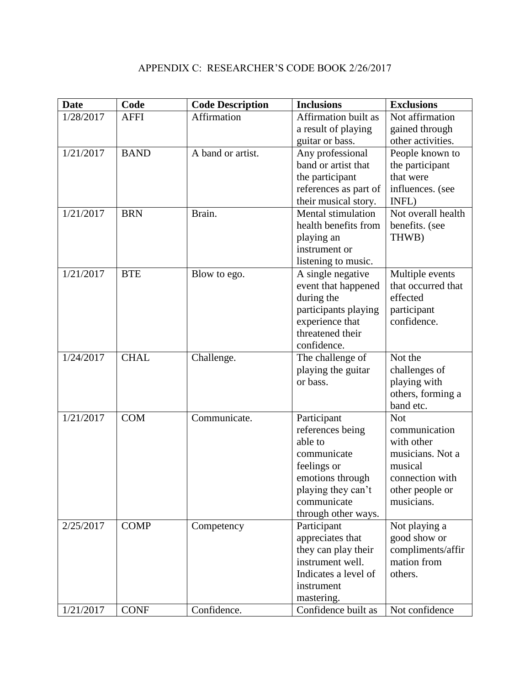| <b>Date</b> | Code        | <b>Code Description</b> | <b>Inclusions</b>         | <b>Exclusions</b>  |
|-------------|-------------|-------------------------|---------------------------|--------------------|
| 1/28/2017   | <b>AFFI</b> | Affirmation             | Affirmation built as      | Not affirmation    |
|             |             |                         | a result of playing       | gained through     |
|             |             |                         | guitar or bass.           | other activities.  |
| 1/21/2017   | <b>BAND</b> | A band or artist.       | Any professional          | People known to    |
|             |             |                         | band or artist that       | the participant    |
|             |             |                         | the participant           | that were          |
|             |             |                         | references as part of     | influences. (see   |
|             |             |                         | their musical story.      | INFL)              |
| 1/21/2017   | <b>BRN</b>  | Brain.                  | <b>Mental stimulation</b> | Not overall health |
|             |             |                         | health benefits from      | benefits. (see     |
|             |             |                         | playing an                | THWB)              |
|             |             |                         | instrument or             |                    |
|             |             |                         | listening to music.       |                    |
| 1/21/2017   | <b>BTE</b>  | Blow to ego.            | A single negative         | Multiple events    |
|             |             |                         | event that happened       | that occurred that |
|             |             |                         | during the                | effected           |
|             |             |                         | participants playing      | participant        |
|             |             |                         | experience that           | confidence.        |
|             |             |                         | threatened their          |                    |
|             |             |                         | confidence.               |                    |
| 1/24/2017   | <b>CHAL</b> | Challenge.              | The challenge of          | Not the            |
|             |             |                         | playing the guitar        | challenges of      |
|             |             |                         | or bass.                  | playing with       |
|             |             |                         |                           | others, forming a  |
|             |             |                         |                           | band etc.          |
| 1/21/2017   | <b>COM</b>  | Communicate.            | Participant               | <b>Not</b>         |
|             |             |                         | references being          | communication      |
|             |             |                         | able to                   | with other         |
|             |             |                         | communicate               | musicians. Not a   |
|             |             |                         | feelings or               | musical            |
|             |             |                         | emotions through          | connection with    |
|             |             |                         | playing they can't        | other people or    |
|             |             |                         | communicate               | musicians.         |
|             |             |                         | through other ways.       |                    |
| 2/25/2017   | <b>COMP</b> | Competency              | Participant               | Not playing a      |
|             |             |                         | appreciates that          | good show or       |
|             |             |                         | they can play their       | compliments/affir  |

1/21/2017 CONF Confidence. Confidence built as Not confidence

instrument well. Indicates a level of

mation from others.

instrument mastering.

# APPENDIX C: RESEARCHER'S CODE BOOK 2/26/2017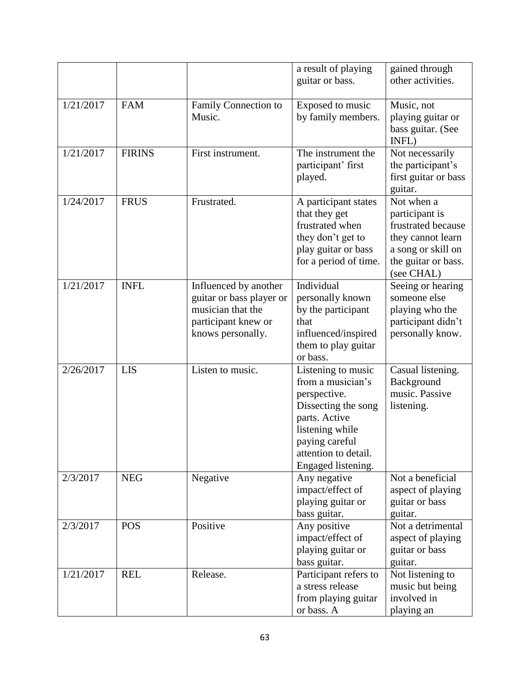|           |               |                                                                                                                    | a result of playing<br>guitar or bass.                                                                                                                                             | gained through<br>other activities.                                                                                                |
|-----------|---------------|--------------------------------------------------------------------------------------------------------------------|------------------------------------------------------------------------------------------------------------------------------------------------------------------------------------|------------------------------------------------------------------------------------------------------------------------------------|
| 1/21/2017 | <b>FAM</b>    | Family Connection to<br>Music.                                                                                     | Exposed to music<br>by family members.                                                                                                                                             | Music, not<br>playing guitar or<br>bass guitar. (See<br>INFL)                                                                      |
| 1/21/2017 | <b>FIRINS</b> | First instrument.                                                                                                  | The instrument the<br>participant' first<br>played.                                                                                                                                | Not necessarily<br>the participant's<br>first guitar or bass<br>guitar.                                                            |
| 1/24/2017 | <b>FRUS</b>   | Frustrated.                                                                                                        | A participant states<br>that they get<br>frustrated when<br>they don't get to<br>play guitar or bass<br>for a period of time.                                                      | Not when a<br>participant is<br>frustrated because<br>they cannot learn<br>a song or skill on<br>the guitar or bass.<br>(see CHAL) |
| 1/21/2017 | <b>INFL</b>   | Influenced by another<br>guitar or bass player or<br>musician that the<br>participant knew or<br>knows personally. | Individual<br>personally known<br>by the participant<br>that<br>influenced/inspired<br>them to play guitar<br>or bass.                                                             | Seeing or hearing<br>someone else<br>playing who the<br>participant didn't<br>personally know.                                     |
| 2/26/2017 | <b>LIS</b>    | Listen to music.                                                                                                   | Listening to music<br>from a musician's<br>perspective.<br>Dissecting the song<br>parts. Active<br>listening while<br>paying careful<br>attention to detail.<br>Engaged listening. | Casual listening.<br>Background<br>music. Passive<br>listening.                                                                    |
| 2/3/2017  | <b>NEG</b>    | Negative                                                                                                           | Any negative<br>impact/effect of<br>playing guitar or<br>bass guitar.                                                                                                              | Not a beneficial<br>aspect of playing<br>guitar or bass<br>guitar.                                                                 |
| 2/3/2017  | <b>POS</b>    | Positive                                                                                                           | Any positive<br>impact/effect of<br>playing guitar or<br>bass guitar.                                                                                                              | Not a detrimental<br>aspect of playing<br>guitar or bass<br>guitar.                                                                |
| 1/21/2017 | <b>REL</b>    | Release.                                                                                                           | Participant refers to<br>a stress release<br>from playing guitar<br>or bass. A                                                                                                     | Not listening to<br>music but being<br>involved in<br>playing an                                                                   |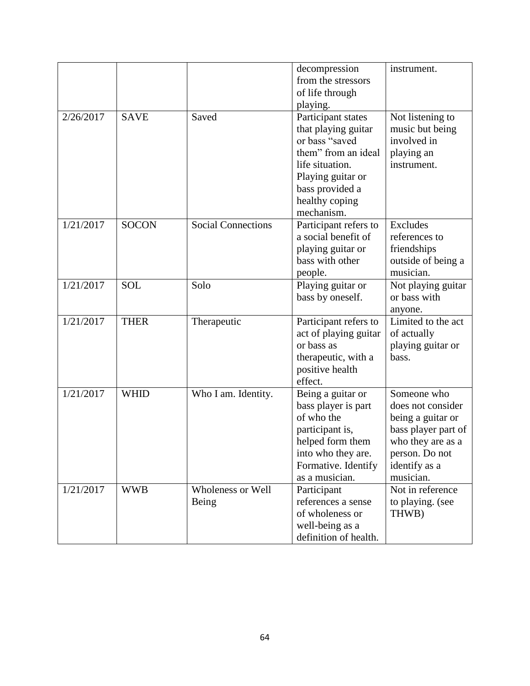|           |              |                           | decompression         | instrument.         |
|-----------|--------------|---------------------------|-----------------------|---------------------|
|           |              |                           | from the stressors    |                     |
|           |              |                           | of life through       |                     |
|           |              |                           |                       |                     |
|           |              |                           | playing.              |                     |
| 2/26/2017 | <b>SAVE</b>  | Saved                     | Participant states    | Not listening to    |
|           |              |                           | that playing guitar   | music but being     |
|           |              |                           | or bass "saved        | involved in         |
|           |              |                           | them" from an ideal   | playing an          |
|           |              |                           | life situation.       | instrument.         |
|           |              |                           | Playing guitar or     |                     |
|           |              |                           | bass provided a       |                     |
|           |              |                           | healthy coping        |                     |
|           |              |                           | mechanism.            |                     |
| 1/21/2017 | <b>SOCON</b> | <b>Social Connections</b> | Participant refers to | <b>Excludes</b>     |
|           |              |                           | a social benefit of   | references to       |
|           |              |                           | playing guitar or     | friendships         |
|           |              |                           | bass with other       | outside of being a  |
|           |              |                           | people.               | musician.           |
| 1/21/2017 | <b>SOL</b>   | Solo                      | Playing guitar or     | Not playing guitar  |
|           |              |                           | bass by oneself.      | or bass with        |
|           |              |                           |                       | anyone.             |
| 1/21/2017 | <b>THER</b>  | Therapeutic               | Participant refers to | Limited to the act  |
|           |              |                           | act of playing guitar | of actually         |
|           |              |                           | or bass as            | playing guitar or   |
|           |              |                           | therapeutic, with a   | bass.               |
|           |              |                           | positive health       |                     |
|           |              |                           | effect.               |                     |
| 1/21/2017 | <b>WHID</b>  | Who I am. Identity.       | Being a guitar or     | Someone who         |
|           |              |                           | bass player is part   | does not consider   |
|           |              |                           | of who the            | being a guitar or   |
|           |              |                           | participant is,       | bass player part of |
|           |              |                           |                       |                     |
|           |              |                           | helped form them      | who they are as a   |
|           |              |                           | into who they are.    | person. Do not      |
|           |              |                           | Formative. Identify   | identify as a       |
|           |              |                           | as a musician.        | musician.           |
| 1/21/2017 | <b>WWB</b>   | Wholeness or Well         | Participant           | Not in reference    |
|           |              | Being                     | references a sense    | to playing. (see    |
|           |              |                           | of wholeness or       | THWB)               |
|           |              |                           | well-being as a       |                     |
|           |              |                           | definition of health. |                     |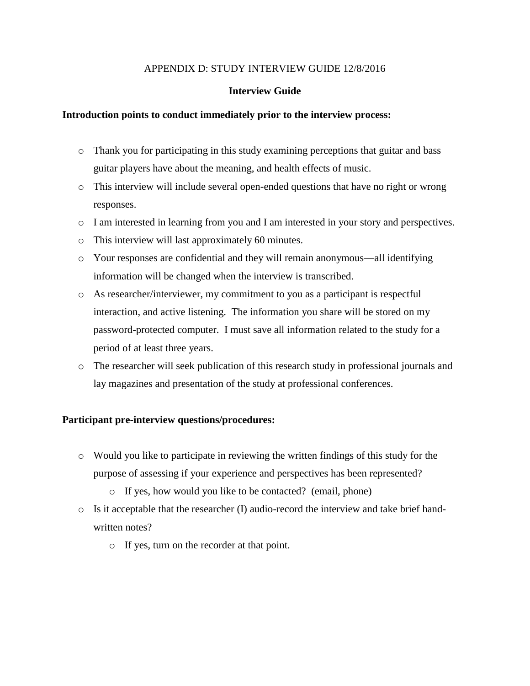## APPENDIX D: STUDY INTERVIEW GUIDE 12/8/2016

# **Interview Guide**

## **Introduction points to conduct immediately prior to the interview process:**

- o Thank you for participating in this study examining perceptions that guitar and bass guitar players have about the meaning, and health effects of music.
- o This interview will include several open-ended questions that have no right or wrong responses.
- o I am interested in learning from you and I am interested in your story and perspectives.
- o This interview will last approximately 60 minutes.
- o Your responses are confidential and they will remain anonymous—all identifying information will be changed when the interview is transcribed.
- o As researcher/interviewer, my commitment to you as a participant is respectful interaction, and active listening. The information you share will be stored on my password-protected computer. I must save all information related to the study for a period of at least three years.
- o The researcher will seek publication of this research study in professional journals and lay magazines and presentation of the study at professional conferences.

## **Participant pre-interview questions/procedures:**

- o Would you like to participate in reviewing the written findings of this study for the purpose of assessing if your experience and perspectives has been represented?
	- o If yes, how would you like to be contacted? (email, phone)
- o Is it acceptable that the researcher (I) audio-record the interview and take brief handwritten notes?
	- o If yes, turn on the recorder at that point.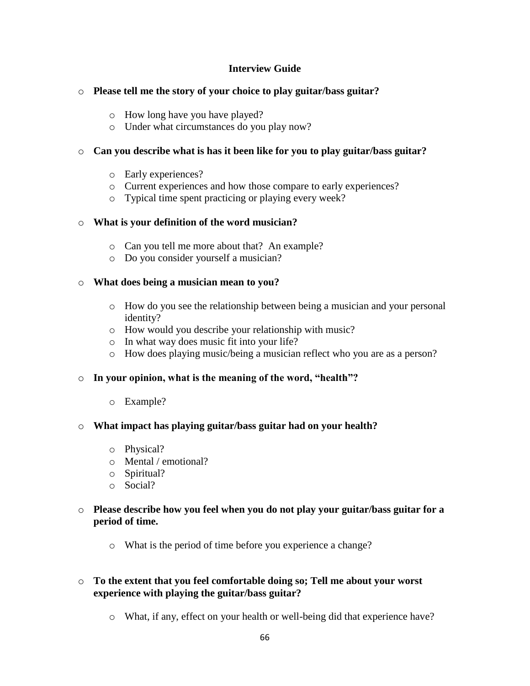# **Interview Guide**

## o **Please tell me the story of your choice to play guitar/bass guitar?**

- o How long have you have played?
- o Under what circumstances do you play now?

# o **Can you describe what is has it been like for you to play guitar/bass guitar?**

- o Early experiences?
- o Current experiences and how those compare to early experiences?
- o Typical time spent practicing or playing every week?

# o **What is your definition of the word musician?**

- o Can you tell me more about that? An example?
- o Do you consider yourself a musician?

## o **What does being a musician mean to you?**

- o How do you see the relationship between being a musician and your personal identity?
- o How would you describe your relationship with music?
- o In what way does music fit into your life?
- o How does playing music/being a musician reflect who you are as a person?

## o **In your opinion, what is the meaning of the word, "health"?**

o Example?

## o **What impact has playing guitar/bass guitar had on your health?**

- o Physical?
- o Mental / emotional?
- o Spiritual?
- o Social?

# o **Please describe how you feel when you do not play your guitar/bass guitar for a period of time.**

o What is the period of time before you experience a change?

# o **To the extent that you feel comfortable doing so; Tell me about your worst experience with playing the guitar/bass guitar?**

o What, if any, effect on your health or well-being did that experience have?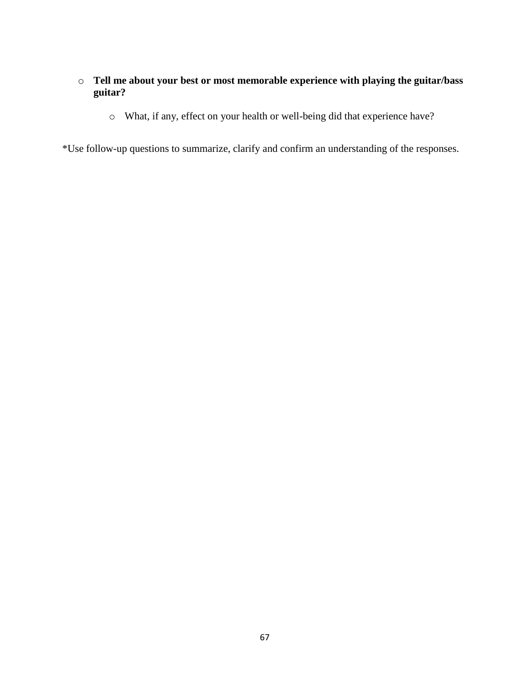# o **Tell me about your best or most memorable experience with playing the guitar/bass guitar?**

o What, if any, effect on your health or well-being did that experience have?

\*Use follow-up questions to summarize, clarify and confirm an understanding of the responses.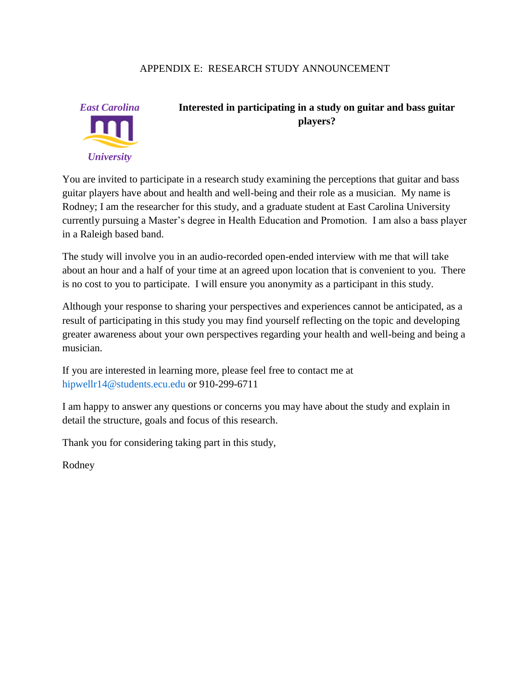# APPENDIX E: RESEARCH STUDY ANNOUNCEMENT



# **Interested in participating in a study on guitar and bass guitar players?**

You are invited to participate in a research study examining the perceptions that guitar and bass guitar players have about and health and well-being and their role as a musician. My name is Rodney; I am the researcher for this study, and a graduate student at East Carolina University currently pursuing a Master's degree in Health Education and Promotion. I am also a bass player in a Raleigh based band.

The study will involve you in an audio-recorded open-ended interview with me that will take about an hour and a half of your time at an agreed upon location that is convenient to you. There is no cost to you to participate. I will ensure you anonymity as a participant in this study.

Although your response to sharing your perspectives and experiences cannot be anticipated, as a result of participating in this study you may find yourself reflecting on the topic and developing greater awareness about your own perspectives regarding your health and well-being and being a musician.

If you are interested in learning more, please feel free to contact me at [hipwellr14@students.ecu.edu](mailto:hipwellr14@students.ecu.edu) or 910-299-6711

I am happy to answer any questions or concerns you may have about the study and explain in detail the structure, goals and focus of this research.

Thank you for considering taking part in this study,

Rodney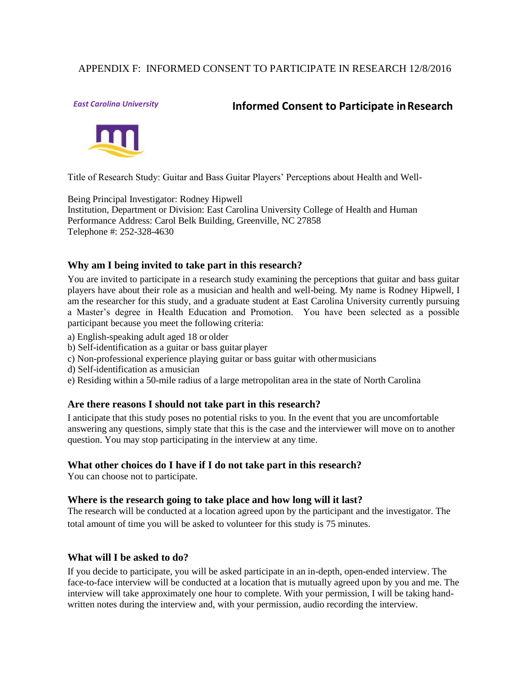# APPENDIX F: INFORMED CONSENT TO PARTICIPATE IN RESEARCH 12/8/2016

# *East Carolina University* **Informed Consent to Participate inResearch**



Title of Research Study: Guitar and Bass Guitar Players' Perceptions about Health and Well-

Being Principal Investigator: Rodney Hipwell Institution, Department or Division: East Carolina University College of Health and Human Performance Address: Carol Belk Building, Greenville, NC 27858 Telephone #: 252-328-4630

## **Why am I being invited to take part in this research?**

You are invited to participate in a research study examining the perceptions that guitar and bass guitar players have about their role as a musician and health and well-being. My name is Rodney Hipwell, I am the researcher for this study, and a graduate student at East Carolina University currently pursuing a Master's degree in Health Education and Promotion. You have been selected as a possible participant because you meet the following criteria:

- a) English-speaking adult aged 18 or older
- b) Self-identification as a guitar or bass guitar player
- c) Non-professional experience playing guitar or bass guitar with othermusicians
- d) Self-identification as amusician
- e) Residing within a 50-mile radius of a large metropolitan area in the state of North Carolina

## **Are there reasons I should not take part in this research?**

I anticipate that this study poses no potential risks to you. In the event that you are uncomfortable answering any questions, simply state that this is the case and the interviewer will move on to another question. You may stop participating in the interview at any time.

#### **What other choices do I have if I do not take part in this research?**

You can choose not to participate.

#### **Where is the research going to take place and how long will it last?**

The research will be conducted at a location agreed upon by the participant and the investigator. The total amount of time you will be asked to volunteer for this study is 75 minutes.

## **What will I be asked to do?**

If you decide to participate, you will be asked participate in an in-depth, open-ended interview. The face-to-face interview will be conducted at a location that is mutually agreed upon by you and me. The interview will take approximately one hour to complete. With your permission, I will be taking handwritten notes during the interview and, with your permission, audio recording the interview.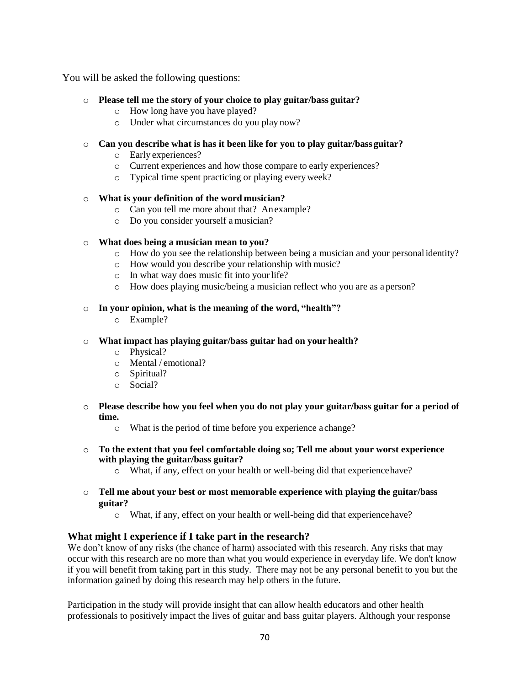You will be asked the following questions:

## o **Please tell me the story of your choice to play guitar/bass guitar?**

- o How long have you have played?
- o Under what circumstances do you play now?

#### o **Can you describe what is has it been like for you to play guitar/bass guitar?**

- o Early experiences?
- o Current experiences and how those compare to early experiences?
- o Typical time spent practicing or playing everyweek?

### o **What is your definition of the word musician?**

- o Can you tell me more about that? Anexample?
- o Do you consider yourself amusician?

### o **What does being a musician mean to you?**

- o How do you see the relationship between being a musician and your personalidentity?
- o How would you describe your relationship with music?
- o In what way does music fit into yourlife?
- o How does playing music/being a musician reflect who you are as a person?

#### o **In your opinion, what is the meaning of the word, "health"?**

o Example?

#### o **What impact has playing guitar/bass guitar had on your health?**

- o Physical?
- o Mental / emotional?
- o Spiritual?
- o Social?
- o **Please describe how you feel when you do not play your guitar/bass guitar for a period of time.**
	- o What is the period of time before you experience a change?
- o **To the extent that you feel comfortable doing so; Tell me about your worst experience with playing the guitar/bass guitar?**
	- o What, if any, effect on your health or well-being did that experiencehave?
- o **Tell me about your best or most memorable experience with playing the guitar/bass guitar?**
	- o What, if any, effect on your health or well-being did that experiencehave?

## **What might I experience if I take part in the research?**

We don't know of any risks (the chance of harm) associated with this research. Any risks that may occur with this research are no more than what you would experience in everyday life. We don't know if you will benefit from taking part in this study. There may not be any personal benefit to you but the information gained by doing this research may help others in the future.

Participation in the study will provide insight that can allow health educators and other health professionals to positively impact the lives of guitar and bass guitar players. Although your response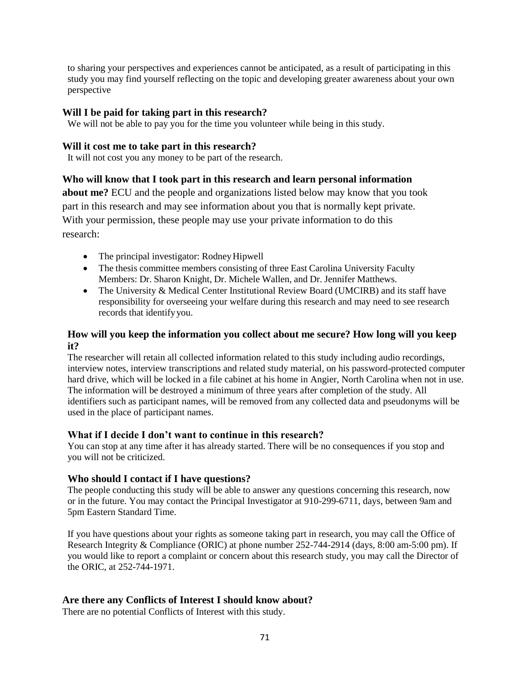to sharing your perspectives and experiences cannot be anticipated, as a result of participating in this study you may find yourself reflecting on the topic and developing greater awareness about your own perspective

## **Will I be paid for taking part in this research?**

We will not be able to pay you for the time you volunteer while being in this study.

#### **Will it cost me to take part in this research?**

It will not cost you any money to be part of the research.

## **Who will know that I took part in this research and learn personal information**

**about me?** ECU and the people and organizations listed below may know that you took part in this research and may see information about you that is normally kept private. With your permission, these people may use your private information to do this research:

- The principal investigator: Rodney Hipwell
- The thesis committee members consisting of three East Carolina University Faculty Members: Dr. Sharon Knight, Dr. Michele Wallen, and Dr. Jennifer Matthews.
- The University & Medical Center Institutional Review Board (UMCIRB) and its staff have responsibility for overseeing your welfare during this research and may need to see research records that identifyyou.

## **How will you keep the information you collect about me secure? How long will you keep it?**

The researcher will retain all collected information related to this study including audio recordings, interview notes, interview transcriptions and related study material, on his password-protected computer hard drive, which will be locked in a file cabinet at his home in Angier, North Carolina when not in use. The information will be destroyed a minimum of three years after completion of the study. All identifiers such as participant names, will be removed from any collected data and pseudonyms will be used in the place of participant names.

## **What if I decide I don't want to continue in this research?**

You can stop at any time after it has already started. There will be no consequences if you stop and you will not be criticized.

## **Who should I contact if I have questions?**

The people conducting this study will be able to answer any questions concerning this research, now or in the future. You may contact the Principal Investigator at 910-299-6711, days, between 9am and 5pm Eastern Standard Time.

If you have questions about your rights as someone taking part in research, you may call the Office of Research Integrity & Compliance (ORIC) at phone number 252-744-2914 (days, 8:00 am-5:00 pm). If you would like to report a complaint or concern about this research study, you may call the Director of the ORIC, at 252-744-1971.

## **Are there any Conflicts of Interest I should know about?**

There are no potential Conflicts of Interest with this study.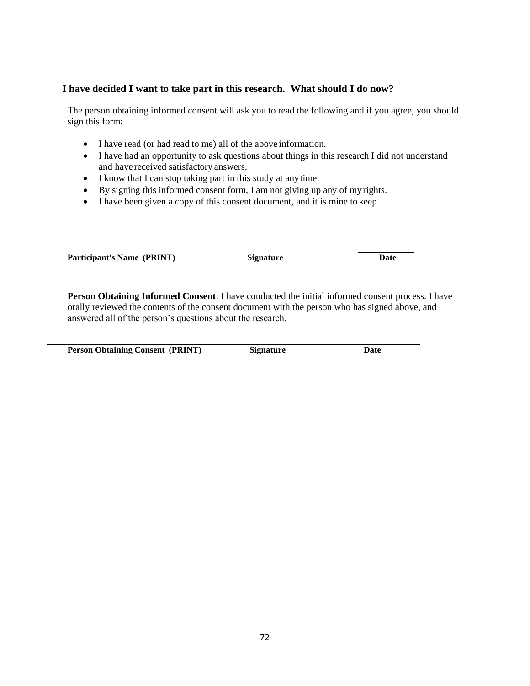### **I have decided I want to take part in this research. What should I do now?**

The person obtaining informed consent will ask you to read the following and if you agree, you should sign this form:

- I have read (or had read to me) all of the above information.
- I have had an opportunity to ask questions about things in this research I did not understand and have received satisfactory answers.
- I know that I can stop taking part in this study at any time.
- By signing this informed consent form, I am not giving up any of myrights.
- I have been given a copy of this consent document, and it is mine to keep.

**Participant's** Name (PRINT) Signature **Date** 

**Person Obtaining Informed Consent**: I have conducted the initial informed consent process. I have orally reviewed the contents of the consent document with the person who has signed above, and answered all of the person's questions about the research.

**Person Obtaining Consent (PRINT) Signature Date**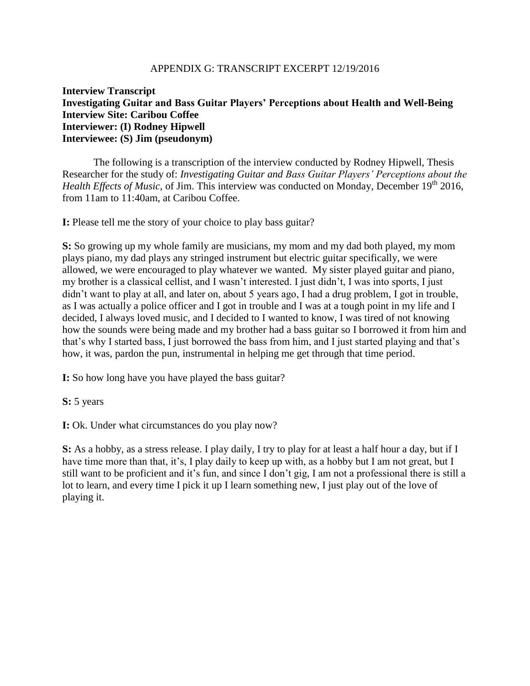## APPENDIX G: TRANSCRIPT EXCERPT 12/19/2016

# **Interview Transcript Investigating Guitar and Bass Guitar Players' Perceptions about Health and Well-Being Interview Site: Caribou Coffee Interviewer: (I) Rodney Hipwell Interviewee: (S) Jim (pseudonym)**

The following is a transcription of the interview conducted by Rodney Hipwell, Thesis Researcher for the study of: *Investigating Guitar and Bass Guitar Players' Perceptions about the Health Effects of Music, of Jim. This interview was conducted on Monday, December 19<sup>th</sup> 2016,* from 11am to 11:40am, at Caribou Coffee.

**I:** Please tell me the story of your choice to play bass guitar?

**S:** So growing up my whole family are musicians, my mom and my dad both played, my mom plays piano, my dad plays any stringed instrument but electric guitar specifically, we were allowed, we were encouraged to play whatever we wanted. My sister played guitar and piano, my brother is a classical cellist, and I wasn't interested. I just didn't, I was into sports, I just didn't want to play at all, and later on, about 5 years ago, I had a drug problem, I got in trouble, as I was actually a police officer and I got in trouble and I was at a tough point in my life and I decided, I always loved music, and I decided to I wanted to know, I was tired of not knowing how the sounds were being made and my brother had a bass guitar so I borrowed it from him and that's why I started bass, I just borrowed the bass from him, and I just started playing and that's how, it was, pardon the pun, instrumental in helping me get through that time period.

**I:** So how long have you have played the bass guitar?

**S:** 5 years

**I:** Ok. Under what circumstances do you play now?

**S:** As a hobby, as a stress release. I play daily, I try to play for at least a half hour a day, but if I have time more than that, it's, I play daily to keep up with, as a hobby but I am not great, but I still want to be proficient and it's fun, and since I don't gig, I am not a professional there is still a lot to learn, and every time I pick it up I learn something new, I just play out of the love of playing it.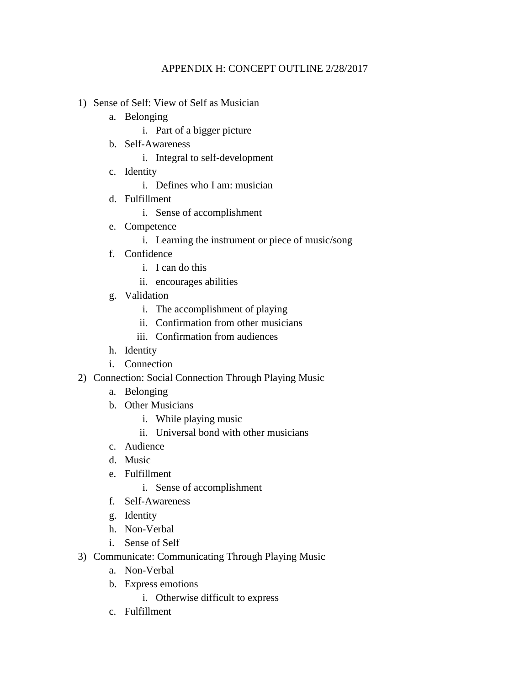# APPENDIX H: CONCEPT OUTLINE 2/28/2017

- 1) Sense of Self: View of Self as Musician
	- a. Belonging
		- i. Part of a bigger picture
	- b. Self-Awareness
		- i. Integral to self-development
	- c. Identity
		- i. Defines who I am: musician
	- d. Fulfillment
		- i. Sense of accomplishment
	- e. Competence
		- i. Learning the instrument or piece of music/song
	- f. Confidence
		- i. I can do this
		- ii. encourages abilities
	- g. Validation
		- i. The accomplishment of playing
		- ii. Confirmation from other musicians
		- iii. Confirmation from audiences
	- h. Identity
	- i. Connection
- 2) Connection: Social Connection Through Playing Music
	- a. Belonging
	- b. Other Musicians
		- i. While playing music
		- ii. Universal bond with other musicians
	- c. Audience
	- d. Music
	- e. Fulfillment
		- i. Sense of accomplishment
	- f. Self-Awareness
	- g. Identity
	- h. Non-Verbal
	- i. Sense of Self
- 3) Communicate: Communicating Through Playing Music
	- a. Non-Verbal
	- b. Express emotions
		- i. Otherwise difficult to express
	- c. Fulfillment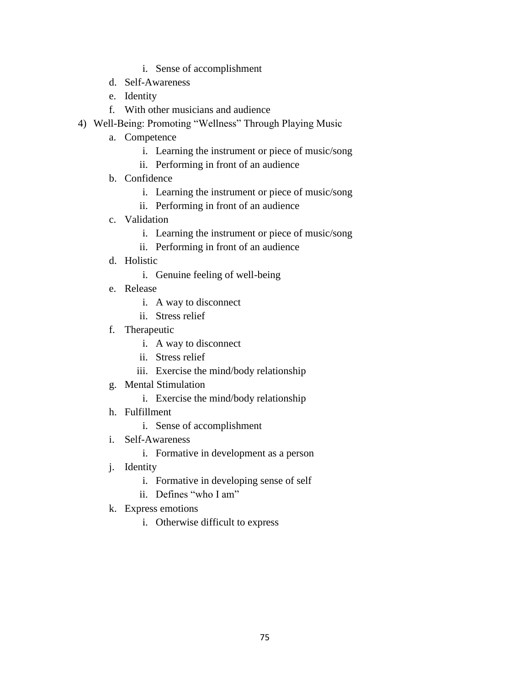- i. Sense of accomplishment
- d. Self-Awareness
- e. Identity
- f. With other musicians and audience
- 4) Well-Being: Promoting "Wellness" Through Playing Music
	- a. Competence
		- i. Learning the instrument or piece of music/song
		- ii. Performing in front of an audience
	- b. Confidence
		- i. Learning the instrument or piece of music/song
		- ii. Performing in front of an audience
	- c. Validation
		- i. Learning the instrument or piece of music/song
		- ii. Performing in front of an audience
	- d. Holistic
		- i. Genuine feeling of well-being
	- e. Release
		- i. A way to disconnect
		- ii. Stress relief
	- f. Therapeutic
		- i. A way to disconnect
		- ii. Stress relief
		- iii. Exercise the mind/body relationship
	- g. Mental Stimulation
		- i. Exercise the mind/body relationship
	- h. Fulfillment
		- i. Sense of accomplishment
	- i. Self-Awareness
		- i. Formative in development as a person
	- j. Identity
		- i. Formative in developing sense of self
		- ii. Defines "who I am"
	- k. Express emotions
		- i. Otherwise difficult to express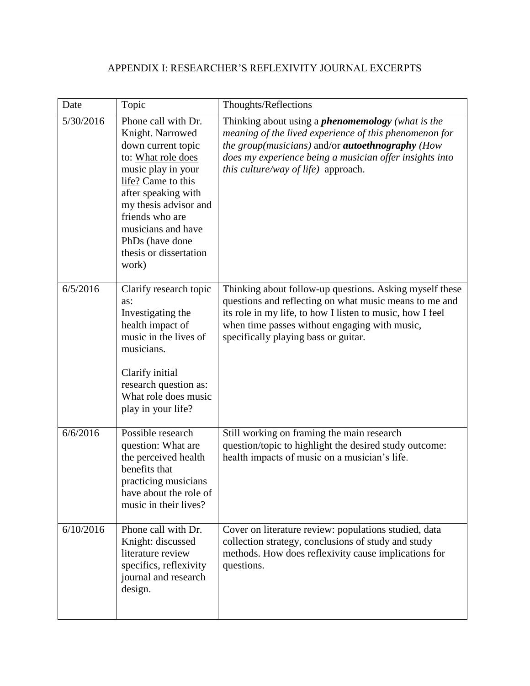# APPENDIX I: RESEARCHER'S REFLEXIVITY JOURNAL EXCERPTS

| Date      | Topic                                                                                                                                                                                                                                                                          | Thoughts/Reflections                                                                                                                                                                                                                                                            |
|-----------|--------------------------------------------------------------------------------------------------------------------------------------------------------------------------------------------------------------------------------------------------------------------------------|---------------------------------------------------------------------------------------------------------------------------------------------------------------------------------------------------------------------------------------------------------------------------------|
| 5/30/2016 | Phone call with Dr.<br>Knight. Narrowed<br>down current topic<br>to: What role does<br>music play in your<br>life? Came to this<br>after speaking with<br>my thesis advisor and<br>friends who are<br>musicians and have<br>PhDs (have done<br>thesis or dissertation<br>work) | Thinking about using a <i>phenomemology</i> (what is the<br>meaning of the lived experience of this phenomenon for<br>the group(musicians) and/or <b>autoethnography</b> (How<br>does my experience being a musician offer insights into<br>this culture/way of life) approach. |
| 6/5/2016  | Clarify research topic<br>as:<br>Investigating the<br>health impact of<br>music in the lives of<br>musicians.<br>Clarify initial<br>research question as:<br>What role does music<br>play in your life?                                                                        | Thinking about follow-up questions. Asking myself these<br>questions and reflecting on what music means to me and<br>its role in my life, to how I listen to music, how I feel<br>when time passes without engaging with music,<br>specifically playing bass or guitar.         |
| 6/6/2016  | Possible research<br>question: What are<br>the perceived health<br>benefits that<br>practicing musicians<br>have about the role of<br>music in their lives?                                                                                                                    | Still working on framing the main research<br>question/topic to highlight the desired study outcome:<br>health impacts of music on a musician's life.                                                                                                                           |
| 6/10/2016 | Phone call with Dr.<br>Knight: discussed<br>literature review<br>specifics, reflexivity<br>journal and research<br>design.                                                                                                                                                     | Cover on literature review: populations studied, data<br>collection strategy, conclusions of study and study<br>methods. How does reflexivity cause implications for<br>questions.                                                                                              |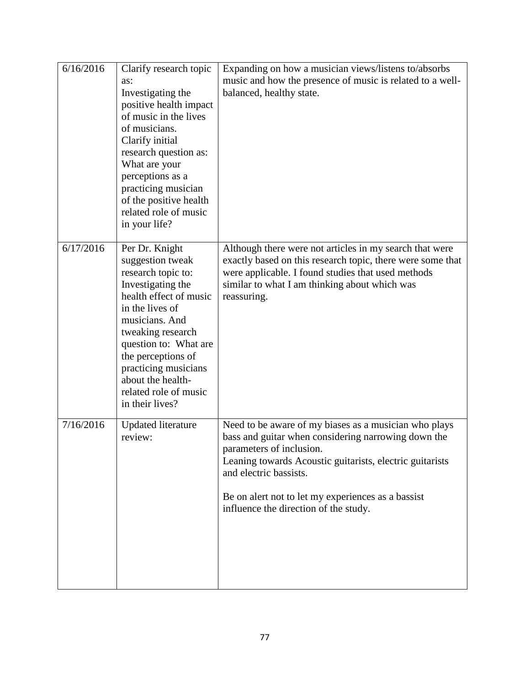| 6/16/2016 | Clarify research topic<br>as:<br>Investigating the<br>positive health impact<br>of music in the lives<br>of musicians.<br>Clarify initial<br>research question as:<br>What are your<br>perceptions as a<br>practicing musician<br>of the positive health<br>related role of music<br>in your life?        | Expanding on how a musician views/listens to/absorbs<br>music and how the presence of music is related to a well-<br>balanced, healthy state.                                                                                                                                                                                 |
|-----------|-----------------------------------------------------------------------------------------------------------------------------------------------------------------------------------------------------------------------------------------------------------------------------------------------------------|-------------------------------------------------------------------------------------------------------------------------------------------------------------------------------------------------------------------------------------------------------------------------------------------------------------------------------|
| 6/17/2016 | Per Dr. Knight<br>suggestion tweak<br>research topic to:<br>Investigating the<br>health effect of music<br>in the lives of<br>musicians. And<br>tweaking research<br>question to: What are<br>the perceptions of<br>practicing musicians<br>about the health-<br>related role of music<br>in their lives? | Although there were not articles in my search that were<br>exactly based on this research topic, there were some that<br>were applicable. I found studies that used methods<br>similar to what I am thinking about which was<br>reassuring.                                                                                   |
| 7/16/2016 | <b>Updated literature</b><br>review:                                                                                                                                                                                                                                                                      | Need to be aware of my biases as a musician who plays<br>bass and guitar when considering narrowing down the<br>parameters of inclusion.<br>Leaning towards Acoustic guitarists, electric guitarists<br>and electric bassists.<br>Be on alert not to let my experiences as a bassist<br>influence the direction of the study. |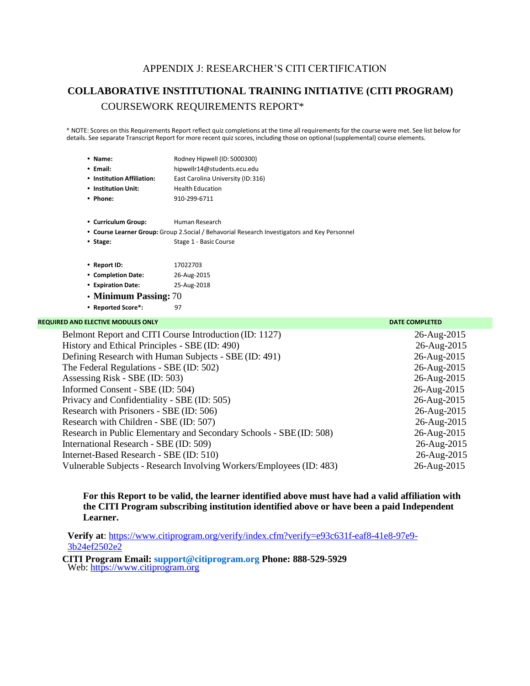# APPENDIX J: RESEARCHER'S CITI CERTIFICATION

# **COLLABORATIVE INSTITUTIONAL TRAINING INITIATIVE (CITI PROGRAM)** COURSEWORK REQUIREMENTS REPORT\*

\* NOTE: Scores on this Requirements Report reflect quiz completions at the time all requirements for the course were met. See list below for details. See separate Transcript Report for more recent quiz scores, including those on optional (supplemental) course elements.

| • Name:                                                            | Rodney Hipwell (ID: 5000300)                                                                  |                               |
|--------------------------------------------------------------------|-----------------------------------------------------------------------------------------------|-------------------------------|
| • Email:                                                           | hipwellr14@students.ecu.edu                                                                   |                               |
| • Institution Affiliation:                                         | East Carolina University (ID:316)                                                             |                               |
| • Institution Unit:                                                | <b>Health Education</b>                                                                       |                               |
| • Phone:                                                           | 910-299-6711                                                                                  |                               |
| • Curriculum Group:                                                | Human Research                                                                                |                               |
|                                                                    | • Course Learner Group: Group 2. Social / Behavorial Research Investigators and Key Personnel |                               |
| • Stage:                                                           | Stage 1 - Basic Course                                                                        |                               |
| • Report ID:                                                       | 17022703                                                                                      |                               |
| • Completion Date:                                                 | 26-Aug-2015                                                                                   |                               |
| • Expiration Date:                                                 | 25-Aug-2018                                                                                   |                               |
| • Minimum Passing: 70                                              |                                                                                               |                               |
| • Reported Score*:                                                 | 97                                                                                            |                               |
| <b>REQUIRED AND ELECTIVE MODULES ONLY</b>                          |                                                                                               | <b>DATE COMPLETED</b>         |
|                                                                    | Belmont Report and CITI Course Introduction (ID: 1127)                                        | 26-Aug-2015                   |
| History and Ethical Principles - $\text{SRE}(\text{ID} \cdot 490)$ |                                                                                               | $26 - \text{Au}\sigma - 2015$ |

| History and Ethical Principles - SBE (ID: 490)                       | 26-Aug-2015 |
|----------------------------------------------------------------------|-------------|
| Defining Research with Human Subjects - SBE (ID: 491)                | 26-Aug-2015 |
| The Federal Regulations - SBE (ID: 502)                              | 26-Aug-2015 |
| Assessing Risk - SBE (ID: 503)                                       | 26-Aug-2015 |
| Informed Consent - SBE (ID: 504)                                     | 26-Aug-2015 |
| Privacy and Confidentiality - SBE (ID: 505)                          | 26-Aug-2015 |
| Research with Prisoners - SBE (ID: 506)                              | 26-Aug-2015 |
| Research with Children - SBE (ID: 507)                               | 26-Aug-2015 |
| Research in Public Elementary and Secondary Schools - SBE(ID: 508)   | 26-Aug-2015 |
| International Research - SBE (ID: 509)                               | 26-Aug-2015 |
| Internet-Based Research - SBE (ID: 510)                              | 26-Aug-2015 |
| Vulnerable Subjects - Research Involving Workers/Employees (ID: 483) | 26-Aug-2015 |

#### **For this Report to be valid, the learner identified above must have had a valid affiliation with the CITI Program subscribing institution identified above or have been a paid Independent Learner.**

**Verify at**: [https://www.citiprogram.org/verify/index.cfm?verify=e93c631f-eaf8-41e8-97e9-](https://www.citiprogram.org/verify/index.cfm?verify=e93c631f-eaf8-41e8-97e9-3b24ef2502e2) [3b24ef2502e2](https://www.citiprogram.org/verify/index.cfm?verify=e93c631f-eaf8-41e8-97e9-3b24ef2502e2)

**CITI Program Email: [support@citiprogram.org](mailto:support@citiprogram.org) Phone: 888-529-5929** Web: [https://www.citiprogram.org](https://www.citiprogram.org/)